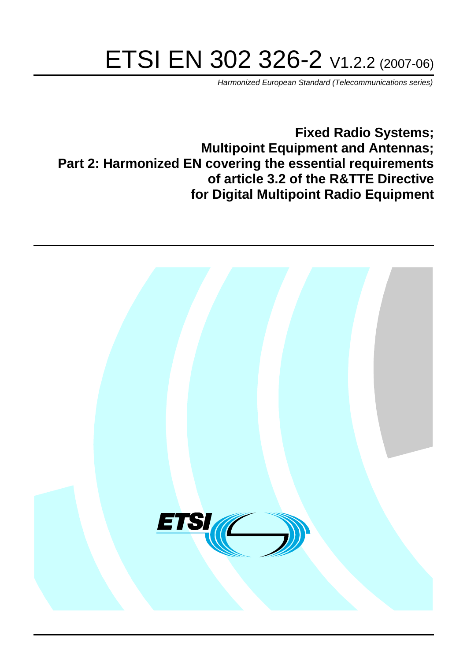# ETSI EN 302 326-2 V1.2.2 (2007-06)

Harmonized European Standard (Telecommunications series)

**Fixed Radio Systems; Multipoint Equipment and Antennas; Part 2: Harmonized EN covering the essential requirements of article 3.2 of the R&TTE Directive for Digital Multipoint Radio Equipment**

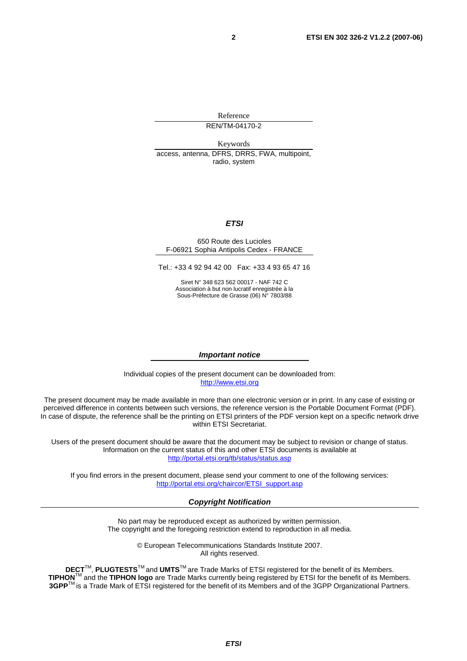Reference REN/TM-04170-2

Keywords access, antenna, DFRS, DRRS, FWA, multipoint, radio, system

#### **ETSI**

#### 650 Route des Lucioles F-06921 Sophia Antipolis Cedex - FRANCE

Tel.: +33 4 92 94 42 00 Fax: +33 4 93 65 47 16

Siret N° 348 623 562 00017 - NAF 742 C Association à but non lucratif enregistrée à la Sous-Préfecture de Grasse (06) N° 7803/88

#### **Important notice**

Individual copies of the present document can be downloaded from: [http://www.etsi.org](http://www.etsi.org/)

The present document may be made available in more than one electronic version or in print. In any case of existing or perceived difference in contents between such versions, the reference version is the Portable Document Format (PDF). In case of dispute, the reference shall be the printing on ETSI printers of the PDF version kept on a specific network drive within ETSI Secretariat.

Users of the present document should be aware that the document may be subject to revision or change of status. Information on the current status of this and other ETSI documents is available at <http://portal.etsi.org/tb/status/status.asp>

If you find errors in the present document, please send your comment to one of the following services: [http://portal.etsi.org/chaircor/ETSI\\_support.asp](http://portal.etsi.org/chaircor/ETSI_support.asp)

#### **Copyright Notification**

No part may be reproduced except as authorized by written permission. The copyright and the foregoing restriction extend to reproduction in all media.

> © European Telecommunications Standards Institute 2007. All rights reserved.

**DECT**TM, **PLUGTESTS**TM and **UMTS**TM are Trade Marks of ETSI registered for the benefit of its Members. **TIPHON**TM and the **TIPHON logo** are Trade Marks currently being registered by ETSI for the benefit of its Members. **3GPP**TM is a Trade Mark of ETSI registered for the benefit of its Members and of the 3GPP Organizational Partners.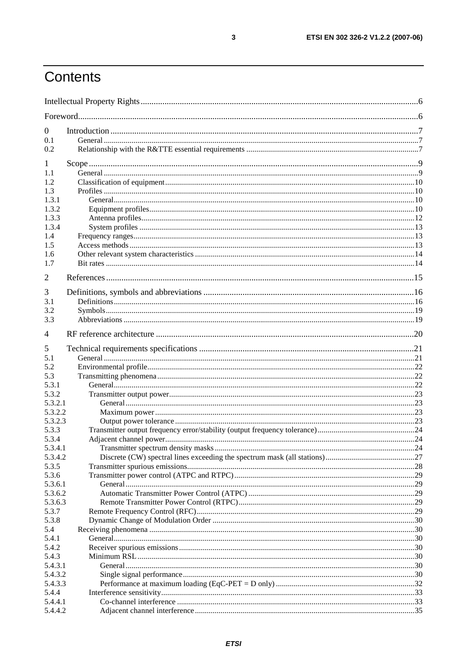## Contents

| $\theta$         |  |
|------------------|--|
| 0.1              |  |
| 0.2              |  |
| 1                |  |
| 1.1              |  |
| 1.2.             |  |
| 1.3              |  |
| 1.3.1            |  |
| 1.3.2            |  |
| 1.3.3            |  |
| 1.3.4            |  |
| 1.4              |  |
| 1.5              |  |
| 1.6              |  |
| 1.7              |  |
| $\overline{2}$   |  |
| 3                |  |
| 3.1              |  |
| 3.2              |  |
| 3.3              |  |
| 4                |  |
| 5                |  |
| 5.1              |  |
| 5.2              |  |
| 5.3              |  |
| 5.3.1            |  |
| 5.3.2            |  |
| 5.3.2.1          |  |
| 5.3.2.2          |  |
| 5.3.2.3          |  |
| 5.3.3            |  |
| 5.3.4            |  |
| 5.3.4.1          |  |
| 5.3.4.2          |  |
| 5.3.5            |  |
| 5.3.6<br>5.3.6.1 |  |
| 5.3.6.2          |  |
| 5.3.6.3          |  |
| 5.3.7            |  |
| 5.3.8            |  |
| 5.4              |  |
| 5.4.1            |  |
| 5.4.2            |  |
| 5.4.3            |  |
| 5.4.3.1          |  |
| 5.4.3.2          |  |
| 5.4.3.3          |  |
| 5.4.4            |  |
| 5.4.4.1          |  |
| 5.4.4.2          |  |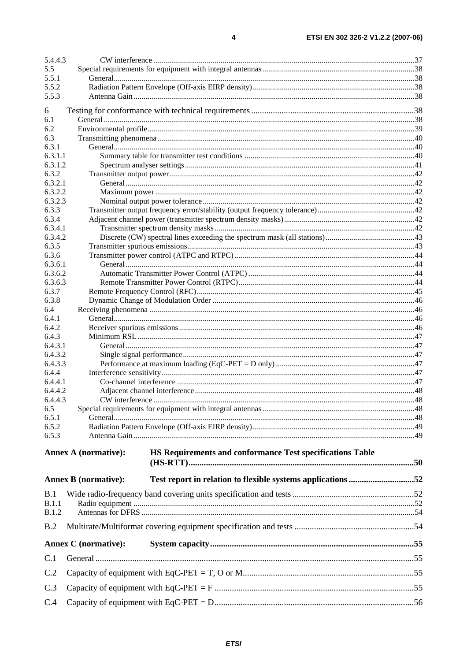| 5.4.4.3            |                                                                                            |  |
|--------------------|--------------------------------------------------------------------------------------------|--|
| 5.5                |                                                                                            |  |
| 5.5.1              |                                                                                            |  |
| 5.5.2              |                                                                                            |  |
| 5.5.3              |                                                                                            |  |
| 6                  |                                                                                            |  |
| 6.1                |                                                                                            |  |
| 6.2                |                                                                                            |  |
| 6.3<br>6.3.1       |                                                                                            |  |
| 6.3.1.1            |                                                                                            |  |
| 6.3.1.2            |                                                                                            |  |
| 6.3.2              |                                                                                            |  |
| 6.3.2.1            |                                                                                            |  |
| 6.3.2.2            |                                                                                            |  |
| 6.3.2.3<br>6.3.3   |                                                                                            |  |
| 6.3.4              |                                                                                            |  |
| 6.3.4.1            |                                                                                            |  |
| 6.3.4.2            |                                                                                            |  |
| 6.3.5              |                                                                                            |  |
| 6.3.6              |                                                                                            |  |
| 6.3.6.1<br>6.3.6.2 |                                                                                            |  |
| 6.3.6.3            |                                                                                            |  |
| 6.3.7              |                                                                                            |  |
| 6.3.8              |                                                                                            |  |
| 6.4                |                                                                                            |  |
| 6.4.1              |                                                                                            |  |
| 6.4.2              |                                                                                            |  |
| 6.4.3<br>6.4.3.1   |                                                                                            |  |
| 6.4.3.2            |                                                                                            |  |
| 6.4.3.3            |                                                                                            |  |
| 6.4.4              |                                                                                            |  |
| 6.4.4.1            |                                                                                            |  |
| 6.4.4.2            |                                                                                            |  |
| 6.4.4.3<br>6.5     |                                                                                            |  |
| 6.5.1              |                                                                                            |  |
| 6.5.2              |                                                                                            |  |
| 6.5.3              |                                                                                            |  |
|                    |                                                                                            |  |
|                    | <b>Annex A (normative):</b><br>HS Requirements and conformance Test specifications Table   |  |
|                    |                                                                                            |  |
|                    | Test report in relation to flexible systems applications 52<br><b>Annex B</b> (normative): |  |
| B.1                |                                                                                            |  |
| B.1.1              |                                                                                            |  |
| <b>B.1.2</b>       |                                                                                            |  |
| B.2                |                                                                                            |  |
|                    | <b>Annex C</b> (normative):                                                                |  |
| C.1                |                                                                                            |  |
| C.2                |                                                                                            |  |
| C.3                |                                                                                            |  |
| C.4                |                                                                                            |  |
|                    |                                                                                            |  |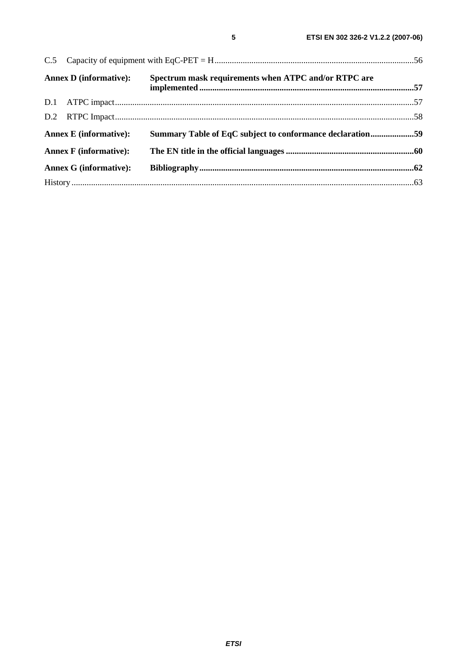| <b>Annex D</b> (informative): | Spectrum mask requirements when ATPC and/or RTPC are      |  |
|-------------------------------|-----------------------------------------------------------|--|
|                               |                                                           |  |
|                               |                                                           |  |
| <b>Annex E</b> (informative): | Summary Table of EqC subject to conformance declaration59 |  |
| <b>Annex F</b> (informative): |                                                           |  |
| <b>Annex G (informative):</b> |                                                           |  |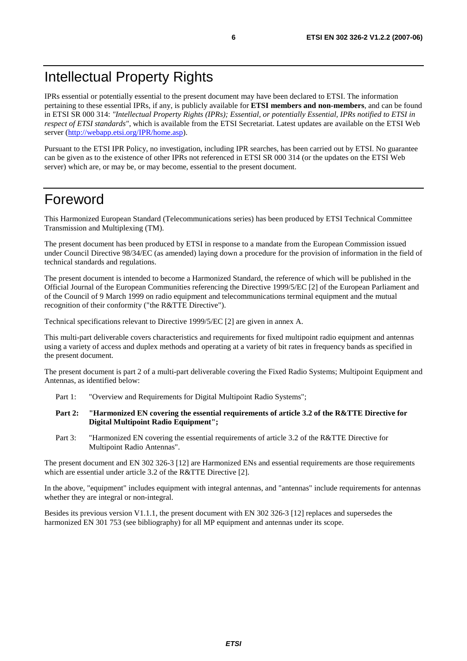## Intellectual Property Rights

IPRs essential or potentially essential to the present document may have been declared to ETSI. The information pertaining to these essential IPRs, if any, is publicly available for **ETSI members and non-members**, and can be found in ETSI SR 000 314: *"Intellectual Property Rights (IPRs); Essential, or potentially Essential, IPRs notified to ETSI in respect of ETSI standards"*, which is available from the ETSI Secretariat. Latest updates are available on the ETSI Web server ([http://webapp.etsi.org/IPR/home.asp\)](http://webapp.etsi.org/IPR/home.asp).

Pursuant to the ETSI IPR Policy, no investigation, including IPR searches, has been carried out by ETSI. No guarantee can be given as to the existence of other IPRs not referenced in ETSI SR 000 314 (or the updates on the ETSI Web server) which are, or may be, or may become, essential to the present document.

## Foreword

This Harmonized European Standard (Telecommunications series) has been produced by ETSI Technical Committee Transmission and Multiplexing (TM).

The present document has been produced by ETSI in response to a mandate from the European Commission issued under Council Directive 98/34/EC (as amended) laying down a procedure for the provision of information in the field of technical standards and regulations.

The present document is intended to become a Harmonized Standard, the reference of which will be published in the Official Journal of the European Communities referencing the Directive 1999/5/EC [2] of the European Parliament and of the Council of 9 March 1999 on radio equipment and telecommunications terminal equipment and the mutual recognition of their conformity ("the R&TTE Directive").

Technical specifications relevant to Directive 1999/5/EC [2] are given in annex A.

This multi-part deliverable covers characteristics and requirements for fixed multipoint radio equipment and antennas using a variety of access and duplex methods and operating at a variety of bit rates in frequency bands as specified in the present document.

The present document is part 2 of a multi-part deliverable covering the Fixed Radio Systems; Multipoint Equipment and Antennas, as identified below:

- Part 1: "Overview and Requirements for Digital Multipoint Radio Systems":
- **Part 2: "Harmonized EN covering the essential requirements of article 3.2 of the R&TTE Directive for Digital Multipoint Radio Equipment";**
- Part 3: "Harmonized EN covering the essential requirements of article 3.2 of the R&TTE Directive for Multipoint Radio Antennas".

The present document and EN 302 326-3 [12] are Harmonized ENs and essential requirements are those requirements which are essential under article 3.2 of the R&TTE Directive [2].

In the above, "equipment" includes equipment with integral antennas, and "antennas" include requirements for antennas whether they are integral or non-integral.

Besides its previous version V1.1.1, the present document with EN 302 326-3 [12] replaces and supersedes the harmonized EN 301 753 (see bibliography) for all MP equipment and antennas under its scope.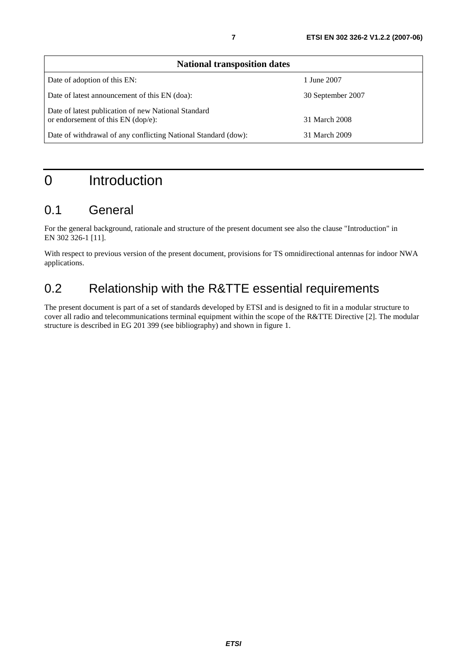| <b>National transposition dates</b>                                                       |                   |  |
|-------------------------------------------------------------------------------------------|-------------------|--|
| Date of adoption of this EN:                                                              | 1 June 2007       |  |
| Date of latest announcement of this EN (doa):                                             | 30 September 2007 |  |
| Date of latest publication of new National Standard<br>or endorsement of this EN (dop/e): | 31 March 2008     |  |
| Date of withdrawal of any conflicting National Standard (dow):                            | 31 March 2009     |  |

## 0 Introduction

## 0.1 General

For the general background, rationale and structure of the present document see also the clause "Introduction" in EN 302 326-1 [11].

With respect to previous version of the present document, provisions for TS omnidirectional antennas for indoor NWA applications.

## 0.2 Relationship with the R&TTE essential requirements

The present document is part of a set of standards developed by ETSI and is designed to fit in a modular structure to cover all radio and telecommunications terminal equipment within the scope of the R&TTE Directive [2]. The modular structure is described in EG 201 399 (see bibliography) and shown in figure 1.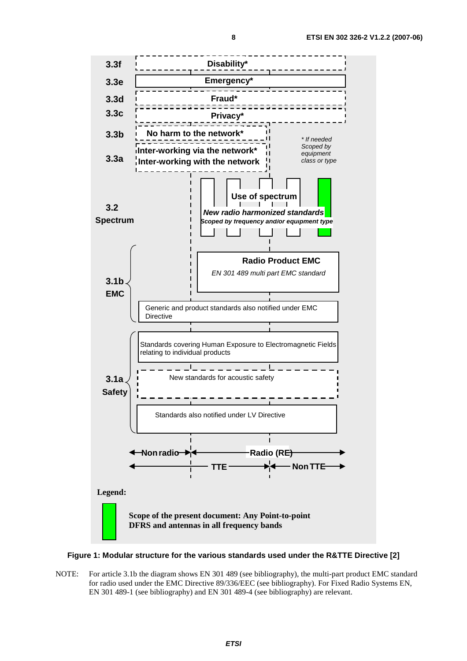**3.3f Disability\* 3.3e Emergency\* 3.3d Fraud\*** Ξ **3.3c Privacy** ־ד־ **3.3b** harm to the network\* \* If needed -----------Scoped by **Inter-working via the network\*** Ĥ equipment **3.3a Inter-working with the network** class or type **Use of spectrum**  $\mathbf{I}$  $\mathbf{I}$ **I 3.2 New radio harmonized standards Spectrum**  $\blacksquare$ **Scoped by frequency and/or equipment type Radio Product EMC** EN 301 489 multi part EMC standard **3.1b EMC** Generic and product standards also notified under EMC **Directive** Standards covering Human Exposure to Electromagnetic Fields relating to individual products \_ \_!\_ \_ \_ \_ \_ \_ \_ \_ \_ New standards for acoustic safety **3.1a Safety** -----Standards also notified under LV Directive  $\mathbf{L}$ **Nonradio Radio (RE) TTE NonTTE Legend: Scope of the present document: Any Point-to-point DFRS and antennas in all frequency bands** 

#### **Figure 1: Modular structure for the various standards used under the R&TTE Directive [2]**

NOTE: For article 3.1b the diagram shows EN 301 489 (see bibliography), the multi-part product EMC standard for radio used under the EMC Directive 89/336/EEC (see bibliography). For Fixed Radio Systems EN, EN 301 489-1 (see bibliography) and EN 301 489-4 (see bibliography) are relevant.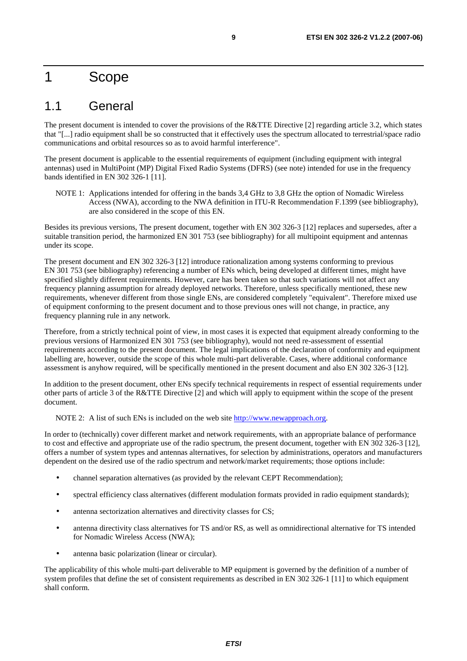## 1 Scope

## 1.1 General

The present document is intended to cover the provisions of the R&TTE Directive [2] regarding article 3.2, which states that "[...] radio equipment shall be so constructed that it effectively uses the spectrum allocated to terrestrial/space radio communications and orbital resources so as to avoid harmful interference".

The present document is applicable to the essential requirements of equipment (including equipment with integral antennas) used in MultiPoint (MP) Digital Fixed Radio Systems (DFRS) (see note) intended for use in the frequency bands identified in EN 302 326-1 [11].

NOTE 1: Applications intended for offering in the bands 3,4 GHz to 3,8 GHz the option of Nomadic Wireless Access (NWA), according to the NWA definition in ITU-R Recommendation F.1399 (see bibliography), are also considered in the scope of this EN.

Besides its previous versions, The present document, together with EN 302 326-3 [12] replaces and supersedes, after a suitable transition period, the harmonized EN 301 753 (see bibliography) for all multipoint equipment and antennas under its scope.

The present document and EN 302 326-3 [12] introduce rationalization among systems conforming to previous EN 301 753 (see bibliography) referencing a number of ENs which, being developed at different times, might have specified slightly different requirements. However, care has been taken so that such variations will not affect any frequency planning assumption for already deployed networks. Therefore, unless specifically mentioned, these new requirements, whenever different from those single ENs, are considered completely "equivalent". Therefore mixed use of equipment conforming to the present document and to those previous ones will not change, in practice, any frequency planning rule in any network.

Therefore, from a strictly technical point of view, in most cases it is expected that equipment already conforming to the previous versions of Harmonized EN 301 753 (see bibliography), would not need re-assessment of essential requirements according to the present document. The legal implications of the declaration of conformity and equipment labelling are, however, outside the scope of this whole multi-part deliverable. Cases, where additional conformance assessment is anyhow required, will be specifically mentioned in the present document and also EN 302 326-3 [12].

In addition to the present document, other ENs specify technical requirements in respect of essential requirements under other parts of article 3 of the R&TTE Directive [2] and which will apply to equipment within the scope of the present document.

NOTE 2: A list of such ENs is included on the web site [http://www.newapproach.org.](http://www.newapproach.org/)

In order to (technically) cover different market and network requirements, with an appropriate balance of performance to cost and effective and appropriate use of the radio spectrum, the present document, together with EN 302 326-3 [12], offers a number of system types and antennas alternatives, for selection by administrations, operators and manufacturers dependent on the desired use of the radio spectrum and network/market requirements; those options include:

- channel separation alternatives (as provided by the relevant CEPT Recommendation);
- spectral efficiency class alternatives (different modulation formats provided in radio equipment standards);
- antenna sectorization alternatives and directivity classes for CS;
- antenna directivity class alternatives for TS and/or RS, as well as omnidirectional alternative for TS intended for Nomadic Wireless Access (NWA);
- antenna basic polarization (linear or circular).

The applicability of this whole multi-part deliverable to MP equipment is governed by the definition of a number of system profiles that define the set of consistent requirements as described in EN 302 326-1 [11] to which equipment shall conform.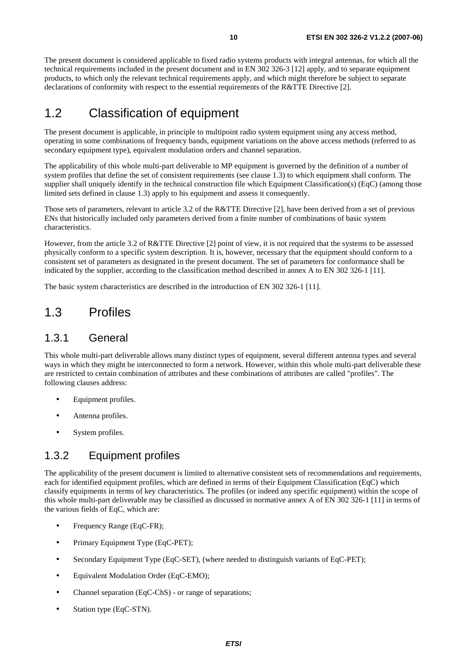The present document is considered applicable to fixed radio systems products with integral antennas, for which all the technical requirements included in the present document and in EN 302 326-3 [12] apply, and to separate equipment products, to which only the relevant technical requirements apply, and which might therefore be subject to separate declarations of conformity with respect to the essential requirements of the R&TTE Directive [2].

## 1.2 Classification of equipment

The present document is applicable, in principle to multipoint radio system equipment using any access method, operating in some combinations of frequency bands, equipment variations on the above access methods (referred to as secondary equipment type), equivalent modulation orders and channel separation.

The applicability of this whole multi-part deliverable to MP equipment is governed by the definition of a number of system profiles that define the set of consistent requirements (see clause 1.3) to which equipment shall conform. The supplier shall uniquely identify in the technical construction file which Equipment Classification(s) (EqC) (among those limited sets defined in clause 1.3) apply to his equipment and assess it consequently.

Those sets of parameters, relevant to article 3.2 of the R&TTE Directive [2], have been derived from a set of previous ENs that historically included only parameters derived from a finite number of combinations of basic system characteristics.

However, from the article 3.2 of R&TTE Directive [2] point of view, it is not required that the systems to be assessed physically conform to a specific system description. It is, however, necessary that the equipment should conform to a consistent set of parameters as designated in the present document. The set of parameters for conformance shall be indicated by the supplier, according to the classification method described in annex A to EN 302 326-1 [11].

The basic system characteristics are described in the introduction of EN 302 326-1 [11].

## 1.3 Profiles

#### 1.3.1 General

This whole multi-part deliverable allows many distinct types of equipment, several different antenna types and several ways in which they might be interconnected to form a network. However, within this whole multi-part deliverable these are restricted to certain combination of attributes and these combinations of attributes are called "profiles". The following clauses address:

- Equipment profiles.
- Antenna profiles.
- System profiles.

### 1.3.2 Equipment profiles

The applicability of the present document is limited to alternative consistent sets of recommendations and requirements, each for identified equipment profiles, which are defined in terms of their Equipment Classification (EqC) which classify equipments in terms of key characteristics. The profiles (or indeed any specific equipment) within the scope of this whole multi-part deliverable may be classified as discussed in normative annex A of EN 302 326-1 [11] in terms of the various fields of EqC, which are:

- Frequency Range (EqC-FR);
- Primary Equipment Type (EqC-PET);
- Secondary Equipment Type (EqC-SET), (where needed to distinguish variants of EqC-PET);
- Equivalent Modulation Order (EqC-EMO);
- Channel separation (EqC-ChS) or range of separations;
- Station type (EqC-STN).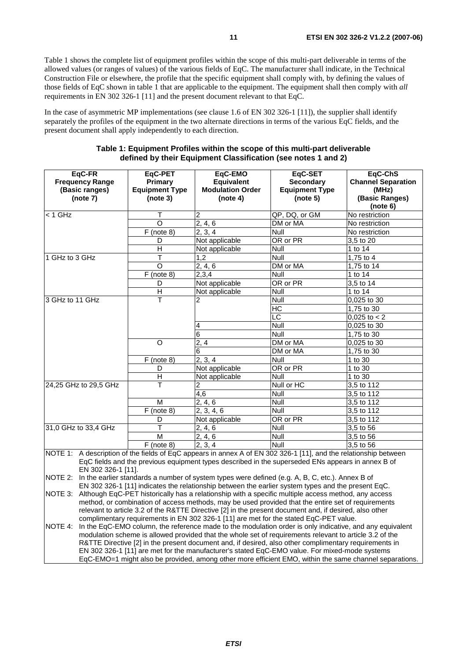Table 1 shows the complete list of equipment profiles within the scope of this multi-part deliverable in terms of the allowed values (or ranges of values) of the various fields of EqC. The manufacturer shall indicate, in the Technical Construction File or elsewhere, the profile that the specific equipment shall comply with, by defining the values of those fields of EqC shown in table 1 that are applicable to the equipment. The equipment shall then comply with *all* requirements in EN 302 326-1 [11] and the present document relevant to that EqC.

In the case of asymmetric MP implementations (see clause 1.6 of EN 302 326-1 [11]), the supplier shall identify separately the profiles of the equipment in the two alternate directions in terms of the various EqC fields, and the present document shall apply independently to each direction.

| EqC-FR<br><b>Frequency Range</b><br>(Basic ranges)<br>(note 7)                                                                                    | EqC-PET<br>Primary<br><b>Equipment Type</b><br>(note 3) | EqC-EMO<br><b>Equivalent</b><br><b>Modulation Order</b><br>(note 4) | EqC-SET<br><b>Secondary</b><br><b>Equipment Type</b><br>(note 5)                                                                                                                                                                                                                                                                                                                                                                                                                                                                                                                                                                                                                                                                          | EqC-ChS<br><b>Channel Separation</b><br>(MHz)<br>(Basic Ranges)<br>(note 6) |
|---------------------------------------------------------------------------------------------------------------------------------------------------|---------------------------------------------------------|---------------------------------------------------------------------|-------------------------------------------------------------------------------------------------------------------------------------------------------------------------------------------------------------------------------------------------------------------------------------------------------------------------------------------------------------------------------------------------------------------------------------------------------------------------------------------------------------------------------------------------------------------------------------------------------------------------------------------------------------------------------------------------------------------------------------------|-----------------------------------------------------------------------------|
| $<$ 1 GHz                                                                                                                                         | т                                                       | 2                                                                   | QP, DQ, or GM                                                                                                                                                                                                                                                                                                                                                                                                                                                                                                                                                                                                                                                                                                                             | No restriction                                                              |
|                                                                                                                                                   | O                                                       | 2, 4, 6                                                             | DM or MA                                                                                                                                                                                                                                                                                                                                                                                                                                                                                                                                                                                                                                                                                                                                  | No restriction                                                              |
|                                                                                                                                                   | $F$ (note 8)                                            | 2, 3, 4                                                             | Null                                                                                                                                                                                                                                                                                                                                                                                                                                                                                                                                                                                                                                                                                                                                      | No restriction                                                              |
|                                                                                                                                                   | D                                                       | Not applicable                                                      | OR or PR                                                                                                                                                                                                                                                                                                                                                                                                                                                                                                                                                                                                                                                                                                                                  | 3,5 to 20                                                                   |
|                                                                                                                                                   | н                                                       | Not applicable                                                      | Null                                                                                                                                                                                                                                                                                                                                                                                                                                                                                                                                                                                                                                                                                                                                      | 1 to 14                                                                     |
| 1 GHz to 3 GHz                                                                                                                                    | Т                                                       | 1.2                                                                 | Null                                                                                                                                                                                                                                                                                                                                                                                                                                                                                                                                                                                                                                                                                                                                      | 1.75 to 4                                                                   |
|                                                                                                                                                   | O                                                       | 2, 4, 6                                                             | DM or MA                                                                                                                                                                                                                                                                                                                                                                                                                                                                                                                                                                                                                                                                                                                                  | 1,75 to 14                                                                  |
|                                                                                                                                                   | $F$ (note 8)                                            | 2,3,4                                                               | Null                                                                                                                                                                                                                                                                                                                                                                                                                                                                                                                                                                                                                                                                                                                                      | 1 to 14                                                                     |
|                                                                                                                                                   | D                                                       | Not applicable                                                      | OR or PR                                                                                                                                                                                                                                                                                                                                                                                                                                                                                                                                                                                                                                                                                                                                  | $3,5$ to 14                                                                 |
|                                                                                                                                                   | $\overline{H}$                                          | Not applicable                                                      | Null                                                                                                                                                                                                                                                                                                                                                                                                                                                                                                                                                                                                                                                                                                                                      | 1 to 14                                                                     |
| 3 GHz to 11 GHz                                                                                                                                   | T                                                       | 2                                                                   | Null                                                                                                                                                                                                                                                                                                                                                                                                                                                                                                                                                                                                                                                                                                                                      | 0,025 to 30                                                                 |
|                                                                                                                                                   |                                                         |                                                                     | H <sub>C</sub>                                                                                                                                                                                                                                                                                                                                                                                                                                                                                                                                                                                                                                                                                                                            | 1,75 to 30                                                                  |
|                                                                                                                                                   |                                                         |                                                                     | LC                                                                                                                                                                                                                                                                                                                                                                                                                                                                                                                                                                                                                                                                                                                                        | 0,025 to $\sqrt{2}$                                                         |
|                                                                                                                                                   |                                                         | 4                                                                   | Null                                                                                                                                                                                                                                                                                                                                                                                                                                                                                                                                                                                                                                                                                                                                      | 0,025 to 30                                                                 |
|                                                                                                                                                   |                                                         | 6                                                                   | Null                                                                                                                                                                                                                                                                                                                                                                                                                                                                                                                                                                                                                                                                                                                                      | 1,75 to 30                                                                  |
|                                                                                                                                                   | $\overline{O}$                                          | $\overline{2,4}$                                                    | DM or MA                                                                                                                                                                                                                                                                                                                                                                                                                                                                                                                                                                                                                                                                                                                                  | 0,025 to 30                                                                 |
|                                                                                                                                                   |                                                         | 6                                                                   | DM or MA                                                                                                                                                                                                                                                                                                                                                                                                                                                                                                                                                                                                                                                                                                                                  | 1,75 to 30                                                                  |
|                                                                                                                                                   | $F$ (note 8)                                            | 2, 3, 4                                                             | Null                                                                                                                                                                                                                                                                                                                                                                                                                                                                                                                                                                                                                                                                                                                                      | 1 to 30                                                                     |
|                                                                                                                                                   | D                                                       | Not applicable                                                      | OR or PR                                                                                                                                                                                                                                                                                                                                                                                                                                                                                                                                                                                                                                                                                                                                  | 1 to 30                                                                     |
|                                                                                                                                                   | $\overline{\mathsf{H}}$                                 | Not applicable                                                      | Null                                                                                                                                                                                                                                                                                                                                                                                                                                                                                                                                                                                                                                                                                                                                      | 1 to $30$                                                                   |
| 24,25 GHz to 29,5 GHz                                                                                                                             | T                                                       | $\overline{c}$                                                      | Null or HC                                                                                                                                                                                                                                                                                                                                                                                                                                                                                                                                                                                                                                                                                                                                | 3,5 to 112                                                                  |
|                                                                                                                                                   |                                                         | 4,6                                                                 | Null                                                                                                                                                                                                                                                                                                                                                                                                                                                                                                                                                                                                                                                                                                                                      | 3,5 to 112                                                                  |
|                                                                                                                                                   | М                                                       | 2, 4, 6                                                             | Null                                                                                                                                                                                                                                                                                                                                                                                                                                                                                                                                                                                                                                                                                                                                      | 3.5 to 112                                                                  |
|                                                                                                                                                   | $F$ (note 8)                                            | 2, 3, 4, 6                                                          | Null                                                                                                                                                                                                                                                                                                                                                                                                                                                                                                                                                                                                                                                                                                                                      | 3,5 to 112                                                                  |
|                                                                                                                                                   | D                                                       | Not applicable                                                      | OR or PR                                                                                                                                                                                                                                                                                                                                                                                                                                                                                                                                                                                                                                                                                                                                  | 3,5 to 112                                                                  |
| 31,0 GHz to 33,4 GHz                                                                                                                              | т                                                       | 2, 4, 6                                                             | Null                                                                                                                                                                                                                                                                                                                                                                                                                                                                                                                                                                                                                                                                                                                                      | 3,5 to 56                                                                   |
|                                                                                                                                                   | M                                                       | 2, 4, 6                                                             | Null                                                                                                                                                                                                                                                                                                                                                                                                                                                                                                                                                                                                                                                                                                                                      | 3,5 to 56                                                                   |
|                                                                                                                                                   | $F$ (note 8)                                            | 2, 3, 4                                                             | Null                                                                                                                                                                                                                                                                                                                                                                                                                                                                                                                                                                                                                                                                                                                                      | $\overline{3,5}$ to 56                                                      |
| NOTE 1: A description of the fields of EqC appears in annex A of EN 302 326-1 [11], and the relationship between<br>EN 302 326-1 [11].<br>NOTE 2: |                                                         |                                                                     | EqC fields and the previous equipment types described in the superseded ENs appears in annex B of<br>In the earlier standards a number of system types were defined (e.g. A, B, C, etc.). Annex B of                                                                                                                                                                                                                                                                                                                                                                                                                                                                                                                                      |                                                                             |
| NOTE 3:<br>NOTE 4:                                                                                                                                |                                                         |                                                                     | EN 302 326-1 [11] indicates the relationship between the earlier system types and the present EqC.<br>Although EqC-PET historically has a relationship with a specific multiple access method, any access<br>method, or combination of access methods, may be used provided that the entire set of requirements<br>relevant to article 3.2 of the R&TTE Directive [2] in the present document and, if desired, also other<br>complimentary requirements in EN 302 326-1 [11] are met for the stated EqC-PET value.<br>In the EqC-EMO column, the reference made to the modulation order is only indicative, and any equivalent<br>modulation scheme is allowed provided that the whole set of requirements relevant to article 3.2 of the |                                                                             |
|                                                                                                                                                   |                                                         |                                                                     | R&TTE Directive [2] in the present document and, if desired, also other complimentary requirements in<br>EN 302 326-1 [11] are met for the manufacturer's stated EgC-EMO value. For mixed-mode systems                                                                                                                                                                                                                                                                                                                                                                                                                                                                                                                                    |                                                                             |

#### **Table 1: Equipment Profiles within the scope of this multi-part deliverable defined by their Equipment Classification (see notes 1 and 2)**

EN 302 326-1 [11] are met for the manufacturer's stated EqC-EMO value. For mixed-mode systems EqC-EMO=1 might also be provided, among other more efficient EMO, within the same channel separations.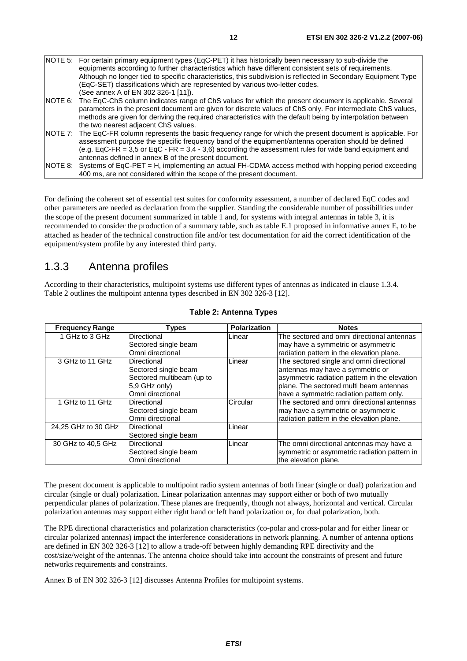- (See annex A of EN 302 326-1 [11]). NOTE 6: The EqC-ChS column indicates range of ChS values for which the present document is applicable. Several parameters in the present document are given for discrete values of ChS only. For intermediate ChS values, methods are given for deriving the required characteristics with the default being by interpolation between the two nearest adjacent ChS values.
- NOTE 7: The EqC-FR column represents the basic frequency range for which the present document is applicable. For assessment purpose the specific frequency band of the equipment/antenna operation should be defined (e.g. EqC-FR = 3,5 or EqC - FR = 3,4 - 3,6) according the assessment rules for wide band equipment and antennas defined in annex B of the present document.
- NOTE 8: Systems of EqC-PET = H, implementing an actual FH-CDMA access method with hopping period exceeding 400 ms, are not considered within the scope of the present document.

For defining the coherent set of essential test suites for conformity assessment, a number of declared EqC codes and other parameters are needed as declaration from the supplier. Standing the considerable number of possibilities under the scope of the present document summarized in table 1 and, for systems with integral antennas in table 3, it is recommended to consider the production of a summary table, such as table E.1 proposed in informative annex E, to be attached as header of the technical construction file and/or test documentation for aid the correct identification of the equipment/system profile by any interested third party.

### 1.3.3 Antenna profiles

According to their characteristics, multipoint systems use different types of antennas as indicated in clause 1.3.4. Table 2 outlines the multipoint antenna types described in EN 302 326-3 [12].

| <b>Frequency Range</b> | Types                     | <b>Polarization</b> | <b>Notes</b>                                  |
|------------------------|---------------------------|---------------------|-----------------------------------------------|
| 1 GHz to 3 GHz         | Directional               | Linear              | The sectored and omni directional antennas    |
|                        | Sectored single beam      |                     | may have a symmetric or asymmetric            |
|                        | Omni directional          |                     | radiation pattern in the elevation plane.     |
| 3 GHz to 11 GHz        | Directional               | Linear              | The sectored single and omni directional      |
|                        | Sectored single beam      |                     | antennas may have a symmetric or              |
|                        | Sectored multibeam (up to |                     | asymmetric radiation pattern in the elevation |
|                        | 5.9 GHz only)             |                     | plane. The sectored multi beam antennas       |
|                        | Omni directional          |                     | have a symmetric radiation pattern only.      |
| 1 GHz to 11 GHz        | Directional               | Circular            | The sectored and omni directional antennas    |
|                        | Sectored single beam      |                     | may have a symmetric or asymmetric            |
|                        | Omni directional          |                     | radiation pattern in the elevation plane.     |
| 24,25 GHz to 30 GHz    | <b>Directional</b>        | Linear              |                                               |
|                        | Sectored single beam      |                     |                                               |
| 30 GHz to 40,5 GHz     | Directional               | Linear              | The omni directional antennas may have a      |
|                        | Sectored single beam      |                     | symmetric or asymmetric radiation pattern in  |
|                        | Omni directional          |                     | the elevation plane.                          |

#### **Table 2: Antenna Types**

The present document is applicable to multipoint radio system antennas of both linear (single or dual) polarization and circular (single or dual) polarization. Linear polarization antennas may support either or both of two mutually perpendicular planes of polarization. These planes are frequently, though not always, horizontal and vertical. Circular polarization antennas may support either right hand or left hand polarization or, for dual polarization, both.

The RPE directional characteristics and polarization characteristics (co-polar and cross-polar and for either linear or circular polarized antennas) impact the interference considerations in network planning. A number of antenna options are defined in EN 302 326-3 [12] to allow a trade-off between highly demanding RPE directivity and the cost/size/weight of the antennas. The antenna choice should take into account the constraints of present and future networks requirements and constraints.

Annex B of EN 302 326-3 [12] discusses Antenna Profiles for multipoint systems.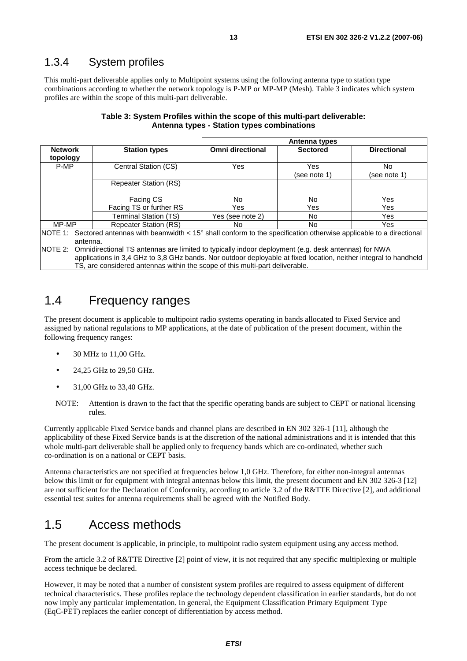### 1.3.4 System profiles

This multi-part deliverable applies only to Multipoint systems using the following antenna type to station type combinations according to whether the network topology is P-MP or MP-MP (Mesh). Table 3 indicates which system profiles are within the scope of this multi-part deliverable.

| Table 3: System Profiles within the scope of this multi-part deliverable: |
|---------------------------------------------------------------------------|
| Antenna types - Station types combinations                                |

|                                                                                                                                                                                                                                 |                              |                         | <b>Antenna types</b> |                     |
|---------------------------------------------------------------------------------------------------------------------------------------------------------------------------------------------------------------------------------|------------------------------|-------------------------|----------------------|---------------------|
| <b>Network</b><br>topology                                                                                                                                                                                                      | <b>Station types</b>         | <b>Omni directional</b> | <b>Sectored</b>      | <b>Directional</b>  |
| P-MP                                                                                                                                                                                                                            | Central Station (CS)         | Yes                     | Yes<br>(see note 1)  | No.<br>(see note 1) |
|                                                                                                                                                                                                                                 | <b>Repeater Station (RS)</b> |                         |                      |                     |
|                                                                                                                                                                                                                                 | <b>Facing CS</b>             | No.                     | No.                  | Yes                 |
|                                                                                                                                                                                                                                 | Facing TS or further RS      | Yes                     | Yes                  | Yes                 |
|                                                                                                                                                                                                                                 | <b>Terminal Station (TS)</b> | Yes (see note 2)        | No.                  | Yes                 |
| MP-MP                                                                                                                                                                                                                           | <b>Repeater Station (RS)</b> | No.                     | No.                  | Yes                 |
| NOTE 1:<br>Sectored antennas with beamwidth < 15° shall conform to the specification otherwise applicable to a directional                                                                                                      |                              |                         |                      |                     |
| antenna.                                                                                                                                                                                                                        |                              |                         |                      |                     |
| NOTE 2: Omnidirectional TS antennas are limited to typically indoor deployment (e.g. desk antennas) for NWA<br>applications in 3,4 GHz to 3,8 GHz bands. Nor outdoor deployable at fixed location, neither integral to handheld |                              |                         |                      |                     |

TS, are considered antennas within the scope of this multi-part deliverable.

## 1.4 Frequency ranges

The present document is applicable to multipoint radio systems operating in bands allocated to Fixed Service and assigned by national regulations to MP applications, at the date of publication of the present document, within the following frequency ranges:

- 30 MHz to 11,00 GHz.
- 24,25 GHz to 29,50 GHz.
- 31,00 GHz to 33,40 GHz.

NOTE: Attention is drawn to the fact that the specific operating bands are subject to CEPT or national licensing rules.

Currently applicable Fixed Service bands and channel plans are described in EN 302 326-1 [11], although the applicability of these Fixed Service bands is at the discretion of the national administrations and it is intended that this whole multi-part deliverable shall be applied only to frequency bands which are co-ordinated, whether such co-ordination is on a national or CEPT basis.

Antenna characteristics are not specified at frequencies below 1,0 GHz. Therefore, for either non-integral antennas below this limit or for equipment with integral antennas below this limit, the present document and EN 302 326-3 [12] are not sufficient for the Declaration of Conformity, according to article 3.2 of the R&TTE Directive [2], and additional essential test suites for antenna requirements shall be agreed with the Notified Body.

## 1.5 Access methods

The present document is applicable, in principle, to multipoint radio system equipment using any access method.

From the article 3.2 of R&TTE Directive [2] point of view, it is not required that any specific multiplexing or multiple access technique be declared.

However, it may be noted that a number of consistent system profiles are required to assess equipment of different technical characteristics. These profiles replace the technology dependent classification in earlier standards, but do not now imply any particular implementation. In general, the Equipment Classification Primary Equipment Type (EqC-PET) replaces the earlier concept of differentiation by access method.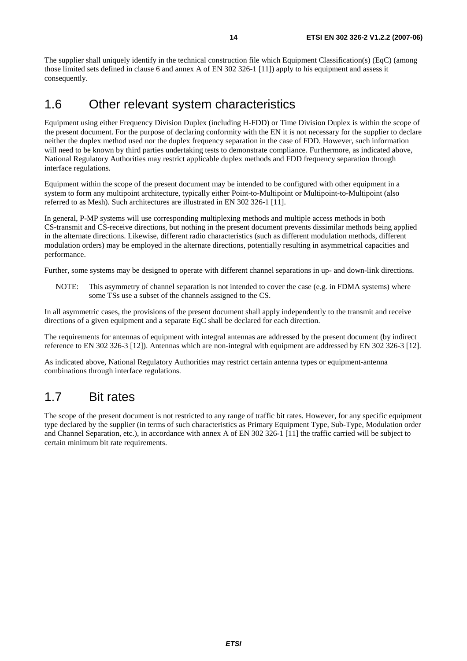The supplier shall uniquely identify in the technical construction file which Equipment Classification(s) (EqC) (among those limited sets defined in clause 6 and annex A of EN 302 326-1 [11]) apply to his equipment and assess it consequently.

## 1.6 Other relevant system characteristics

Equipment using either Frequency Division Duplex (including H-FDD) or Time Division Duplex is within the scope of the present document. For the purpose of declaring conformity with the EN it is not necessary for the supplier to declare neither the duplex method used nor the duplex frequency separation in the case of FDD. However, such information will need to be known by third parties undertaking tests to demonstrate compliance. Furthermore, as indicated above, National Regulatory Authorities may restrict applicable duplex methods and FDD frequency separation through interface regulations.

Equipment within the scope of the present document may be intended to be configured with other equipment in a system to form any multipoint architecture, typically either Point-to-Multipoint or Multipoint-to-Multipoint (also referred to as Mesh). Such architectures are illustrated in EN 302 326-1 [11].

In general, P-MP systems will use corresponding multiplexing methods and multiple access methods in both CS-transmit and CS-receive directions, but nothing in the present document prevents dissimilar methods being applied in the alternate directions. Likewise, different radio characteristics (such as different modulation methods, different modulation orders) may be employed in the alternate directions, potentially resulting in asymmetrical capacities and performance.

Further, some systems may be designed to operate with different channel separations in up- and down-link directions.

NOTE: This asymmetry of channel separation is not intended to cover the case (e.g. in FDMA systems) where some TSs use a subset of the channels assigned to the CS.

In all asymmetric cases, the provisions of the present document shall apply independently to the transmit and receive directions of a given equipment and a separate EqC shall be declared for each direction.

The requirements for antennas of equipment with integral antennas are addressed by the present document (by indirect reference to EN 302 326-3 [12]). Antennas which are non-integral with equipment are addressed by EN 302 326-3 [12].

As indicated above, National Regulatory Authorities may restrict certain antenna types or equipment-antenna combinations through interface regulations.

## 1.7 Bit rates

The scope of the present document is not restricted to any range of traffic bit rates. However, for any specific equipment type declared by the supplier (in terms of such characteristics as Primary Equipment Type, Sub-Type, Modulation order and Channel Separation, etc.), in accordance with annex A of EN 302 326-1 [11] the traffic carried will be subject to certain minimum bit rate requirements.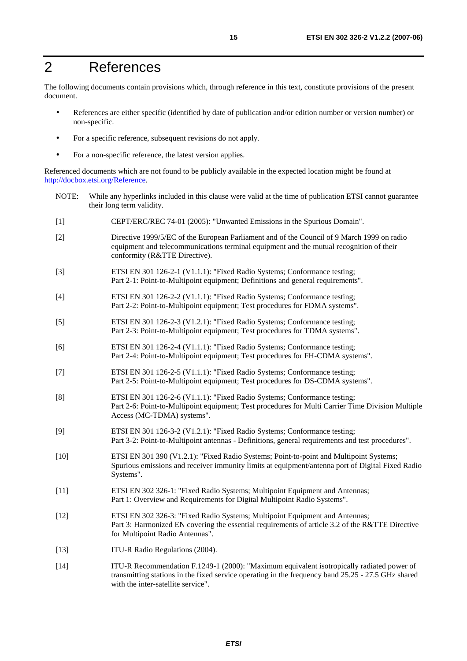## 2 References

The following documents contain provisions which, through reference in this text, constitute provisions of the present document.

- References are either specific (identified by date of publication and/or edition number or version number) or non-specific.
- For a specific reference, subsequent revisions do not apply.
- For a non-specific reference, the latest version applies.

Referenced documents which are not found to be publicly available in the expected location might be found at <http://docbox.etsi.org/Reference>.

- NOTE: While any hyperlinks included in this clause were valid at the time of publication ETSI cannot guarantee their long term validity.
- [1] CEPT/ERC/REC 74-01 (2005): "Unwanted Emissions in the Spurious Domain".
- [2] Directive 1999/5/EC of the European Parliament and of the Council of 9 March 1999 on radio equipment and telecommunications terminal equipment and the mutual recognition of their conformity (R&TTE Directive).
- [3] ETSI EN 301 126-2-1 (V1.1.1): "Fixed Radio Systems; Conformance testing; Part 2-1: Point-to-Multipoint equipment; Definitions and general requirements".
- [4] ETSI EN 301 126-2-2 (V1.1.1): "Fixed Radio Systems; Conformance testing; Part 2-2: Point-to-Multipoint equipment; Test procedures for FDMA systems".
- [5] ETSI EN 301 126-2-3 (V1.2.1): "Fixed Radio Systems; Conformance testing; Part 2-3: Point-to-Multipoint equipment; Test procedures for TDMA systems".
- [6] ETSI EN 301 126-2-4 (V1.1.1): "Fixed Radio Systems; Conformance testing; Part 2-4: Point-to-Multipoint equipment; Test procedures for FH-CDMA systems".
- [7] ETSI EN 301 126-2-5 (V1.1.1): "Fixed Radio Systems; Conformance testing; Part 2-5: Point-to-Multipoint equipment; Test procedures for DS-CDMA systems".
- [8] ETSI EN 301 126-2-6 (V1.1.1): "Fixed Radio Systems; Conformance testing; Part 2-6: Point-to-Multipoint equipment; Test procedures for Multi Carrier Time Division Multiple Access (MC-TDMA) systems".
- [9] ETSI EN 301 126-3-2 (V1.2.1): "Fixed Radio Systems; Conformance testing; Part 3-2: Point-to-Multipoint antennas - Definitions, general requirements and test procedures".
- [10] ETSI EN 301 390 (V1.2.1): "Fixed Radio Systems; Point-to-point and Multipoint Systems; Spurious emissions and receiver immunity limits at equipment/antenna port of Digital Fixed Radio Systems".
- [11] ETSI EN 302 326-1: "Fixed Radio Systems; Multipoint Equipment and Antennas; Part 1: Overview and Requirements for Digital Multipoint Radio Systems".
- [12] ETSI EN 302 326-3: "Fixed Radio Systems; Multipoint Equipment and Antennas; Part 3: Harmonized EN covering the essential requirements of article 3.2 of the R&TTE Directive for Multipoint Radio Antennas".
- [13] **ITU-R Radio Regulations (2004).**
- [14] ITU-R Recommendation F.1249-1 (2000): "Maximum equivalent isotropically radiated power of transmitting stations in the fixed service operating in the frequency band 25.25 - 27.5 GHz shared with the inter-satellite service".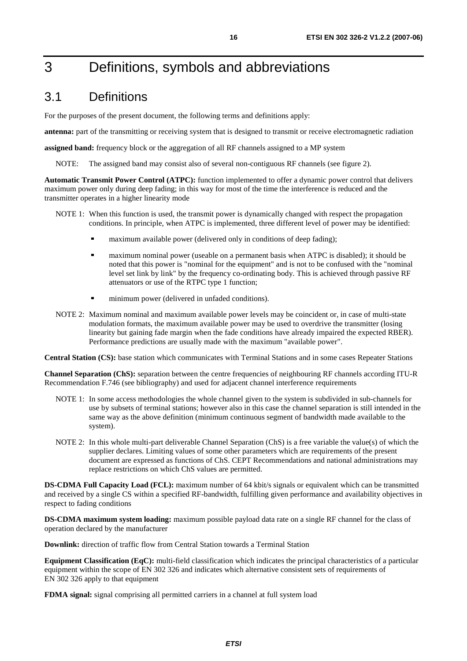## 3 Definitions, symbols and abbreviations

## 3.1 Definitions

For the purposes of the present document, the following terms and definitions apply:

**antenna:** part of the transmitting or receiving system that is designed to transmit or receive electromagnetic radiation

**assigned band:** frequency block or the aggregation of all RF channels assigned to a MP system

NOTE: The assigned band may consist also of several non-contiguous RF channels (see figure 2).

**Automatic Transmit Power Control (ATPC):** function implemented to offer a dynamic power control that delivers maximum power only during deep fading; in this way for most of the time the interference is reduced and the transmitter operates in a higher linearity mode

- NOTE 1: When this function is used, the transmit power is dynamically changed with respect the propagation conditions. In principle, when ATPC is implemented, three different level of power may be identified:
	-
	- maximum available power (delivered only in conditions of deep fading);<br>maximum nominal power (useable on a permanent basis when ATPC is disabled); it should be maximum nominal power (useable on a permanent basis when ATPC is disabled); it should be noted that this power is "nominal for the equipment" and is not to be confused with the "nominal level set link by link" by the frequency co-ordinating body. This is achieved through passive RF attenuators or use of the RTPC type 1 function;
	- minimum power (delivered in unfaded conditions).
- NOTE 2: Maximum nominal and maximum available power levels may be coincident or, in case of multi-state modulation formats, the maximum available power may be used to overdrive the transmitter (losing linearity but gaining fade margin when the fade conditions have already impaired the expected RBER). Performance predictions are usually made with the maximum "available power".

**Central Station (CS):** base station which communicates with Terminal Stations and in some cases Repeater Stations

**Channel Separation (ChS):** separation between the centre frequencies of neighbouring RF channels according ITU-R Recommendation F.746 (see bibliography) and used for adjacent channel interference requirements

- NOTE 1: In some access methodologies the whole channel given to the system is subdivided in sub-channels for use by subsets of terminal stations; however also in this case the channel separation is still intended in the same way as the above definition (minimum continuous segment of bandwidth made available to the system).
- NOTE 2: In this whole multi-part deliverable Channel Separation (ChS) is a free variable the value(s) of which the supplier declares. Limiting values of some other parameters which are requirements of the present document are expressed as functions of ChS. CEPT Recommendations and national administrations may replace restrictions on which ChS values are permitted.

**DS-CDMA Full Capacity Load (FCL):** maximum number of 64 kbit/s signals or equivalent which can be transmitted and received by a single CS within a specified RF-bandwidth, fulfilling given performance and availability objectives in respect to fading conditions

**DS-CDMA maximum system loading:** maximum possible payload data rate on a single RF channel for the class of operation declared by the manufacturer

**Downlink:** direction of traffic flow from Central Station towards a Terminal Station

**Equipment Classification (EqC):** multi-field classification which indicates the principal characteristics of a particular equipment within the scope of EN 302 326 and indicates which alternative consistent sets of requirements of EN 302 326 apply to that equipment

**FDMA signal:** signal comprising all permitted carriers in a channel at full system load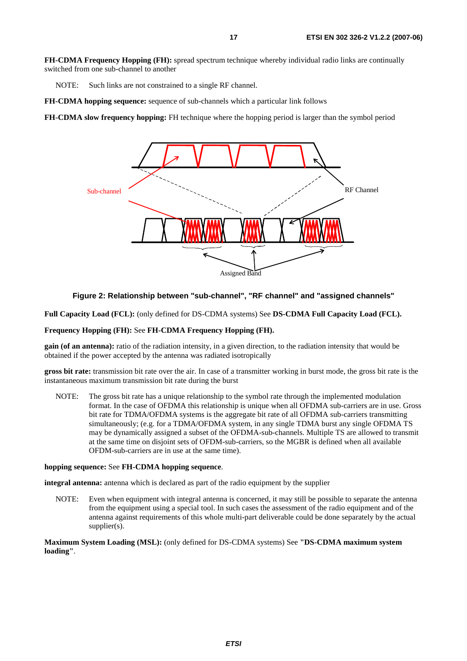**FH-CDMA Frequency Hopping (FH):** spread spectrum technique whereby individual radio links are continually switched from one sub-channel to another

NOTE: Such links are not constrained to a single RF channel.

**FH-CDMA hopping sequence:** sequence of sub-channels which a particular link follows

**FH-CDMA slow frequency hopping:** FH technique where the hopping period is larger than the symbol period



#### **Figure 2: Relationship between "sub-channel", "RF channel" and "assigned channels"**

**Full Capacity Load (FCL):** (only defined for DS-CDMA systems) See **DS-CDMA Full Capacity Load (FCL).**

#### **Frequency Hopping (FH):** See **FH-CDMA Frequency Hopping (FH).**

**gain (of an antenna):** ratio of the radiation intensity, in a given direction, to the radiation intensity that would be obtained if the power accepted by the antenna was radiated isotropically

**gross bit rate:** transmission bit rate over the air. In case of a transmitter working in burst mode, the gross bit rate is the instantaneous maximum transmission bit rate during the burst

NOTE: The gross bit rate has a unique relationship to the symbol rate through the implemented modulation format. In the case of OFDMA this relationship is unique when all OFDMA sub-carriers are in use. Gross bit rate for TDMA/OFDMA systems is the aggregate bit rate of all OFDMA sub-carriers transmitting simultaneously; (e.g. for a TDMA/OFDMA system, in any single TDMA burst any single OFDMA TS may be dynamically assigned a subset of the OFDMA-sub-channels. Multiple TS are allowed to transmit at the same time on disjoint sets of OFDM-sub-carriers, so the MGBR is defined when all available OFDM-sub-carriers are in use at the same time).

#### **hopping sequence:** See **FH-CDMA hopping sequence**.

**integral antenna:** antenna which is declared as part of the radio equipment by the supplier

NOTE: Even when equipment with integral antenna is concerned, it may still be possible to separate the antenna from the equipment using a special tool. In such cases the assessment of the radio equipment and of the antenna against requirements of this whole multi-part deliverable could be done separately by the actual supplier(s).

**Maximum System Loading (MSL):** (only defined for DS-CDMA systems) See **"DS-CDMA maximum system loading"**.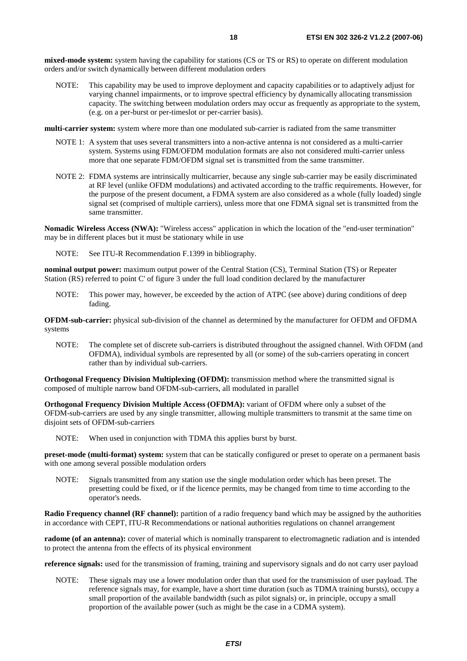**mixed-mode system:** system having the capability for stations (CS or TS or RS) to operate on different modulation orders and/or switch dynamically between different modulation orders

NOTE: This capability may be used to improve deployment and capacity capabilities or to adaptively adjust for varying channel impairments, or to improve spectral efficiency by dynamically allocating transmission capacity. The switching between modulation orders may occur as frequently as appropriate to the system, (e.g. on a per-burst or per-timeslot or per-carrier basis).

**multi-carrier system:** system where more than one modulated sub-carrier is radiated from the same transmitter

- NOTE 1: A system that uses several transmitters into a non-active antenna is not considered as a multi-carrier system. Systems using FDM/OFDM modulation formats are also not considered multi-carrier unless more that one separate FDM/OFDM signal set is transmitted from the same transmitter.
- NOTE 2: FDMA systems are intrinsically multicarrier, because any single sub-carrier may be easily discriminated at RF level (unlike OFDM modulations) and activated according to the traffic requirements. However, for the purpose of the present document, a FDMA system are also considered as a whole (fully loaded) single signal set (comprised of multiple carriers), unless more that one FDMA signal set is transmitted from the same transmitter.

**Nomadic Wireless Access (NWA):** "Wireless access" application in which the location of the "end-user termination" may be in different places but it must be stationary while in use

NOTE: See ITU-R Recommendation F.1399 in bibliography.

**nominal output power:** maximum output power of the Central Station (CS), Terminal Station (TS) or Repeater Station (RS) referred to point C' of figure 3 under the full load condition declared by the manufacturer

NOTE: This power may, however, be exceeded by the action of ATPC (see above) during conditions of deep fading.

**OFDM-sub-carrier:** physical sub-division of the channel as determined by the manufacturer for OFDM and OFDMA systems

NOTE: The complete set of discrete sub-carriers is distributed throughout the assigned channel. With OFDM (and OFDMA), individual symbols are represented by all (or some) of the sub-carriers operating in concert rather than by individual sub-carriers.

**Orthogonal Frequency Division Multiplexing (OFDM):** transmission method where the transmitted signal is composed of multiple narrow band OFDM-sub-carriers, all modulated in parallel

**Orthogonal Frequency Division Multiple Access (OFDMA):** variant of OFDM where only a subset of the OFDM-sub-carriers are used by any single transmitter, allowing multiple transmitters to transmit at the same time on disjoint sets of OFDM-sub-carriers

NOTE: When used in conjunction with TDMA this applies burst by burst.

**preset-mode (multi-format) system:** system that can be statically configured or preset to operate on a permanent basis with one among several possible modulation orders

NOTE: Signals transmitted from any station use the single modulation order which has been preset. The presetting could be fixed, or if the licence permits, may be changed from time to time according to the operator's needs.

**Radio Frequency channel (RF channel):** partition of a radio frequency band which may be assigned by the authorities in accordance with CEPT, ITU-R Recommendations or national authorities regulations on channel arrangement

**radome (of an antenna):** cover of material which is nominally transparent to electromagnetic radiation and is intended to protect the antenna from the effects of its physical environment

**reference signals:** used for the transmission of framing, training and supervisory signals and do not carry user payload

NOTE: These signals may use a lower modulation order than that used for the transmission of user payload. The reference signals may, for example, have a short time duration (such as TDMA training bursts), occupy a small proportion of the available bandwidth (such as pilot signals) or, in principle, occupy a small proportion of the available power (such as might be the case in a CDMA system).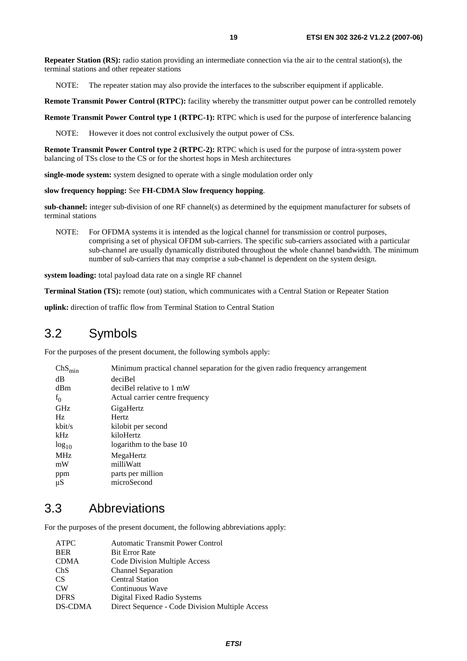**Repeater Station (RS):** radio station providing an intermediate connection via the air to the central station(s), the terminal stations and other repeater stations

NOTE: The repeater station may also provide the interfaces to the subscriber equipment if applicable.

**Remote Transmit Power Control (RTPC):** facility whereby the transmitter output power can be controlled remotely

**Remote Transmit Power Control type 1 (RTPC-1):** RTPC which is used for the purpose of interference balancing

NOTE: However it does not control exclusively the output power of CSs.

**Remote Transmit Power Control type 2 (RTPC-2):** RTPC which is used for the purpose of intra-system power balancing of TSs close to the CS or for the shortest hops in Mesh architectures

**single-mode system:** system designed to operate with a single modulation order only

#### **slow frequency hopping:** See **FH-CDMA Slow frequency hopping**.

**sub-channel:** integer sub-division of one RF channel(s) as determined by the equipment manufacturer for subsets of terminal stations

NOTE: For OFDMA systems it is intended as the logical channel for transmission or control purposes, comprising a set of physical OFDM sub-carriers. The specific sub-carriers associated with a particular sub-channel are usually dynamically distributed throughout the whole channel bandwidth. The minimum number of sub-carriers that may comprise a sub-channel is dependent on the system design.

**system loading:** total payload data rate on a single RF channel

**Terminal Station (TS):** remote (out) station, which communicates with a Central Station or Repeater Station

**uplink:** direction of traffic flow from Terminal Station to Central Station

### 3.2 Symbols

For the purposes of the present document, the following symbols apply:

| $ChS_{min}$ | Minimum practical channel separation for the given radio frequency arrangement |
|-------------|--------------------------------------------------------------------------------|
| dB          | deciBel                                                                        |
| dBm         | deciBel relative to 1 mW                                                       |
| $f_0$       | Actual carrier centre frequency                                                |
| GHz         | GigaHertz                                                                      |
| Hz          | Hertz                                                                          |
| kbit/s      | kilobit per second                                                             |
| kHz         | kiloHertz                                                                      |
| $log_{10}$  | logarithm to the base 10                                                       |
| MHz         | MegaHertz                                                                      |
| mW          | milliWatt                                                                      |
| ppm         | parts per million                                                              |
| $\mu$ S     | microSecond                                                                    |

### 3.3 Abbreviations

For the purposes of the present document, the following abbreviations apply:

| ATPC        | <b>Automatic Transmit Power Control</b>         |
|-------------|-------------------------------------------------|
| <b>BER</b>  | <b>Bit Error Rate</b>                           |
| <b>CDMA</b> | Code Division Multiple Access                   |
| ChS         | <b>Channel Separation</b>                       |
| <b>CS</b>   | <b>Central Station</b>                          |
| <b>CW</b>   | Continuous Wave                                 |
| <b>DFRS</b> | Digital Fixed Radio Systems                     |
| DS-CDMA     | Direct Sequence - Code Division Multiple Access |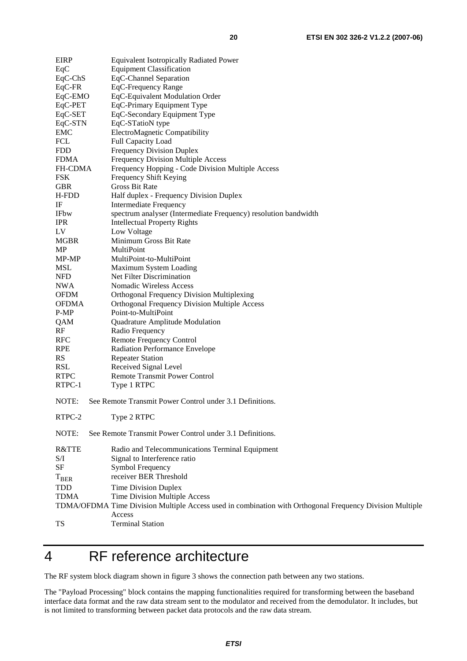| <b>EIRP</b>    | <b>Equivalent Isotropically Radiated Power</b>                                                           |
|----------------|----------------------------------------------------------------------------------------------------------|
| EqC            | <b>Equipment Classification</b>                                                                          |
| $EqC-ChS$      | EqC-Channel Separation                                                                                   |
| $EqC-FR$       | EqC-Frequency Range                                                                                      |
| EqC-EMO        | EqC-Equivalent Modulation Order                                                                          |
| EqC-PET        | EqC-Primary Equipment Type                                                                               |
| EqC-SET        | EqC-Secondary Equipment Type                                                                             |
| EqC-STN        | EqC-STatioN type                                                                                         |
| <b>EMC</b>     | ElectroMagnetic Compatibility                                                                            |
| FCL            | Full Capacity Load                                                                                       |
| <b>FDD</b>     | <b>Frequency Division Duplex</b>                                                                         |
| <b>FDMA</b>    | <b>Frequency Division Multiple Access</b>                                                                |
| <b>FH-CDMA</b> | Frequency Hopping - Code Division Multiple Access                                                        |
| <b>FSK</b>     | Frequency Shift Keying                                                                                   |
| <b>GBR</b>     | <b>Gross Bit Rate</b>                                                                                    |
|                |                                                                                                          |
| H-FDD          | Half duplex - Frequency Division Duplex                                                                  |
| IF             | <b>Intermediate Frequency</b>                                                                            |
| <b>IFbw</b>    | spectrum analyser (Intermediate Frequency) resolution bandwidth                                          |
| <b>IPR</b>     | <b>Intellectual Property Rights</b>                                                                      |
| LV             | Low Voltage                                                                                              |
| <b>MGBR</b>    | Minimum Gross Bit Rate                                                                                   |
| MP             | MultiPoint                                                                                               |
| MP-MP          | MultiPoint-to-MultiPoint                                                                                 |
| <b>MSL</b>     | Maximum System Loading                                                                                   |
| <b>NFD</b>     | Net Filter Discrimination                                                                                |
| <b>NWA</b>     | Nomadic Wireless Access                                                                                  |
| <b>OFDM</b>    | Orthogonal Frequency Division Multiplexing                                                               |
| <b>OFDMA</b>   | <b>Orthogonal Frequency Division Multiple Access</b>                                                     |
| P-MP           | Point-to-MultiPoint                                                                                      |
| QAM            | Quadrature Amplitude Modulation                                                                          |
| RF             | Radio Frequency                                                                                          |
| <b>RFC</b>     | Remote Frequency Control                                                                                 |
| <b>RPE</b>     | Radiation Performance Envelope                                                                           |
| <b>RS</b>      | <b>Repeater Station</b>                                                                                  |
| <b>RSL</b>     | Received Signal Level                                                                                    |
| <b>RTPC</b>    | <b>Remote Transmit Power Control</b>                                                                     |
| RTPC-1         | Type 1 RTPC                                                                                              |
| NOTE:          | See Remote Transmit Power Control under 3.1 Definitions.                                                 |
| RTPC-2         | Type 2 RTPC                                                                                              |
| NOTE:          | See Remote Transmit Power Control under 3.1 Definitions.                                                 |
| R&TTE          | Radio and Telecommunications Terminal Equipment                                                          |
| S/I            | Signal to Interference ratio                                                                             |
| <b>SF</b>      | Symbol Frequency                                                                                         |
| $T_{BER}$      | receiver BER Threshold                                                                                   |
|                |                                                                                                          |
| TDD            | <b>Time Division Duplex</b>                                                                              |
| <b>TDMA</b>    | Time Division Multiple Access                                                                            |
|                | TDMA/OFDMA Time Division Multiple Access used in combination with Orthogonal Frequency Division Multiple |
|                | Access                                                                                                   |
| TS             | <b>Terminal Station</b>                                                                                  |

## 4 RF reference architecture

The RF system block diagram shown in figure 3 shows the connection path between any two stations.

The "Payload Processing" block contains the mapping functionalities required for transforming between the baseband interface data format and the raw data stream sent to the modulator and received from the demodulator. It includes, but is not limited to transforming between packet data protocols and the raw data stream.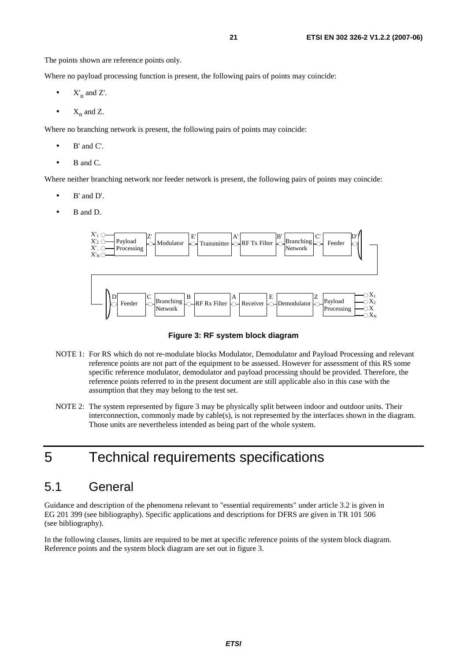The points shown are reference points only.

Where no payload processing function is present, the following pairs of points may coincide:

- $X'_n$  and  $Z'_n$ .
- $X_n$  and  $Z$ .

Where no branching network is present, the following pairs of points may coincide:

- $\bullet$  B' and C'.
- B and C.

Where neither branching network nor feeder network is present, the following pairs of points may coincide:

- B' and D'.
- B and D.



#### **Figure 3: RF system block diagram**

- NOTE 1: For RS which do not re-modulate blocks Modulator, Demodulator and Payload Processing and relevant reference points are not part of the equipment to be assessed. However for assessment of this RS some specific reference modulator, demodulator and payload processing should be provided. Therefore, the reference points referred to in the present document are still applicable also in this case with the assumption that they may belong to the test set.
- NOTE 2: The system represented by figure 3 may be physically split between indoor and outdoor units. Their interconnection, commonly made by cable(s), is not represented by the interfaces shown in the diagram. Those units are nevertheless intended as being part of the whole system.

## 5 Technical requirements specifications

## 5.1 General

Guidance and description of the phenomena relevant to "essential requirements" under article 3.2 is given in EG 201 399 (see bibliography). Specific applications and descriptions for DFRS are given in TR 101 506 (see bibliography).

In the following clauses, limits are required to be met at specific reference points of the system block diagram. Reference points and the system block diagram are set out in figure 3.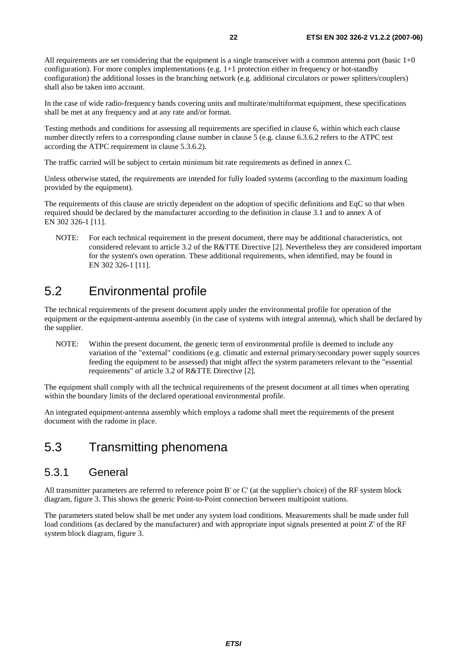All requirements are set considering that the equipment is a single transceiver with a common antenna port (basic  $1+0$ configuration). For more complex implementations (e.g. 1+1 protection either in frequency or hot-standby configuration) the additional losses in the branching network (e.g. additional circulators or power splitters/couplers) shall also be taken into account.

In the case of wide radio-frequency bands covering units and multirate/multiformat equipment, these specifications shall be met at any frequency and at any rate and/or format.

Testing methods and conditions for assessing all requirements are specified in clause 6, within which each clause number directly refers to a corresponding clause number in clause 5 (e.g. clause 6.3.6.2 refers to the ATPC test according the ATPC requirement in clause 5.3.6.2).

The traffic carried will be subject to certain minimum bit rate requirements as defined in annex C.

Unless otherwise stated, the requirements are intended for fully loaded systems (according to the maximum loading provided by the equipment).

The requirements of this clause are strictly dependent on the adoption of specific definitions and EqC so that when required should be declared by the manufacturer according to the definition in clause 3.1 and to annex A of EN 302 326-1 [11].

NOTE: For each technical requirement in the present document, there may be additional characteristics, not considered relevant to article 3.2 of the R&TTE Directive [2]. Nevertheless they are considered important for the system's own operation. These additional requirements, when identified, may be found in EN 302 326-1 [11].

## 5.2 Environmental profile

The technical requirements of the present document apply under the environmental profile for operation of the equipment or the equipment-antenna assembly (in the case of systems with integral antenna), which shall be declared by the supplier.

NOTE: Within the present document, the generic term of environmental profile is deemed to include any variation of the "external" conditions (e.g. climatic and external primary/secondary power supply sources feeding the equipment to be assessed) that might affect the system parameters relevant to the "essential requirements" of article 3.2 of R&TTE Directive [2].

The equipment shall comply with all the technical requirements of the present document at all times when operating within the boundary limits of the declared operational environmental profile.

An integrated equipment-antenna assembly which employs a radome shall meet the requirements of the present document with the radome in place.

## 5.3 Transmitting phenomena

### 5.3.1 General

All transmitter parameters are referred to reference point B' or C' (at the supplier's choice) of the RF system block diagram, figure 3. This shows the generic Point-to-Point connection between multipoint stations.

The parameters stated below shall be met under any system load conditions. Measurements shall be made under full load conditions (as declared by the manufacturer) and with appropriate input signals presented at point Z' of the RF system block diagram, figure 3.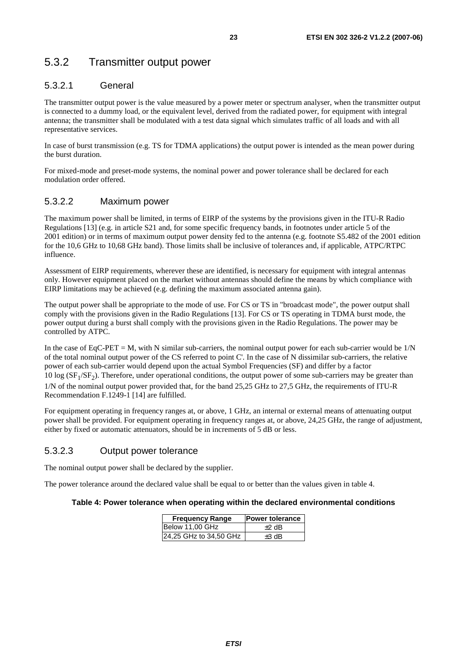## 5.3.2 Transmitter output power

### 5.3.2.1 General

The transmitter output power is the value measured by a power meter or spectrum analyser, when the transmitter output is connected to a dummy load, or the equivalent level, derived from the radiated power, for equipment with integral antenna; the transmitter shall be modulated with a test data signal which simulates traffic of all loads and with all representative services.

In case of burst transmission (e.g. TS for TDMA applications) the output power is intended as the mean power during the burst duration.

For mixed-mode and preset-mode systems, the nominal power and power tolerance shall be declared for each modulation order offered.

#### 5.3.2.2 Maximum power

The maximum power shall be limited, in terms of EIRP of the systems by the provisions given in the ITU-R Radio Regulations [13] (e.g. in article S21 and, for some specific frequency bands, in footnotes under article 5 of the 2001 edition) or in terms of maximum output power density fed to the antenna (e.g. footnote S5.482 of the 2001 edition for the 10,6 GHz to 10,68 GHz band). Those limits shall be inclusive of tolerances and, if applicable, ATPC/RTPC influence.

Assessment of EIRP requirements, wherever these are identified, is necessary for equipment with integral antennas only. However equipment placed on the market without antennas should define the means by which compliance with EIRP limitations may be achieved (e.g. defining the maximum associated antenna gain).

The output power shall be appropriate to the mode of use. For CS or TS in "broadcast mode", the power output shall comply with the provisions given in the Radio Regulations [13]. For CS or TS operating in TDMA burst mode, the power output during a burst shall comply with the provisions given in the Radio Regulations. The power may be controlled by ATPC.

In the case of EqC-PET = M, with N similar sub-carriers, the nominal output power for each sub-carrier would be  $1/N$ of the total nominal output power of the CS referred to point C'. In the case of N dissimilar sub-carriers, the relative power of each sub-carrier would depend upon the actual Symbol Frequencies (SF) and differ by a factor 10 log  $(SF<sub>1</sub>/SF<sub>2</sub>)$ . Therefore, under operational conditions, the output power of some sub-carriers may be greater than 1/N of the nominal output power provided that, for the band 25,25 GHz to 27.5 GHz, the requirements of ITU-R Recommendation F.1249-1 [14] are fulfilled.

For equipment operating in frequency ranges at, or above, 1 GHz, an internal or external means of attenuating output power shall be provided. For equipment operating in frequency ranges at, or above, 24,25 GHz, the range of adjustment, either by fixed or automatic attenuators, should be in increments of 5 dB or less.

### 5.3.2.3 Output power tolerance

The nominal output power shall be declared by the supplier.

The power tolerance around the declared value shall be equal to or better than the values given in table 4.

#### **Table 4: Power tolerance when operating within the declared environmental conditions**

| <b>Frequency Range</b> | <b>Power tolerance</b> |
|------------------------|------------------------|
| Below 11,00 GHz        | $+2$ dB                |
| 24,25 GHz to 34,50 GHz | $+3$ dB                |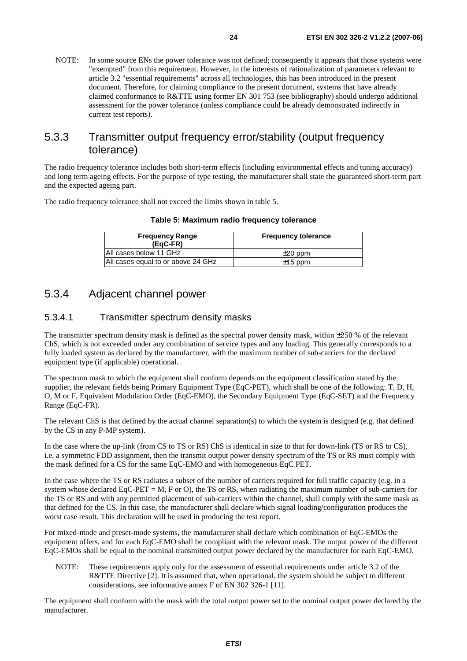NOTE: In some source ENs the power tolerance was not defined; consequently it appears that those systems were "exempted" from this requirement. However, in the interests of rationalization of parameters relevant to article 3.2 "essential requirements" across all technologies, this has been introduced in the present document. Therefore, for claiming compliance to the present document, systems that have already claimed conformance to R&TTE using former EN 301 753 (see bibliography) should undergo additional assessment for the power tolerance (unless compliance could be already demonstrated indirectly in current test reports).

### 5.3.3 Transmitter output frequency error/stability (output frequency tolerance)

The radio frequency tolerance includes both short-term effects (including environmental effects and tuning accuracy) and long term ageing effects. For the purpose of type testing, the manufacturer shall state the guaranteed short-term part and the expected ageing part.

The radio frequency tolerance shall not exceed the limits shown in table 5.

| <b>Frequency Range</b><br>(EgC-FR) | <b>Frequency tolerance</b> |
|------------------------------------|----------------------------|
| IAII cases below 11 GHz            | $\pm 20$ ppm               |
| All cases equal to or above 24 GHz | $\pm$ 15 ppm               |

### 5.3.4 Adjacent channel power

#### 5.3.4.1 Transmitter spectrum density masks

The transmitter spectrum density mask is defined as the spectral power density mask, within ±250 % of the relevant ChS, which is not exceeded under any combination of service types and any loading. This generally corresponds to a fully loaded system as declared by the manufacturer, with the maximum number of sub-carriers for the declared equipment type (if applicable) operational.

The spectrum mask to which the equipment shall conform depends on the equipment classification stated by the supplier, the relevant fields being Primary Equipment Type (EqC-PET), which shall be one of the following: T, D, H, O, M or F, Equivalent Modulation Order (EqC-EMO), the Secondary Equipment Type (EqC-SET) and the Frequency Range (EqC-FR).

The relevant ChS is that defined by the actual channel separation(s) to which the system is designed (e.g. that defined by the CS in any P-MP system).

In the case where the up-link (from CS to TS or RS) ChS is identical in size to that for down-link (TS or RS to CS), i.e. a symmetric FDD assignment, then the transmit output power density spectrum of the TS or RS must comply with the mask defined for a CS for the same EqC-EMO and with homogeneous EqC PET.

In the case where the TS or RS radiates a subset of the number of carriers required for full traffic capacity (e.g. in a system whose declared EqC-PET = M, F or O), the TS or RS, when radiating the maximum number of sub-carriers for the TS or RS and with any permitted placement of sub-carriers within the channel, shall comply with the same mask as that defined for the CS. In this case, the manufacturer shall declare which signal loading/configuration produces the worst case result. This declaration will be used in producing the test report.

For mixed-mode and preset-mode systems, the manufacturer shall declare which combination of EqC-EMOs the equipment offers, and for each EqC-EMO shall be compliant with the relevant mask. The output power of the different EqC-EMOs shall be equal to the nominal transmitted output power declared by the manufacturer for each EqC-EMO.

NOTE: These requirements apply only for the assessment of essential requirements under article 3.2 of the R&TTE Directive [2]. It is assumed that, when operational, the system should be subject to different considerations, see informative annex F of EN 302 326-1 [11].

The equipment shall conform with the mask with the total output power set to the nominal output power declared by the manufacturer.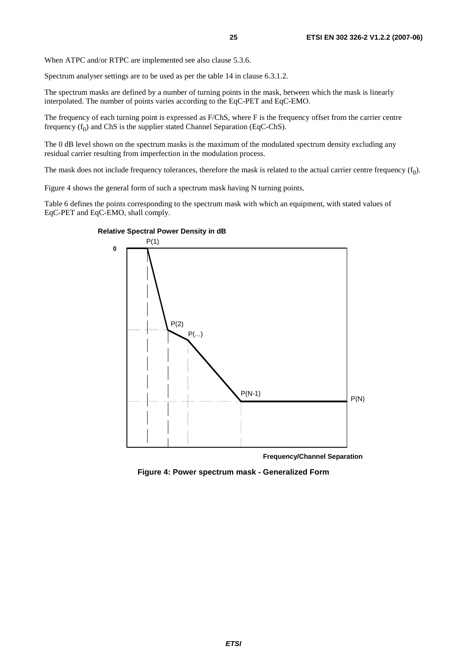When ATPC and/or RTPC are implemented see also clause 5.3.6.

Spectrum analyser settings are to be used as per the table 14 in clause 6.3.1.2.

The spectrum masks are defined by a number of turning points in the mask, between which the mask is linearly interpolated. The number of points varies according to the EqC-PET and EqC-EMO.

The frequency of each turning point is expressed as F/ChS, where F is the frequency offset from the carrier centre frequency  $(f_0)$  and ChS is the supplier stated Channel Separation (EqC-ChS).

The 0 dB level shown on the spectrum masks is the maximum of the modulated spectrum density excluding any residual carrier resulting from imperfection in the modulation process.

The mask does not include frequency tolerances, therefore the mask is related to the actual carrier centre frequency  $(f_0)$ .

Figure 4 shows the general form of such a spectrum mask having N turning points.

Table 6 defines the points corresponding to the spectrum mask with which an equipment, with stated values of EqC-PET and EqC-EMO, shall comply.



**Frequency/Channel Separation**

**Figure 4: Power spectrum mask - Generalized Form**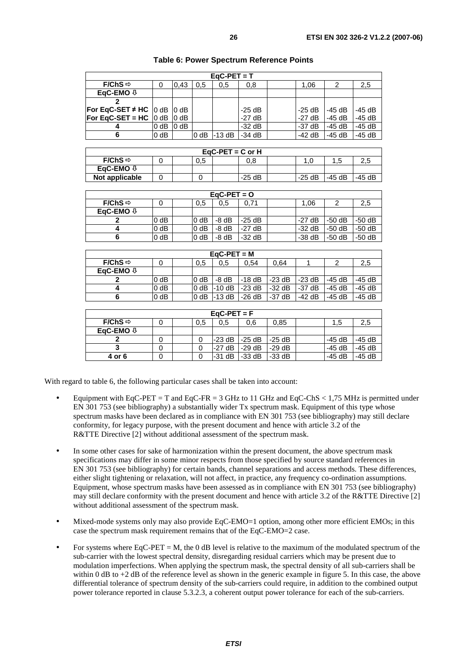| $EaC-PET = T$                                       |        |                  |        |          |          |  |          |          |          |  |  |
|-----------------------------------------------------|--------|------------------|--------|----------|----------|--|----------|----------|----------|--|--|
| $F/ChS \Rightarrow$                                 | 0      | 0.43             | 0.5    | 0.5      | 0,8      |  | 1.06     |          | 2,5      |  |  |
| EqC-EMO $\psi$                                      |        |                  |        |          |          |  |          |          |          |  |  |
|                                                     |        |                  |        |          |          |  |          |          |          |  |  |
| <b>For EqC-SET <math>\neq</math> HC</b>  0 dB  0 dB |        |                  |        |          | $-25$ dB |  | $-25$ dB | $-45$ dB | -45 dB   |  |  |
| <b>For EqC-SET = HC</b> $\vert$ 0 dB $\vert$ 0 dB   |        |                  |        |          | $-27$ dB |  | $-27$ dB | $-45$ dB | $-45$ dB |  |  |
|                                                     | $0$ dB | 0 <sub>d</sub> B |        |          | $-32$ dB |  | $-37$ dB | $-45$ dB | $-45$ dB |  |  |
| 6                                                   | 0 dB   |                  | $0$ dB | $-13 dB$ | -34 dB   |  | $-42$ dB | -45 dB   | $-45$ dB |  |  |

#### **Table 6: Power Spectrum Reference Points**

| $EaC-PET = C$ or H                              |  |  |  |  |         |  |         |          |          |  |
|-------------------------------------------------|--|--|--|--|---------|--|---------|----------|----------|--|
| $F/ChS \Rightarrow$<br>0.5<br>0.8<br>1.<br>1.5. |  |  |  |  |         |  |         |          |          |  |
| EqC-EMO $\theta$                                |  |  |  |  |         |  |         |          |          |  |
| Not applicable                                  |  |  |  |  | $-25dB$ |  | $-25dB$ | $-45$ dB | $-45$ dB |  |

| $EaC-PET = Q$       |        |  |        |         |          |  |          |          |          |  |  |
|---------------------|--------|--|--------|---------|----------|--|----------|----------|----------|--|--|
| $F/ChS \Rightarrow$ |        |  | 0.5    | 0.5     | 0.71     |  | 1.06     |          | 2,5      |  |  |
| EaC-EMO $\sqrt{v}$  |        |  |        |         |          |  |          |          |          |  |  |
|                     | 0 dB   |  | $0$ dB | $-8$ dB | $-25$ dB |  | $-27$ dB | $-50dB$  | $-50$ dB |  |  |
|                     | 0 dB   |  | $0$ dB | $-8$ dB | $-27$ dB |  | $-32$ dB | $-50$ dB | $-50$ dB |  |  |
| 6                   | $0$ dB |  | 0 dB   | $-8$ dB | $-32$ dB |  | $-38$ dB | $-50$ dB | $-50$ dB |  |  |

| $EaC-PET = M$       |        |  |                  |          |          |          |          |        |          |  |
|---------------------|--------|--|------------------|----------|----------|----------|----------|--------|----------|--|
| $F/ChS \Rightarrow$ |        |  | 0,5              | 0,5      | 0.54     | 0.64     |          |        | 2,5      |  |
| EqC-EMO $\sqrt{v}$  |        |  |                  |          |          |          |          |        |          |  |
|                     | $0$ dB |  | 0 <sub>d</sub> B | $-8$ dB  | $-18$ dB | $-23$ dB | $-23$ dB | -45 dB | $-45$ dB |  |
|                     | $0$ dB |  | 0 <sub>d</sub> B | $-10dB$  | $-23$ dB | $-32$ dB | -37 dB   | -45 dB | $-45$ dB |  |
|                     | $0$ dB |  | 0 <sub>d</sub> B | $-13$ dB | $-26 dB$ | $-37$ dB | $-42$ dB | -45 dB | $-45dB$  |  |

| $EqC-PET = F$       |  |  |     |          |                 |          |  |          |          |  |
|---------------------|--|--|-----|----------|-----------------|----------|--|----------|----------|--|
| $F/ChS \Rightarrow$ |  |  | 0,5 | 0.5      | 0.6             | 0.85     |  | 1,5      | 2,5      |  |
| EqC-EMO $\sqrt{v}$  |  |  |     |          |                 |          |  |          |          |  |
|                     |  |  |     |          | l-23 dB 1-25 dB | $-25dB$  |  | $-45$ dB | $-45$ dB |  |
|                     |  |  |     | $-27$ dB | $-29dB$         | $-29$ dB |  | $-45$ dB | $-45$ dB |  |
| 4 or 6              |  |  |     | -31 dB   | $-33$ dB        | $-33$ dB |  | $-45$ dB | $-45$ dB |  |

With regard to table 6, the following particular cases shall be taken into account:

- Equipment with EqC-PET = T and EqC-FR = 3 GHz to 11 GHz and EqC-ChS  $< 1.75$  MHz is permitted under EN 301 753 (see bibliography) a substantially wider Tx spectrum mask. Equipment of this type whose spectrum masks have been declared as in compliance with EN 301 753 (see bibliography) may still declare conformity, for legacy purpose, with the present document and hence with article 3.2 of the R&TTE Directive [2] without additional assessment of the spectrum mask.
- In some other cases for sake of harmonization within the present document, the above spectrum mask specifications may differ in some minor respects from those specified by source standard references in EN 301 753 (see bibliography) for certain bands, channel separations and access methods. These differences, either slight tightening or relaxation, will not affect, in practice, any frequency co-ordination assumptions. Equipment, whose spectrum masks have been assessed as in compliance with EN 301 753 (see bibliography) may still declare conformity with the present document and hence with article 3.2 of the R&TTE Directive [2] without additional assessment of the spectrum mask.
- Mixed-mode systems only may also provide EqC-EMO=1 option, among other more efficient EMOs; in this case the spectrum mask requirement remains that of the EqC-EMO=2 case.
- For systems where  $EqC-PET = M$ , the 0 dB level is relative to the maximum of the modulated spectrum of the sub-carrier with the lowest spectral density, disregarding residual carriers which may be present due to modulation imperfections. When applying the spectrum mask, the spectral density of all sub-carriers shall be within 0 dB to +2 dB of the reference level as shown in the generic example in figure 5. In this case, the above differential tolerance of spectrum density of the sub-carriers could require, in addition to the combined output power tolerance reported in clause 5.3.2.3, a coherent output power tolerance for each of the sub-carriers.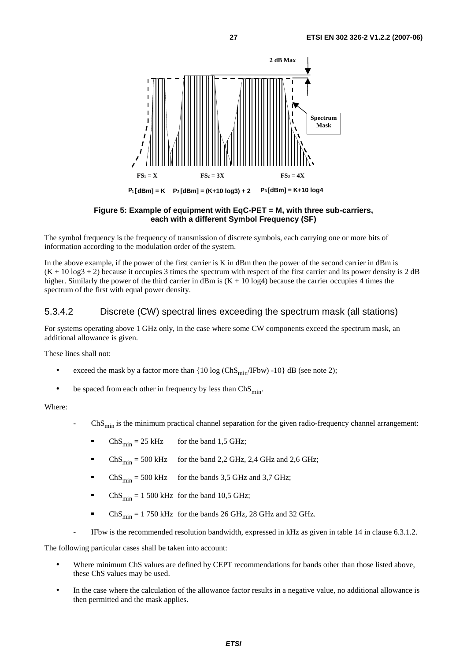

**Figure 5: Example of equipment with EqC-PET = M, with three sub-carriers, each with a different Symbol Frequency (SF)** 

The symbol frequency is the frequency of transmission of discrete symbols, each carrying one or more bits of information according to the modulation order of the system.

In the above example, if the power of the first carrier is K in dBm then the power of the second carrier in dBm is  $(K + 10 \log 3 + 2)$  because it occupies 3 times the spectrum with respect of the first carrier and its power density is 2 dB higher. Similarly the power of the third carrier in dBm is  $(K + 10 \log_4)$  because the carrier occupies 4 times the spectrum of the first with equal power density.

#### 5.3.4.2 Discrete (CW) spectral lines exceeding the spectrum mask (all stations)

For systems operating above 1 GHz only, in the case where some CW components exceed the spectrum mask, an additional allowance is given.

These lines shall not:

- exceed the mask by a factor more than  $\{10 \log (ChS_{min}/IFbw) -10\}$  dB (see note 2);
- be spaced from each other in frequency by less than  $ChS_{min}$ .

#### Where:

- $ChS<sub>min</sub>$  is the minimum practical channel separation for the given radio-frequency channel arrangement:
	- ChS<sub>min</sub> = 25 kHz for the band 1,5 GHz;<br>ChS<sub>min</sub> = 500 kHz for the band 2,2 GHz,
	- for the band  $2,2$  GHz,  $2,4$  GHz and  $2,6$  GHz;
	- $ChS_{\text{min}} = 500 \text{ kHz}$  for the bands 3,5 GHz and 3,7 GHz;
	- $ChS_{\text{min}} = 1500 \text{ kHz}$  for the band 10,5 GHz;
	- $ChS_{\text{min}} = 1750 \text{ kHz}$  for the bands 26 GHz, 28 GHz and 32 GHz.
- IFbw is the recommended resolution bandwidth, expressed in kHz as given in table 14 in clause 6.3.1.2.

The following particular cases shall be taken into account:

- Where minimum ChS values are defined by CEPT recommendations for bands other than those listed above, these ChS values may be used.
- In the case where the calculation of the allowance factor results in a negative value, no additional allowance is then permitted and the mask applies.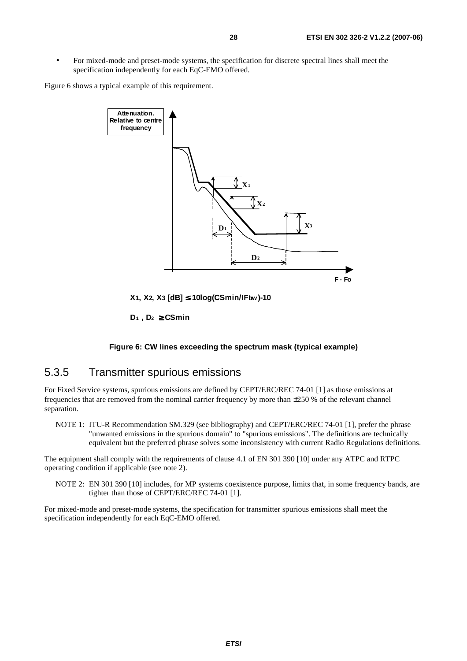• For mixed-mode and preset-mode systems, the specification for discrete spectral lines shall meet the specification independently for each EqC-EMO offered.

Figure 6 shows a typical example of this requirement.



**X1, X2, X3 [dB]** ≤ **10log(CSmin/IFbw)-10** 

**D1 , D2** ≥ **CSmin**

#### **Figure 6: CW lines exceeding the spectrum mask (typical example)**

#### 5.3.5 Transmitter spurious emissions

For Fixed Service systems, spurious emissions are defined by CEPT/ERC/REC 74-01 [1] as those emissions at frequencies that are removed from the nominal carrier frequency by more than ±250 % of the relevant channel separation.

NOTE 1: ITU-R Recommendation SM.329 (see bibliography) and CEPT/ERC/REC 74-01 [1], prefer the phrase "unwanted emissions in the spurious domain" to "spurious emissions". The definitions are technically equivalent but the preferred phrase solves some inconsistency with current Radio Regulations definitions.

The equipment shall comply with the requirements of clause 4.1 of EN 301 390 [10] under any ATPC and RTPC operating condition if applicable (see note 2).

NOTE 2: EN 301 390 [10] includes, for MP systems coexistence purpose, limits that, in some frequency bands, are tighter than those of CEPT/ERC/REC 74-01 [1].

For mixed-mode and preset-mode systems, the specification for transmitter spurious emissions shall meet the specification independently for each EqC-EMO offered.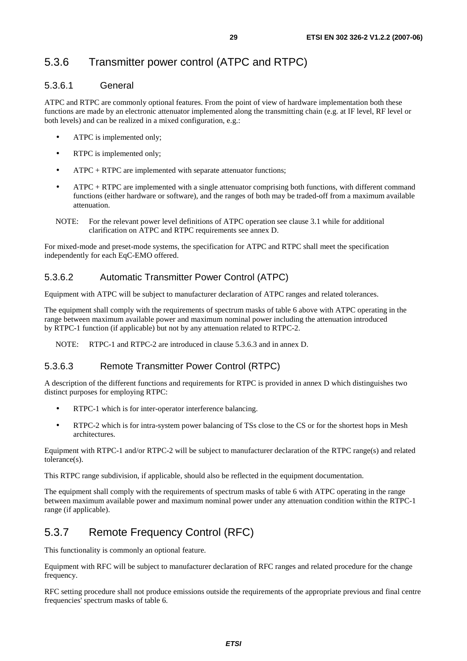## 5.3.6 Transmitter power control (ATPC and RTPC)

#### 5.3.6.1 General

ATPC and RTPC are commonly optional features. From the point of view of hardware implementation both these functions are made by an electronic attenuator implemented along the transmitting chain (e.g. at IF level, RF level or both levels) and can be realized in a mixed configuration, e.g.:

- ATPC is implemented only:
- RTPC is implemented only;
- ATPC + RTPC are implemented with separate attenuator functions;
- $ATPC + RTPC$  are implemented with a single attenuator comprising both functions, with different command functions (either hardware or software), and the ranges of both may be traded-off from a maximum available attenuation.
- NOTE: For the relevant power level definitions of ATPC operation see clause 3.1 while for additional clarification on ATPC and RTPC requirements see annex D.

For mixed-mode and preset-mode systems, the specification for ATPC and RTPC shall meet the specification independently for each EqC-EMO offered.

### 5.3.6.2 Automatic Transmitter Power Control (ATPC)

Equipment with ATPC will be subject to manufacturer declaration of ATPC ranges and related tolerances.

The equipment shall comply with the requirements of spectrum masks of table 6 above with ATPC operating in the range between maximum available power and maximum nominal power including the attenuation introduced by RTPC-1 function (if applicable) but not by any attenuation related to RTPC-2.

NOTE: RTPC-1 and RTPC-2 are introduced in clause 5.3.6.3 and in annex D.

### 5.3.6.3 Remote Transmitter Power Control (RTPC)

A description of the different functions and requirements for RTPC is provided in annex D which distinguishes two distinct purposes for employing RTPC:

- RTPC-1 which is for inter-operator interference balancing.
- RTPC-2 which is for intra-system power balancing of TSs close to the CS or for the shortest hops in Mesh architectures.

Equipment with RTPC-1 and/or RTPC-2 will be subject to manufacturer declaration of the RTPC range(s) and related tolerance(s).

This RTPC range subdivision, if applicable, should also be reflected in the equipment documentation.

The equipment shall comply with the requirements of spectrum masks of table 6 with ATPC operating in the range between maximum available power and maximum nominal power under any attenuation condition within the RTPC-1 range (if applicable).

## 5.3.7 Remote Frequency Control (RFC)

This functionality is commonly an optional feature.

Equipment with RFC will be subject to manufacturer declaration of RFC ranges and related procedure for the change frequency.

RFC setting procedure shall not produce emissions outside the requirements of the appropriate previous and final centre frequencies' spectrum masks of table 6.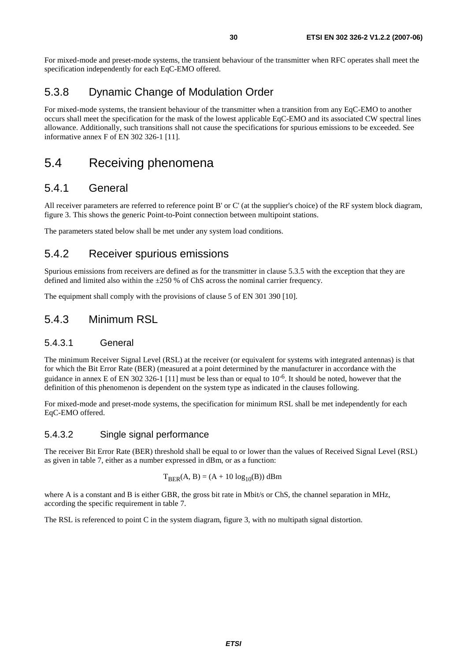For mixed-mode and preset-mode systems, the transient behaviour of the transmitter when RFC operates shall meet the specification independently for each EqC-EMO offered.

### 5.3.8 Dynamic Change of Modulation Order

For mixed-mode systems, the transient behaviour of the transmitter when a transition from any EqC-EMO to another occurs shall meet the specification for the mask of the lowest applicable EqC-EMO and its associated CW spectral lines allowance. Additionally, such transitions shall not cause the specifications for spurious emissions to be exceeded. See informative annex F of EN 302 326-1 [11].

### 5.4 Receiving phenomena

### 5.4.1 General

All receiver parameters are referred to reference point B' or C' (at the supplier's choice) of the RF system block diagram, figure 3. This shows the generic Point-to-Point connection between multipoint stations.

The parameters stated below shall be met under any system load conditions.

### 5.4.2 Receiver spurious emissions

Spurious emissions from receivers are defined as for the transmitter in clause 5.3.5 with the exception that they are defined and limited also within the ±250 % of ChS across the nominal carrier frequency.

The equipment shall comply with the provisions of clause 5 of EN 301 390 [10].

### 5.4.3 Minimum RSL

#### 5.4.3.1 General

The minimum Receiver Signal Level (RSL) at the receiver (or equivalent for systems with integrated antennas) is that for which the Bit Error Rate (BER) (measured at a point determined by the manufacturer in accordance with the guidance in annex E of EN 302 326-1 [11] must be less than or equal to  $10^{-6}$ . It should be noted, however that the definition of this phenomenon is dependent on the system type as indicated in the clauses following.

For mixed-mode and preset-mode systems, the specification for minimum RSL shall be met independently for each EqC-EMO offered.

#### 5.4.3.2 Single signal performance

The receiver Bit Error Rate (BER) threshold shall be equal to or lower than the values of Received Signal Level (RSL) as given in table 7, either as a number expressed in dBm, or as a function:

$$
T_{BER}(A, B) = (A + 10 \log_{10}(B)) \text{ dBm}
$$

where A is a constant and B is either GBR, the gross bit rate in Mbit/s or ChS, the channel separation in MHz, according the specific requirement in table 7.

The RSL is referenced to point C in the system diagram, figure 3, with no multipath signal distortion.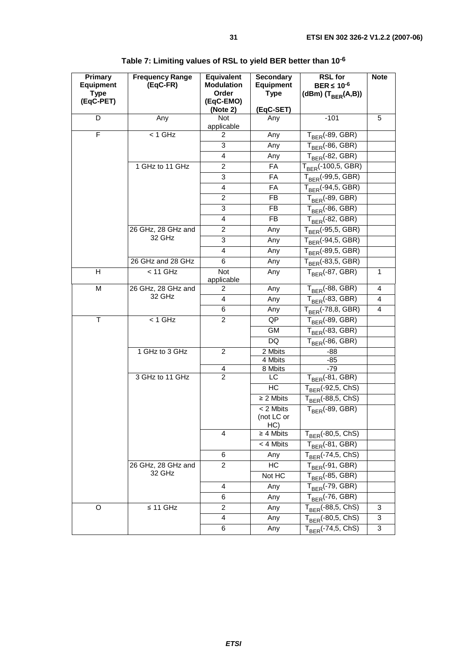| Primary<br><b>Equipment</b><br><b>Type</b><br>(EqC-PET) | <b>Frequency Range</b><br>(EqC-FR) | <b>Equivalent</b><br><b>Modulation</b><br>Order<br>(EqC-EMO)<br>(Note 2) | <b>Secondary</b><br><b>Equipment</b><br><b>Type</b><br>(EqC-SET) | <b>RSL for</b><br>BER $\leq 10^{-6}$<br>(dBm) $(T_{BER}(A,B))$   | <b>Note</b>    |
|---------------------------------------------------------|------------------------------------|--------------------------------------------------------------------------|------------------------------------------------------------------|------------------------------------------------------------------|----------------|
| D                                                       | Any                                | <b>Not</b>                                                               | Any                                                              | $-101$                                                           | 5              |
|                                                         |                                    | applicable                                                               |                                                                  |                                                                  |                |
| F                                                       | $< 1$ GHz                          | $\overline{2}$                                                           | Any                                                              | $T_{BER}$ (-89, GBR)                                             |                |
|                                                         |                                    | 3                                                                        | Any                                                              | $T_{BER}$ (-86, GBR)                                             |                |
|                                                         |                                    | 4                                                                        | Any                                                              | $\mathsf{T}_{\mathsf{BER}}$ (-82, GBR)                           |                |
|                                                         | 1 GHz to 11 GHz                    | $\overline{2}$                                                           | <b>FA</b>                                                        | $\mathsf{T}_{\mathsf{BER}}$ (-100,5, $\overline{\mathsf{GBR}}$ ) |                |
|                                                         |                                    | 3                                                                        | FA                                                               | T <sub>BER</sub> (-99,5, GBR)                                    |                |
|                                                         |                                    | 4                                                                        | FA                                                               | T <sub>BER</sub> (-94,5, GBR)                                    |                |
|                                                         |                                    | 2                                                                        | FB                                                               | T <sub>BER</sub> (-89, GBR)                                      |                |
|                                                         |                                    | 3                                                                        | FB                                                               | T <sub>BER</sub> (-86, GBR)                                      |                |
|                                                         |                                    | 4                                                                        | FB.                                                              | $\mathsf{T}_{\mathsf{BER}}$ (-82, GBR)                           |                |
|                                                         | 26 GHz, 28 GHz and                 | 2                                                                        | Any                                                              | $\mathsf{T}_{\mathsf{BER}}$ (-95,5, GBR)                         |                |
|                                                         | 32 GHz                             | 3                                                                        | Any                                                              | T <sub>BER</sub> (-94,5, GBR)                                    |                |
|                                                         |                                    | 4                                                                        | Any                                                              | $T_{BER}$ (-89,5, GBR)                                           |                |
|                                                         | 26 GHz and 28 GHz                  | 6                                                                        | Any                                                              | $T_{BER}$ (-83,5, GBR)                                           |                |
| Н                                                       | $< 11$ GHz                         | Not<br>applicable                                                        | Any                                                              | $T_{BFR}$ (-87, GBR)                                             | 1              |
| M                                                       | 26 GHz, 28 GHz and                 | 2                                                                        | Any                                                              | $T_{BER}$ (-88, GBR)                                             | $\overline{4}$ |
|                                                         | 32 GHz                             | 4                                                                        | Any                                                              | $T_{BER}$ (-83, GBR)                                             | $\overline{4}$ |
|                                                         |                                    | 6                                                                        | Any                                                              | $T_{\text{BER}}$ (-78,8, GBR)                                    | 4              |
| T                                                       | $< 1$ GHz                          | $\overline{2}$                                                           | QP                                                               | T <sub>BER</sub> (-89, GBR)                                      |                |
|                                                         |                                    |                                                                          | <b>GM</b>                                                        | $T_{\overline{\mathsf{BER}}}$ (-83, GBR)                         |                |
|                                                         |                                    |                                                                          | DQ                                                               | $T_{BER}$ (-86, GBR)                                             |                |
|                                                         | 1 GHz to 3 GHz                     | 2                                                                        | 2 Mbits                                                          | -88                                                              |                |
|                                                         |                                    |                                                                          | 4 Mbits                                                          | $-85$                                                            |                |
|                                                         | 3 GHz to 11 GHz                    | 4<br>$\overline{2}$                                                      | 8 Mbits<br>LC                                                    | $-79$<br>$\mathsf{T}_{\mathsf{BER}}$ (-81, GBR)                  |                |
|                                                         |                                    |                                                                          | HC                                                               | $T_{\text{BER}}$ (-92,5, $\overline{\text{ChS}}$ )               |                |
|                                                         |                                    |                                                                          | $\geq$ 2 Mbits                                                   | $T_{\text{BER}}$ (-88,5, ChS)                                    |                |
|                                                         |                                    |                                                                          | < 2 Mbits                                                        |                                                                  |                |
|                                                         |                                    |                                                                          | (not LC or<br>HC)                                                | $T_{BFR}$ (-89, GBR)                                             |                |
|                                                         |                                    | 4                                                                        | $\geq 4$ Mbits                                                   | $T_{BER}$ (-80,5, $\overline{ChS}$ )                             |                |
|                                                         |                                    |                                                                          | < 4 Mbits                                                        | $\mathsf{T}_{\mathsf{BER}}$ (-81, GBR)                           |                |
|                                                         |                                    | 6                                                                        | Any                                                              | T <sub>RFR</sub> (-74,5, ChS)                                    |                |
|                                                         | 26 GHz, 28 GHz and                 | 2                                                                        | HC                                                               | $\mathsf{T}_{\mathsf{BER}}$ (-91, GBR)                           |                |
|                                                         | 32 GHz                             |                                                                          | Not HC                                                           | $\mathsf{T}_{\mathsf{BER}}$ (-85, GBR)                           |                |
|                                                         |                                    | 4                                                                        | Any                                                              | $T_{\footnotesize\mathsf{BER}}$ (-79, GBR)                       |                |
|                                                         |                                    | 6                                                                        | Any                                                              | $T_{\text{BER}}$ (-76, GBR)                                      |                |
| O                                                       | $\leq$ 11 GHz                      | $\overline{\mathbf{c}}$                                                  | Any                                                              | $T_{\text{BER}}$ (-88,5, ChS)                                    | 3              |
|                                                         |                                    | 4                                                                        | Any                                                              | $\mathsf{T}_{\mathsf{BER}}$ (-80,5, $\overline{\mathsf{ChS}}$ )  | 3              |
|                                                         |                                    | 6                                                                        | Any                                                              | $T_{\text{BER}}$ (-74,5, ChS)                                    | 3              |

## **Table 7: Limiting values of RSL to yield BER better than 10-6**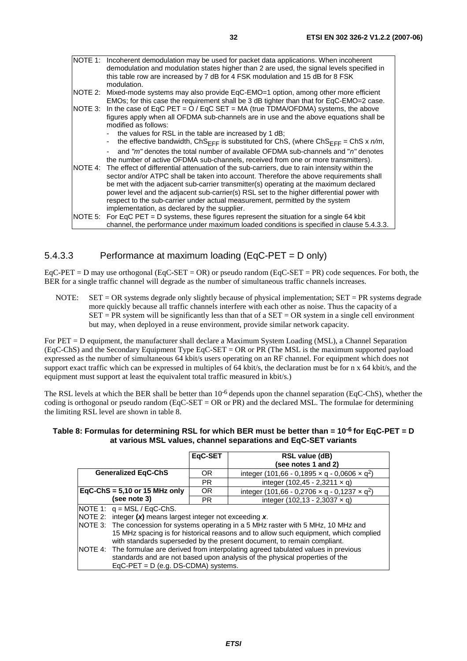|          | NOTE 1: Incoherent demodulation may be used for packet data applications. When incoherent<br>demodulation and modulation states higher than 2 are used, the signal levels specified in                                                                                                  |
|----------|-----------------------------------------------------------------------------------------------------------------------------------------------------------------------------------------------------------------------------------------------------------------------------------------|
|          | this table row are increased by 7 dB for 4 FSK modulation and 15 dB for 8 FSK<br>modulation.                                                                                                                                                                                            |
| INOTE 2: | Mixed-mode systems may also provide EqC-EMO=1 option, among other more efficient<br>EMOs; for this case the requirement shall be 3 dB tighter than that for EqC-EMO=2 case.                                                                                                             |
|          | NOTE 3: In the case of EqC PET = $O / E qC$ SET = MA (true TDMA/OFDMA) systems, the above<br>figures apply when all OFDMA sub-channels are in use and the above equations shall be<br>modified as follows:                                                                              |
|          | the values for RSL in the table are increased by 1 dB;<br>the effective bandwidth, ChS <sub>FFF</sub> is substituted for ChS, (where ChS <sub>FFF</sub> = ChS x $n/m$ ,<br>$\overline{\phantom{0}}$                                                                                     |
|          | and "m" denotes the total number of available OFDMA sub-channels and "n" denotes<br>the number of active OFDMA sub-channels, received from one or more transmitters).                                                                                                                   |
|          | NOTE 4: The effect of differential attenuation of the sub-carriers, due to rain intensity within the<br>sector and/or ATPC shall be taken into account. Therefore the above requirements shall<br>be met with the adjacent sub-carrier transmitter(s) operating at the maximum declared |
|          | power level and the adjacent sub-carrier(s) RSL set to the higher differential power with<br>respect to the sub-carrier under actual measurement, permitted by the system<br>implementation, as declared by the supplier.                                                               |
|          | NOTE 5: For EqC PET = D systems, these figures represent the situation for a single 64 kbit<br>channel, the performance under maximum loaded conditions is specified in clause 5.4.3.3.                                                                                                 |

### 5.4.3.3 Performance at maximum loading (EqC-PET = D only)

 $EqC-PET = D$  may use orthogonal (EqC-SET = OR) or pseudo random (EqC-SET = PR) code sequences. For both, the BER for a single traffic channel will degrade as the number of simultaneous traffic channels increases.

NOTE:  $SET = OR$  systems degrade only slightly because of physical implementation;  $SET = PR$  systems degrade more quickly because all traffic channels interfere with each other as noise. Thus the capacity of a  $SET = PR$  system will be significantly less than that of a  $SET = OR$  system in a single cell environment but may, when deployed in a reuse environment, provide similar network capacity.

For PET = D equipment, the manufacturer shall declare a Maximum System Loading (MSL), a Channel Separation (EqC-ChS) and the Secondary Equipment Type EqC-SET = OR or PR (The MSL is the maximum supported payload expressed as the number of simultaneous 64 kbit/s users operating on an RF channel. For equipment which does not support exact traffic which can be expressed in multiples of 64 kbit/s, the declaration must be for n x 64 kbit/s, and the equipment must support at least the equivalent total traffic measured in kbit/s.)

The RSL levels at which the BER shall be better than  $10^{-6}$  depends upon the channel separation (EqC-ChS), whether the coding is orthogonal or pseudo random (EqC-SET =  $OR$  or PR) and the declared MSL. The formulae for determining the limiting RSL level are shown in table 8.

#### **Table 8: Formulas for determining RSL for which BER must be better than = 10-6 for EqC-PET = D at various MSL values, channel separations and EqC-SET variants**

|                                                                 | EqC-SET                                                                                                                                                         | <b>RSL value (dB)</b>                                                                 |  |  |  |  |  |
|-----------------------------------------------------------------|-----------------------------------------------------------------------------------------------------------------------------------------------------------------|---------------------------------------------------------------------------------------|--|--|--|--|--|
|                                                                 |                                                                                                                                                                 | (see notes 1 and 2)                                                                   |  |  |  |  |  |
| <b>Generalized EqC-ChS</b>                                      | <b>OR</b>                                                                                                                                                       | integer (101,66 - 0,1895 $\times$ q - 0,0606 $\times$ q <sup>2</sup> )                |  |  |  |  |  |
|                                                                 | <b>PR</b>                                                                                                                                                       | integer $(102, 45 - 2, 3211 \times q)$                                                |  |  |  |  |  |
| EqC-ChS = $5,10$ or 15 MHz only                                 | OR.                                                                                                                                                             | integer (101,66 - 0,2706 $\times$ q - 0,1237 $\times$ q <sup>2</sup> )                |  |  |  |  |  |
| (see note 3)                                                    | <b>PR</b>                                                                                                                                                       | integer $(102, 13 - 2, 3037 \times q)$                                                |  |  |  |  |  |
| NOTE 1: $q = MSL / EqC-ChS$ .                                   |                                                                                                                                                                 |                                                                                       |  |  |  |  |  |
| NOTE 2: integer $(x)$ means largest integer not exceeding $x$ . |                                                                                                                                                                 |                                                                                       |  |  |  |  |  |
|                                                                 |                                                                                                                                                                 | NOTE 3: The concession for systems operating in a 5 MHz raster with 5 MHz, 10 MHz and |  |  |  |  |  |
|                                                                 | 15 MHz spacing is for historical reasons and to allow such equipment, which complied<br>with standards superseded by the present document, to remain compliant. |                                                                                       |  |  |  |  |  |
|                                                                 | NOTE 4: The formulae are derived from interpolating agreed tabulated values in previous                                                                         |                                                                                       |  |  |  |  |  |
|                                                                 |                                                                                                                                                                 | standards and are not based upon analysis of the physical properties of the           |  |  |  |  |  |
| $EqC-PET = D$ (e.g. DS-CDMA) systems.                           |                                                                                                                                                                 |                                                                                       |  |  |  |  |  |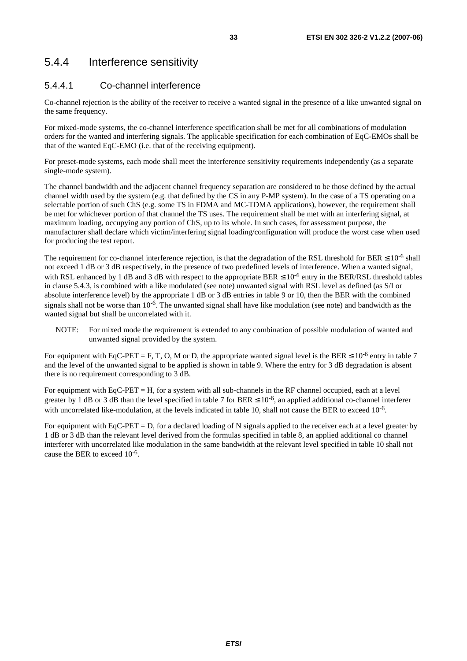## 5.4.4 Interference sensitivity

### 5.4.4.1 Co-channel interference

Co-channel rejection is the ability of the receiver to receive a wanted signal in the presence of a like unwanted signal on the same frequency.

For mixed-mode systems, the co-channel interference specification shall be met for all combinations of modulation orders for the wanted and interfering signals. The applicable specification for each combination of EqC-EMOs shall be that of the wanted EqC-EMO (i.e. that of the receiving equipment).

For preset-mode systems, each mode shall meet the interference sensitivity requirements independently (as a separate single-mode system).

The channel bandwidth and the adjacent channel frequency separation are considered to be those defined by the actual channel width used by the system (e.g. that defined by the CS in any P-MP system). In the case of a TS operating on a selectable portion of such ChS (e.g. some TS in FDMA and MC-TDMA applications), however, the requirement shall be met for whichever portion of that channel the TS uses. The requirement shall be met with an interfering signal, at maximum loading, occupying any portion of ChS, up to its whole. In such cases, for assessment purpose, the manufacturer shall declare which victim/interfering signal loading/configuration will produce the worst case when used for producing the test report.

The requirement for co-channel interference rejection, is that the degradation of the RSL threshold for BER  $\leq 10^{-6}$  shall not exceed 1 dB or 3 dB respectively, in the presence of two predefined levels of interference. When a wanted signal, with RSL enhanced by 1 dB and 3 dB with respect to the appropriate BER  $\leq 10^{-6}$  entry in the BER/RSL threshold tables in clause 5.4.3, is combined with a like modulated (see note) unwanted signal with RSL level as defined (as S/I or absolute interference level) by the appropriate 1 dB or 3 dB entries in table 9 or 10, then the BER with the combined signals shall not be worse than  $10^{-6}$ . The unwanted signal shall have like modulation (see note) and bandwidth as the wanted signal but shall be uncorrelated with it.

NOTE: For mixed mode the requirement is extended to any combination of possible modulation of wanted and unwanted signal provided by the system.

For equipment with EqC-PET = F, T, O, M or D, the appropriate wanted signal level is the BER  $\leq 10^{-6}$  entry in table 7 and the level of the unwanted signal to be applied is shown in table 9. Where the entry for 3 dB degradation is absent there is no requirement corresponding to 3 dB.

For equipment with EqC-PET = H, for a system with all sub-channels in the RF channel occupied, each at a level greater by 1 dB or 3 dB than the level specified in table 7 for BER  $\leq 10^{-6}$ , an applied additional co-channel interferer with uncorrelated like-modulation, at the levels indicated in table 10, shall not cause the BER to exceed 10<sup>-6</sup>.

For equipment with EqC-PET = D, for a declared loading of N signals applied to the receiver each at a level greater by 1 dB or 3 dB than the relevant level derived from the formulas specified in table 8, an applied additional co channel interferer with uncorrelated like modulation in the same bandwidth at the relevant level specified in table 10 shall not cause the BER to exceed 10-6.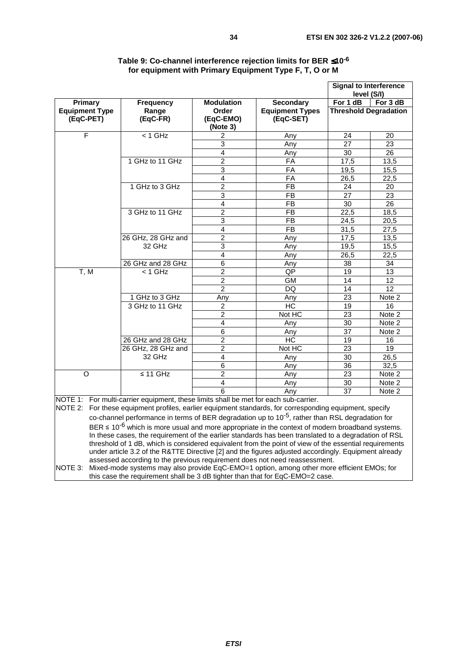|                       |                                                                                    |                   |                        | <b>Signal to Interference</b><br>level (S/I) |                            |
|-----------------------|------------------------------------------------------------------------------------|-------------------|------------------------|----------------------------------------------|----------------------------|
| <b>Primary</b>        | <b>Frequency</b>                                                                   | <b>Modulation</b> | <b>Secondary</b>       | For 1 dB                                     | For 3 dB                   |
| <b>Equipment Type</b> | Range                                                                              | Order             | <b>Equipment Types</b> | <b>Threshold Degradation</b>                 |                            |
| (EqC-PET)             | (EqC-FR)                                                                           | (EqC-EMO)         | (EqC-SET)              |                                              |                            |
|                       |                                                                                    | (Note 3)          |                        |                                              |                            |
| F                     | $<$ 1 GHz                                                                          | 2                 | Any                    | 24                                           | 20                         |
|                       |                                                                                    | 3                 | Any                    | 27                                           | 23                         |
|                       |                                                                                    | 4                 | Any                    | 30                                           | 26                         |
|                       | 1 GHz to 11 GHz                                                                    | $\overline{2}$    | <b>FA</b>              | 17,5                                         | 13,5                       |
|                       |                                                                                    | $\overline{3}$    | FA                     | 19,5                                         | 15,5                       |
|                       |                                                                                    | $\overline{4}$    | <b>FA</b>              | 26,5                                         | 22,5                       |
|                       | 1 GHz to 3 GHz                                                                     | $\overline{2}$    | <b>FB</b>              | 24                                           | 20                         |
|                       |                                                                                    | 3                 | <b>FB</b>              | 27                                           | 23                         |
|                       |                                                                                    | $\overline{4}$    | <b>FB</b>              | 30                                           | 26                         |
|                       | 3 GHz to 11 GHz                                                                    | $\overline{2}$    | <b>FB</b>              | 22,5                                         | 18,5                       |
|                       |                                                                                    | $\overline{3}$    | <b>FB</b>              | 24,5                                         | 20,5                       |
|                       |                                                                                    | $\overline{4}$    | <b>FB</b>              | 31,5                                         | 27,5                       |
|                       | 26 GHz, 28 GHz and                                                                 | $\overline{2}$    | Any                    | 17,5                                         | 13,5                       |
|                       | 32 GHz                                                                             | $\overline{3}$    | Any                    | 19,5                                         | 15,5                       |
|                       |                                                                                    | 4                 | Any                    | 26,5                                         | 22,5                       |
|                       | 26 GHz and 28 GHz                                                                  | 6                 | Any                    | 38                                           | 34                         |
| T, M                  | $<$ 1 GHz                                                                          | $\overline{2}$    | QP                     | 19                                           | 13                         |
|                       |                                                                                    | $\overline{2}$    | <b>GM</b>              | 14                                           | 12                         |
|                       |                                                                                    | $\overline{2}$    | <b>DQ</b>              | 14                                           | 12                         |
|                       | 1 GHz to 3 GHz                                                                     | Any               | Any                    | 23                                           | Note 2                     |
|                       | 3 GHz to 11 GHz                                                                    | $\overline{a}$    | <b>HC</b>              | 19                                           | 16                         |
|                       |                                                                                    | $\overline{c}$    | Not HC                 | 23                                           | Note 2                     |
|                       |                                                                                    | 4                 | Any                    | 30                                           | Note 2                     |
|                       |                                                                                    | 6                 | Any                    | 37                                           | Note 2                     |
|                       | 26 GHz and 28 GHz                                                                  | $\overline{2}$    | <b>HC</b>              | 19                                           | 16                         |
|                       | 26 GHz, 28 GHz and                                                                 | $\overline{2}$    | Not HC                 | 23                                           | 19                         |
|                       | 32 GHz                                                                             | 4                 | Any                    | 30                                           | 26,5                       |
|                       |                                                                                    | 6                 | Any                    | 36                                           | 32,5                       |
| O                     | $\leq$ 11 GHz                                                                      | $\overline{2}$    | Any                    | 23                                           | Note 2                     |
|                       |                                                                                    | $\overline{4}$    | Any                    | 30                                           | Note 2                     |
|                       |                                                                                    | 6                 | Any                    | 37                                           | $\overline{\text{Note}}$ 2 |
|                       | NOTE 1: For multi-carrier equipment these limits shall be met for each sub-carrier |                   |                        |                                              |                            |

#### **Table 9: Co-channel interference rejection limits for BER** ≤**10-6 for equipment with Primary Equipment Type F, T, O or M**

equipment, these limits shall be met for ea

NOTE 2: For these equipment profiles, earlier equipment standards, for corresponding equipment, specify co-channel performance in terms of BER degradation up to 10-5, rather than RSL degradation for BER  $\leq$  10<sup>-6</sup> which is more usual and more appropriate in the context of modern broadband systems. -threshold of 1 dB, which is considered equivalent from the point of view of the essential requirements In these cases, the requirement of the earlier standards has been translated to a degradation of RSL under article 3.2 of the R&TTE Directive [2] and the figures adjusted accordingly. Equipment already assessed according to the previous requirement does not need reassessment. NOTE 3: Mixed-mode systems may also provide EqC-EMO=1 option, among other more efficient EMOs; for this case the requirement shall be 3 dB tighter than that for EqC-EMO=2 case.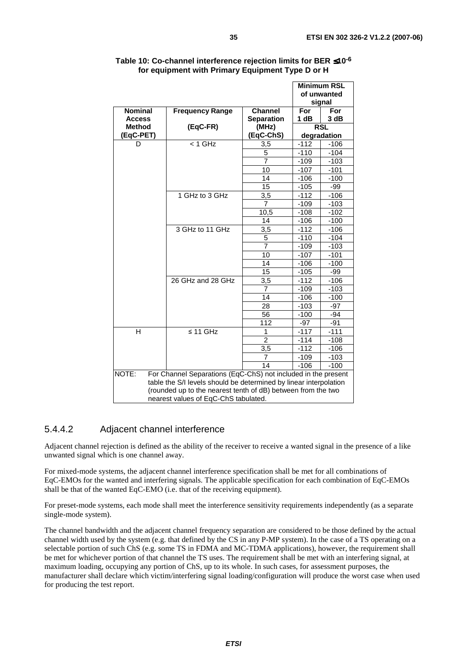|                                                                                                                                                                                                                                                     |                        |                   |        | <b>Minimum RSL</b><br>of unwanted<br>signal |  |  |  |  |
|-----------------------------------------------------------------------------------------------------------------------------------------------------------------------------------------------------------------------------------------------------|------------------------|-------------------|--------|---------------------------------------------|--|--|--|--|
| <b>Nominal</b>                                                                                                                                                                                                                                      | <b>Frequency Range</b> | <b>Channel</b>    | For    | For                                         |  |  |  |  |
| <b>Access</b>                                                                                                                                                                                                                                       |                        | <b>Separation</b> | 1 dB   | 3 dB                                        |  |  |  |  |
| <b>Method</b>                                                                                                                                                                                                                                       | (EqC-FR)               | (MHz)             |        | <b>RSL</b>                                  |  |  |  |  |
| (EqC-PET)                                                                                                                                                                                                                                           |                        | (EqC-ChS)         |        | degradation                                 |  |  |  |  |
| D                                                                                                                                                                                                                                                   | $< 1$ GHz              | 3,5               | $-112$ | $-106$                                      |  |  |  |  |
|                                                                                                                                                                                                                                                     |                        | 5                 | $-110$ | $-104$                                      |  |  |  |  |
|                                                                                                                                                                                                                                                     |                        | $\overline{7}$    | $-109$ | $-103$                                      |  |  |  |  |
|                                                                                                                                                                                                                                                     |                        | 10                | $-107$ | $-101$                                      |  |  |  |  |
|                                                                                                                                                                                                                                                     |                        | 14                | $-106$ | $-100$                                      |  |  |  |  |
|                                                                                                                                                                                                                                                     |                        | 15                | $-105$ | -99                                         |  |  |  |  |
|                                                                                                                                                                                                                                                     | 1 GHz to 3 GHz         | 3,5               | $-112$ | $-106$                                      |  |  |  |  |
|                                                                                                                                                                                                                                                     |                        | $\overline{7}$    | $-109$ | $-103$                                      |  |  |  |  |
|                                                                                                                                                                                                                                                     |                        | 10,5              | $-108$ | $-102$                                      |  |  |  |  |
|                                                                                                                                                                                                                                                     |                        | 14                | $-106$ | $-100$                                      |  |  |  |  |
|                                                                                                                                                                                                                                                     | 3 GHz to 11 GHz        | 3,5               | $-112$ | $-106$                                      |  |  |  |  |
|                                                                                                                                                                                                                                                     |                        | 5                 | $-110$ | $-104$                                      |  |  |  |  |
|                                                                                                                                                                                                                                                     |                        | $\overline{7}$    | $-109$ | $-103$                                      |  |  |  |  |
|                                                                                                                                                                                                                                                     |                        | 10                | $-107$ | $-101$                                      |  |  |  |  |
|                                                                                                                                                                                                                                                     |                        | 14                | $-106$ | $-100$                                      |  |  |  |  |
|                                                                                                                                                                                                                                                     |                        | 15                | $-105$ | -99                                         |  |  |  |  |
|                                                                                                                                                                                                                                                     | 26 GHz and 28 GHz      | 3,5               | $-112$ | $-106$                                      |  |  |  |  |
|                                                                                                                                                                                                                                                     |                        | 7                 | $-109$ | $-103$                                      |  |  |  |  |
|                                                                                                                                                                                                                                                     |                        | 14                | $-106$ | $-100$                                      |  |  |  |  |
|                                                                                                                                                                                                                                                     |                        | 28                | $-103$ | $-97$                                       |  |  |  |  |
|                                                                                                                                                                                                                                                     |                        | 56                | $-100$ | -94                                         |  |  |  |  |
|                                                                                                                                                                                                                                                     |                        | 112               | -97    | $-91$                                       |  |  |  |  |
| Н                                                                                                                                                                                                                                                   | $\leq$ 11 GHz          | 1                 | $-117$ | $-111$                                      |  |  |  |  |
|                                                                                                                                                                                                                                                     |                        | $\overline{2}$    | $-114$ | $-108$                                      |  |  |  |  |
|                                                                                                                                                                                                                                                     |                        | 3,5               | $-112$ | $-106$                                      |  |  |  |  |
|                                                                                                                                                                                                                                                     |                        | $\overline{7}$    | $-109$ | $-103$                                      |  |  |  |  |
|                                                                                                                                                                                                                                                     |                        | 14                | $-106$ | $-100$                                      |  |  |  |  |
| NOTE:<br>For Channel Separations (EqC-ChS) not included in the present<br>table the S/I levels should be determined by linear interpolation<br>(rounded up to the nearest tenth of dB) between from the two<br>nearest values of EqC-ChS tabulated. |                        |                   |        |                                             |  |  |  |  |

#### **Table 10: Co-channel interference rejection limits for BER** ≤**10-6 for equipment with Primary Equipment Type D or H**

### 5.4.4.2 Adjacent channel interference

Adjacent channel rejection is defined as the ability of the receiver to receive a wanted signal in the presence of a like unwanted signal which is one channel away.

For mixed-mode systems, the adjacent channel interference specification shall be met for all combinations of EqC-EMOs for the wanted and interfering signals. The applicable specification for each combination of EqC-EMOs shall be that of the wanted EqC-EMO (i.e. that of the receiving equipment).

For preset-mode systems, each mode shall meet the interference sensitivity requirements independently (as a separate single-mode system).

The channel bandwidth and the adjacent channel frequency separation are considered to be those defined by the actual channel width used by the system (e.g. that defined by the CS in any P-MP system). In the case of a TS operating on a selectable portion of such ChS (e.g. some TS in FDMA and MC-TDMA applications), however, the requirement shall be met for whichever portion of that channel the TS uses. The requirement shall be met with an interfering signal, at maximum loading, occupying any portion of ChS, up to its whole. In such cases, for assessment purposes, the manufacturer shall declare which victim/interfering signal loading/configuration will produce the worst case when used for producing the test report.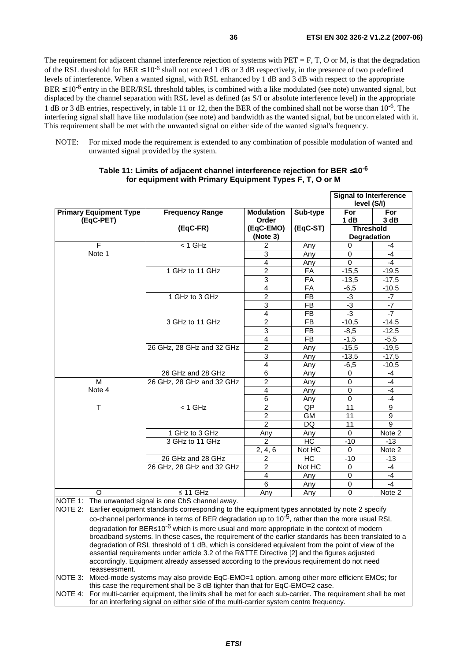The requirement for adjacent channel interference rejection of systems with  $PET = F$ ,  $T$ ,  $O$  or  $M$ , is that the degradation of the RSL threshold for BER  $\leq 10^{-6}$  shall not exceed 1 dB or 3 dB respectively, in the presence of two predefined levels of interference. When a wanted signal, with RSL enhanced by 1 dB and 3 dB with respect to the appropriate  $BER \leq 10^{-6}$  entry in the BER/RSL threshold tables, is combined with a like modulated (see note) unwanted signal, but displaced by the channel separation with RSL level as defined (as S/I or absolute interference level) in the appropriate 1 dB or 3 dB entries, respectively, in table 11 or 12, then the BER of the combined shall not be worse than 10-6. The interfering signal shall have like modulation (see note) and bandwidth as the wanted signal, but be uncorrelated with it. This requirement shall be met with the unwanted signal on either side of the wanted signal's frequency.

NOTE: For mixed mode the requirement is extended to any combination of possible modulation of wanted and unwanted signal provided by the system.

|                                                                                                      |                                                      |                         |                | <b>Signal to Interference</b><br>level (S/I) |                |  |
|------------------------------------------------------------------------------------------------------|------------------------------------------------------|-------------------------|----------------|----------------------------------------------|----------------|--|
| <b>Primary Equipment Type</b>                                                                        | <b>Frequency Range</b>                               | <b>Modulation</b>       | Sub-type       | For                                          | For            |  |
| (EqC-PET)                                                                                            |                                                      | Order                   |                | 1 dB                                         | 3 dB           |  |
|                                                                                                      | $(EqC-FR)$                                           | (EqC-EMO)               | (EqC-ST)       | <b>Threshold</b>                             |                |  |
|                                                                                                      |                                                      | (Note 3)                |                | Degradation                                  |                |  |
| F                                                                                                    | $< 1$ GHz                                            | $\overline{c}$          | Any            | $\mathbf 0$                                  | -4             |  |
| Note 1                                                                                               |                                                      | 3                       | Any            | $\mathbf 0$                                  | $-4$           |  |
|                                                                                                      |                                                      | $\overline{\mathbf{4}}$ | Any            | $\Omega$                                     | $-4$           |  |
|                                                                                                      | 1 GHz to 11 GHz                                      | $\overline{2}$          | FA             | $-15,5$                                      | $-19,5$        |  |
|                                                                                                      |                                                      | 3                       | FA             | $-13,5$                                      | $-17.5$        |  |
|                                                                                                      |                                                      | $\overline{\mathbf{4}}$ | FA             | $-6,5$                                       | $-10,5$        |  |
|                                                                                                      | 1 GHz to 3 GHz                                       | $\overline{2}$          | <b>FB</b>      | $-3$                                         | $-7$           |  |
|                                                                                                      |                                                      | 3                       | <b>FB</b>      | $-3$                                         | $-7$           |  |
|                                                                                                      |                                                      | 4                       | <b>FB</b>      | $-3$                                         | $-7$           |  |
|                                                                                                      | 3 GHz to 11 GHz                                      | $\overline{2}$          | <b>FB</b>      | $-10,5$                                      | $-14,5$        |  |
|                                                                                                      |                                                      | $\overline{3}$          | <b>FB</b>      | $-8,5$                                       | $-12,5$        |  |
|                                                                                                      |                                                      | $\overline{4}$          | <b>FB</b>      | $-1,5$                                       | $-5,5$         |  |
|                                                                                                      | 26 GHz, 28 GHz and 32 GHz                            | $\overline{2}$          | Any            | $-15,5$                                      | $-19,5$        |  |
|                                                                                                      |                                                      | $\overline{3}$          | Any            | $-13,5$                                      | $-17,5$        |  |
|                                                                                                      |                                                      | $\overline{4}$          | Any            | $-6,5$                                       | $-10,5$        |  |
|                                                                                                      | 26 GHz and 28 GHz                                    | 6                       | Any            | 0                                            | $-4$           |  |
| $\overline{M}$                                                                                       | 26 GHz, 28 GHz and 32 GHz                            | $\overline{2}$          | Any            | $\mathbf 0$                                  | $-4$           |  |
| Note 4                                                                                               |                                                      | $\overline{4}$          | Any            | $\mathbf 0$                                  | $-4$           |  |
|                                                                                                      |                                                      | $\overline{6}$          | Any            | $\overline{0}$                               | $-4$           |  |
| T                                                                                                    | $< 1$ GHz                                            | $\overline{2}$          | QP             | 11                                           | 9              |  |
|                                                                                                      |                                                      | $\overline{2}$          | <b>GM</b>      | 11                                           | $\overline{9}$ |  |
|                                                                                                      |                                                      | $\overline{2}$          | DQ             | 11                                           | 9              |  |
|                                                                                                      | 1 GHz to 3 GHz                                       | Any                     | Any            | $\Omega$                                     | Note 2         |  |
|                                                                                                      | 3 GHz to 11 GHz                                      | $\overline{2}$          | H <sub>C</sub> | $-10$                                        | $-13$          |  |
|                                                                                                      |                                                      | 2, 4, 6                 | Not HC         | $\mathbf 0$                                  | Note 2         |  |
|                                                                                                      | 26 GHz and 28 GHz                                    | $\overline{2}$          | H <sub>C</sub> | $-10$                                        | $-13$          |  |
|                                                                                                      | 26 GHz, 28 GHz and 32 GHz                            | $\overline{2}$          | Not HC         | $\mathbf 0$                                  | $-4$           |  |
|                                                                                                      |                                                      | 4                       | Any            | $\mathbf 0$                                  | $-4$           |  |
|                                                                                                      |                                                      | 6                       | Any            | $\mathbf 0$                                  | $-4$           |  |
| $\circ$                                                                                              | $\leq$ 11 GHz                                        | Any                     | Any            | $\Omega$                                     | Note 2         |  |
|                                                                                                      | NOTE 1: The unwanted signal is one ChS channel away. |                         |                |                                              |                |  |
| NOTE 2: Earlier equipment standards corresponding to the equipment types annotated by note 2 specify |                                                      |                         |                |                                              |                |  |

#### **Table 11: Limits of adjacent channel interference rejection for BER** ≤**10-6 for equipment with Primary Equipment Types F, T, O or M**

co-channel performance in terms of BER degradation up to  $10^{-5}$ , rather than the more usual RSL degradation for BER≤10<sup>-6</sup> which is more usual and more appropriate in the context of modern degradation of RSL threshold of 1 dB, which is considered equivalent from the point of view of the broadband systems. In these cases, the requirement of the earlier standards has been translated to a essential requirements under article 3.2 of the R&TTE Directive [2] and the figures adjusted accordingly. Equipment already assessed according to the previous requirement do not need reassessment. NOTE 3: Mixed-mode systems may also provide EqC-EMO=1 option, among other more efficient EMOs; for this case the requirement shall be 3 dB tighter than that for EqC-EMO=2 case.

NOTE 4: For multi-carrier equipment, the limits shall be met for each sub-carrier. The requirement shall be met for an interfering signal on either side of the multi-carrier system centre frequency.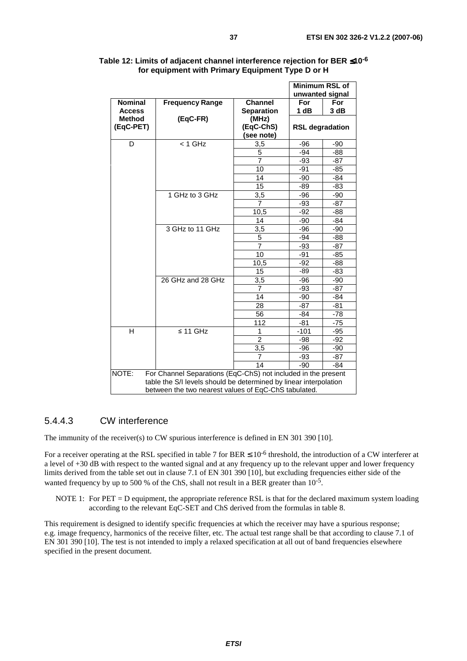|                            |                                                                                                                                                                                            |                    | <b>Minimum RSL of</b><br>unwanted signal |       |
|----------------------------|--------------------------------------------------------------------------------------------------------------------------------------------------------------------------------------------|--------------------|------------------------------------------|-------|
| <b>Nominal</b>             | <b>Frequency Range</b>                                                                                                                                                                     | <b>Channel</b>     | For                                      | For   |
| <b>Access</b>              |                                                                                                                                                                                            | <b>Separation</b>  | 1 dB                                     | 3 dB  |
| <b>Method</b><br>(EqC-PET) | (EqC-FR)                                                                                                                                                                                   | (MHz)<br>(EqC-ChS) |                                          |       |
|                            |                                                                                                                                                                                            | (see note)         | <b>RSL degradation</b>                   |       |
| D                          | $<$ 1 GHz                                                                                                                                                                                  | 3,5                | $-96$                                    | -90   |
|                            |                                                                                                                                                                                            | 5                  | $-94$                                    | -88   |
|                            |                                                                                                                                                                                            | $\overline{7}$     | -93                                      | -87   |
|                            |                                                                                                                                                                                            | 10                 | -91                                      | $-85$ |
|                            |                                                                                                                                                                                            | 14                 | $-90$                                    | $-84$ |
|                            |                                                                                                                                                                                            | $\overline{15}$    | $-89$                                    | $-83$ |
|                            | 1 GHz to 3 GHz                                                                                                                                                                             | 3,5                | $-96$                                    | $-90$ |
|                            |                                                                                                                                                                                            | $\overline{7}$     | $-93$                                    | $-87$ |
|                            |                                                                                                                                                                                            | 10,5               | $-92$                                    | $-88$ |
|                            |                                                                                                                                                                                            | 14                 | -90                                      | -84   |
|                            | 3 GHz to 11 GHz                                                                                                                                                                            | 3,5                | -96                                      | -90   |
|                            |                                                                                                                                                                                            | 5                  | $-94$                                    | $-88$ |
|                            |                                                                                                                                                                                            | $\overline{7}$     | $-93$                                    | $-87$ |
|                            |                                                                                                                                                                                            | 10                 | $-91$                                    | $-85$ |
|                            |                                                                                                                                                                                            | 10,5               | $-92$                                    | $-88$ |
|                            |                                                                                                                                                                                            | 15                 | $-89$                                    | $-83$ |
|                            | 26 GHz and 28 GHz                                                                                                                                                                          | 3,5                | $-96$                                    | $-90$ |
|                            |                                                                                                                                                                                            | $\overline{7}$     | $-93$                                    | $-87$ |
|                            |                                                                                                                                                                                            | 14                 | -90                                      | -84   |
|                            |                                                                                                                                                                                            | 28                 | $-87$                                    | -81   |
|                            |                                                                                                                                                                                            | 56                 | $-84$                                    | $-78$ |
|                            |                                                                                                                                                                                            | 112                | $-81$                                    | $-75$ |
| H                          | $\leq 11$ GHz                                                                                                                                                                              | 1                  | $-101$                                   | -95   |
|                            |                                                                                                                                                                                            | $\overline{2}$     | -98                                      | $-92$ |
|                            |                                                                                                                                                                                            | 3,5                | -96                                      | $-90$ |
|                            |                                                                                                                                                                                            | $\overline{7}$     | -93                                      | -87   |
|                            |                                                                                                                                                                                            | 14                 | $-90$                                    | -84   |
| NOTE:                      | For Channel Separations (EqC-ChS) not included in the present<br>table the S/I levels should be determined by linear interpolation<br>between the two nearest values of EqC-ChS tabulated. |                    |                                          |       |

#### **Table 12: Limits of adjacent channel interference rejection for BER** ≤**10-6 for equipment with Primary Equipment Type D or H**

### 5.4.4.3 CW interference

The immunity of the receiver(s) to CW spurious interference is defined in EN 301 390 [10].

For a receiver operating at the RSL specified in table 7 for BER  $\leq 10^{-6}$  threshold, the introduction of a CW interferer at a level of +30 dB with respect to the wanted signal and at any frequency up to the relevant upper and lower frequency limits derived from the table set out in clause 7.1 of EN 301 390 [10], but excluding frequencies either side of the wanted frequency by up to 500 % of the ChS, shall not result in a BER greater than  $10^{-5}$ .

NOTE 1: For  $PET = D$  equipment, the appropriate reference RSL is that for the declared maximum system loading according to the relevant EqC-SET and ChS derived from the formulas in table 8.

This requirement is designed to identify specific frequencies at which the receiver may have a spurious response; e.g. image frequency, harmonics of the receive filter, etc. The actual test range shall be that according to clause 7.1 of EN 301 390 [10]. The test is not intended to imply a relaxed specification at all out of band frequencies elsewhere specified in the present document.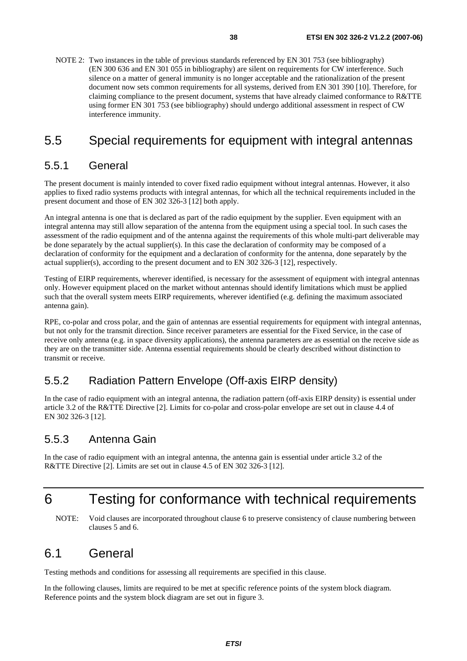NOTE 2: Two instances in the table of previous standards referenced by EN 301 753 (see bibliography) (EN 300 636 and EN 301 055 in bibliography) are silent on requirements for CW interference. Such silence on a matter of general immunity is no longer acceptable and the rationalization of the present document now sets common requirements for all systems, derived from EN 301 390 [10]. Therefore, for claiming compliance to the present document, systems that have already claimed conformance to R&TTE using former EN 301 753 (see bibliography) should undergo additional assessment in respect of CW interference immunity.

## 5.5 Special requirements for equipment with integral antennas

### 5.5.1 General

The present document is mainly intended to cover fixed radio equipment without integral antennas. However, it also applies to fixed radio systems products with integral antennas, for which all the technical requirements included in the present document and those of EN 302 326-3 [12] both apply.

An integral antenna is one that is declared as part of the radio equipment by the supplier. Even equipment with an integral antenna may still allow separation of the antenna from the equipment using a special tool. In such cases the assessment of the radio equipment and of the antenna against the requirements of this whole multi-part deliverable may be done separately by the actual supplier(s). In this case the declaration of conformity may be composed of a declaration of conformity for the equipment and a declaration of conformity for the antenna, done separately by the actual supplier(s), according to the present document and to EN 302 326-3 [12], respectively.

Testing of EIRP requirements, wherever identified, is necessary for the assessment of equipment with integral antennas only. However equipment placed on the market without antennas should identify limitations which must be applied such that the overall system meets EIRP requirements, wherever identified (e.g. defining the maximum associated antenna gain).

RPE, co-polar and cross polar, and the gain of antennas are essential requirements for equipment with integral antennas, but not only for the transmit direction. Since receiver parameters are essential for the Fixed Service, in the case of receive only antenna (e.g. in space diversity applications), the antenna parameters are as essential on the receive side as they are on the transmitter side. Antenna essential requirements should be clearly described without distinction to transmit or receive.

## 5.5.2 Radiation Pattern Envelope (Off-axis EIRP density)

In the case of radio equipment with an integral antenna, the radiation pattern (off-axis EIRP density) is essential under article 3.2 of the R&TTE Directive [2]. Limits for co-polar and cross-polar envelope are set out in clause 4.4 of EN 302 326-3 [12].

### 5.5.3 Antenna Gain

In the case of radio equipment with an integral antenna, the antenna gain is essential under article 3.2 of the R&TTE Directive [2]. Limits are set out in clause 4.5 of EN 302 326-3 [12].

## 6 Testing for conformance with technical requirements

NOTE: Void clauses are incorporated throughout clause 6 to preserve consistency of clause numbering between clauses 5 and 6.

## 6.1 General

Testing methods and conditions for assessing all requirements are specified in this clause.

In the following clauses, limits are required to be met at specific reference points of the system block diagram. Reference points and the system block diagram are set out in figure 3.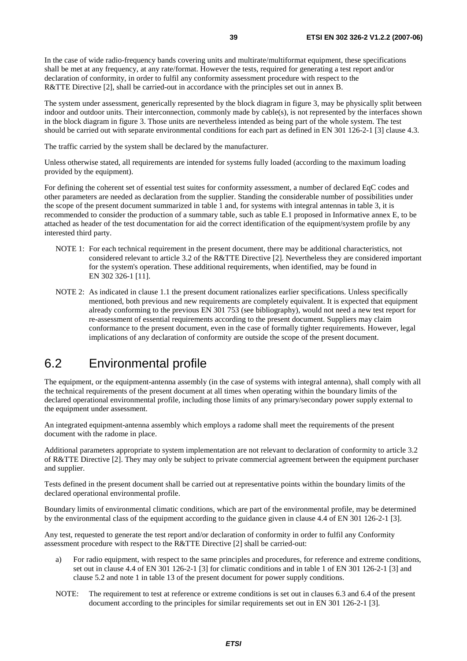In the case of wide radio-frequency bands covering units and multirate/multiformat equipment, these specifications shall be met at any frequency, at any rate/format. However the tests, required for generating a test report and/or declaration of conformity, in order to fulfil any conformity assessment procedure with respect to the R&TTE Directive [2], shall be carried-out in accordance with the principles set out in annex B.

The system under assessment, generically represented by the block diagram in figure 3, may be physically split between indoor and outdoor units. Their interconnection, commonly made by cable(s), is not represented by the interfaces shown in the block diagram in figure 3. Those units are nevertheless intended as being part of the whole system. The test should be carried out with separate environmental conditions for each part as defined in EN 301 126-2-1 [3] clause 4.3.

The traffic carried by the system shall be declared by the manufacturer.

Unless otherwise stated, all requirements are intended for systems fully loaded (according to the maximum loading provided by the equipment).

For defining the coherent set of essential test suites for conformity assessment, a number of declared EqC codes and other parameters are needed as declaration from the supplier. Standing the considerable number of possibilities under the scope of the present document summarized in table 1 and, for systems with integral antennas in table 3, it is recommended to consider the production of a summary table, such as table E.1 proposed in Informative annex E, to be attached as header of the test documentation for aid the correct identification of the equipment/system profile by any interested third party.

- NOTE 1: For each technical requirement in the present document, there may be additional characteristics, not considered relevant to article 3.2 of the R&TTE Directive [2]. Nevertheless they are considered important for the system's operation. These additional requirements, when identified, may be found in EN 302 326-1 [11].
- NOTE 2: As indicated in clause 1.1 the present document rationalizes earlier specifications. Unless specifically mentioned, both previous and new requirements are completely equivalent. It is expected that equipment already conforming to the previous EN 301 753 (see bibliography), would not need a new test report for re-assessment of essential requirements according to the present document. Suppliers may claim conformance to the present document, even in the case of formally tighter requirements. However, legal implications of any declaration of conformity are outside the scope of the present document.

## 6.2 Environmental profile

The equipment, or the equipment-antenna assembly (in the case of systems with integral antenna), shall comply with all the technical requirements of the present document at all times when operating within the boundary limits of the declared operational environmental profile, including those limits of any primary/secondary power supply external to the equipment under assessment.

An integrated equipment-antenna assembly which employs a radome shall meet the requirements of the present document with the radome in place.

Additional parameters appropriate to system implementation are not relevant to declaration of conformity to article 3.2 of R&TTE Directive [2]. They may only be subject to private commercial agreement between the equipment purchaser and supplier.

Tests defined in the present document shall be carried out at representative points within the boundary limits of the declared operational environmental profile.

Boundary limits of environmental climatic conditions, which are part of the environmental profile, may be determined by the environmental class of the equipment according to the guidance given in clause 4.4 of EN 301 126-2-1 [3].

Any test, requested to generate the test report and/or declaration of conformity in order to fulfil any Conformity assessment procedure with respect to the R&TTE Directive [2] shall be carried-out:

- a) For radio equipment, with respect to the same principles and procedures, for reference and extreme conditions, set out in clause 4.4 of EN 301 126-2-1 [3] for climatic conditions and in table 1 of EN 301 126-2-1 [3] and clause 5.2 and note 1 in table 13 of the present document for power supply conditions.
- NOTE: The requirement to test at reference or extreme conditions is set out in clauses 6.3 and 6.4 of the present document according to the principles for similar requirements set out in EN 301 126-2-1 [3].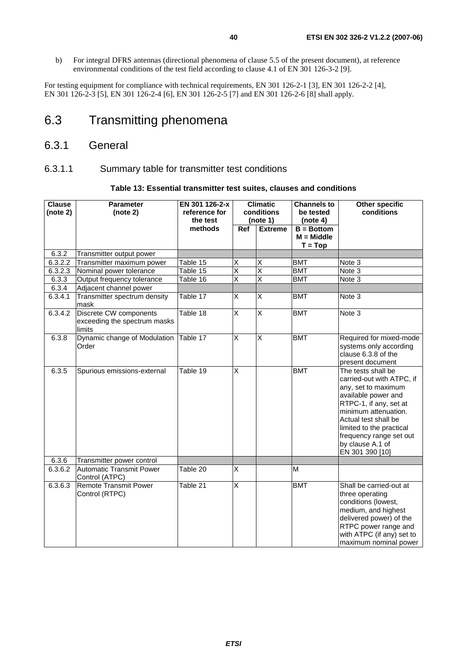b) For integral DFRS antennas (directional phenomena of clause 5.5 of the present document), at reference environmental conditions of the test field according to clause 4.1 of EN 301 126-3-2 [9].

For testing equipment for compliance with technical requirements, EN 301 126-2-1 [3], EN 301 126-2-2 [4], EN 301 126-2-3 [5], EN 301 126-2-4 [6], EN 301 126-2-5 [7] and EN 301 126-2-6 [8] shall apply.

## 6.3 Transmitting phenomena

### 6.3.1 General

#### 6.3.1.1 Summary table for transmitter test conditions

#### **Table 13: Essential transmitter test suites, clauses and conditions**

| <b>Clause</b><br>(note 2) | <b>Parameter</b><br>(note 2)                                     | EN 301 126-2-x<br>reference for<br>the test |                         | <b>Climatic</b><br>conditions<br>(note 1) | <b>Channels to</b><br>be tested<br>(note 4) | <b>Other specific</b><br>conditions                                                                                                                                                                                                                                   |
|---------------------------|------------------------------------------------------------------|---------------------------------------------|-------------------------|-------------------------------------------|---------------------------------------------|-----------------------------------------------------------------------------------------------------------------------------------------------------------------------------------------------------------------------------------------------------------------------|
|                           |                                                                  | methods                                     | Ref                     | <b>Extreme</b>                            | $B = Bottom$<br>$M = Middle$<br>$T = Top$   |                                                                                                                                                                                                                                                                       |
| 6.3.2                     | Transmitter output power                                         |                                             |                         |                                           |                                             |                                                                                                                                                                                                                                                                       |
| 6.3.2.2                   | Transmitter maximum power                                        | $\overline{\text{Table}}$ 15                | X                       | X                                         | <b>BMT</b>                                  | Note 3                                                                                                                                                                                                                                                                |
| 6.3.2.3                   | Nominal power tolerance                                          | Table 15                                    | $\overline{\mathsf{x}}$ | $\overline{\mathsf{x}}$                   | <b>BMT</b>                                  | Note 3                                                                                                                                                                                                                                                                |
| 6.3.3                     | Output frequency tolerance                                       | Table 16                                    | $\overline{\mathsf{x}}$ | $\overline{\mathsf{x}}$                   | <b>BMT</b>                                  | Note 3                                                                                                                                                                                                                                                                |
| 6.3.4                     | Adjacent channel power                                           |                                             |                         |                                           |                                             |                                                                                                                                                                                                                                                                       |
| 6.3.4.1                   | Transmitter spectrum density<br>mask                             | Table 17                                    | X                       | X                                         | <b>BMT</b>                                  | Note <sub>3</sub>                                                                                                                                                                                                                                                     |
| 6.3.4.2                   | Discrete CW components<br>exceeding the spectrum masks<br>limits | Table 18                                    | $\overline{\mathsf{x}}$ | X                                         | <b>BMT</b>                                  | Note 3                                                                                                                                                                                                                                                                |
| 6.3.8                     | Dynamic change of Modulation<br>Order                            | Table 17                                    | X                       | X                                         | <b>BMT</b>                                  | Required for mixed-mode<br>systems only according<br>clause 6.3.8 of the<br>present document                                                                                                                                                                          |
| 6.3.5                     | Spurious emissions-external                                      | Table 19                                    | $\overline{\mathsf{x}}$ |                                           | <b>BMT</b>                                  | The tests shall be<br>carried-out with ATPC, if<br>any, set to maximum<br>available power and<br>RTPC-1, if any, set at<br>minimum attenuation.<br>Actual test shall be<br>limited to the practical<br>frequency range set out<br>by clause A.1 of<br>EN 301 390 [10] |
| 6.3.6                     | Transmitter power control                                        |                                             |                         |                                           |                                             |                                                                                                                                                                                                                                                                       |
| 6.3.6.2                   | <b>Automatic Transmit Power</b><br>Control (ATPC)                | Table 20                                    | X                       |                                           | M                                           |                                                                                                                                                                                                                                                                       |
| 6.3.6.3                   | <b>Remote Transmit Power</b><br>Control (RTPC)                   | Table 21                                    | $\overline{\mathsf{x}}$ |                                           | <b>BMT</b>                                  | Shall be carried-out at<br>three operating<br>conditions (lowest,<br>medium, and highest<br>delivered power) of the<br>RTPC power range and<br>with ATPC (if any) set to<br>maximum nominal power                                                                     |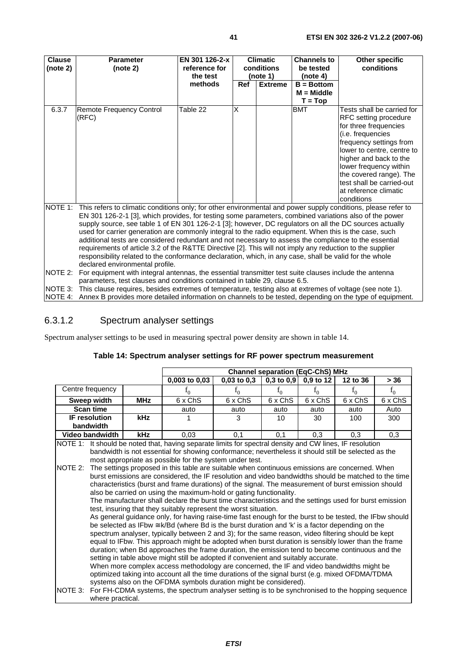| <b>Clause</b><br>(note 2) | <b>Parameter</b><br>(note 2)                                                                                                                                                                                                                                                                                                                                                                                                                                                                                                                                                                                                                                                                                                                                                                                                                                                                                              | EN 301 126-2-x<br>reference for<br>the test |            | <b>Climatic</b><br>conditions<br>(note 1) | <b>Channels to</b><br>be tested<br>(note 4) | <b>Other specific</b><br>conditions                                                                                                                                                                                                                                                                           |
|---------------------------|---------------------------------------------------------------------------------------------------------------------------------------------------------------------------------------------------------------------------------------------------------------------------------------------------------------------------------------------------------------------------------------------------------------------------------------------------------------------------------------------------------------------------------------------------------------------------------------------------------------------------------------------------------------------------------------------------------------------------------------------------------------------------------------------------------------------------------------------------------------------------------------------------------------------------|---------------------------------------------|------------|-------------------------------------------|---------------------------------------------|---------------------------------------------------------------------------------------------------------------------------------------------------------------------------------------------------------------------------------------------------------------------------------------------------------------|
|                           |                                                                                                                                                                                                                                                                                                                                                                                                                                                                                                                                                                                                                                                                                                                                                                                                                                                                                                                           | methods                                     | <b>Ref</b> | <b>Extreme</b>                            | $B = Bottom$<br>$M = Middle$                |                                                                                                                                                                                                                                                                                                               |
|                           |                                                                                                                                                                                                                                                                                                                                                                                                                                                                                                                                                                                                                                                                                                                                                                                                                                                                                                                           |                                             |            |                                           | $T = Top$                                   |                                                                                                                                                                                                                                                                                                               |
| 6.3.7                     | <b>Remote Frequency Control</b><br>(RFC)                                                                                                                                                                                                                                                                                                                                                                                                                                                                                                                                                                                                                                                                                                                                                                                                                                                                                  | Table 22                                    | X          |                                           | <b>BMT</b>                                  | Tests shall be carried for<br>RFC setting procedure<br>for three frequencies<br>(i.e. frequencies<br>frequency settings from<br>lower to centre, centre to<br>higher and back to the<br>lower frequency within<br>the covered range). The<br>test shall be carried-out<br>at reference climatic<br>conditions |
| NOTE 1:<br>$NOTF$ 2:      | This refers to climatic conditions only; for other environmental and power supply conditions, please refer to<br>EN 301 126-2-1 [3], which provides, for testing some parameters, combined variations also of the power<br>supply source, see table 1 of EN 301 126-2-1 [3]; however, DC regulators on all the DC sources actually<br>used for carrier generation are commonly integral to the radio equipment. When this is the case, such<br>additional tests are considered redundant and not necessary to assess the compliance to the essential<br>requirements of article 3.2 of the R&TTE Directive [2]. This will not imply any reduction to the supplier<br>responsibility related to the conformance declaration, which, in any case, shall be valid for the whole<br>declared environmental profile.<br>For equipment with integral antennas, the essential transmitter test suite clauses include the antenna |                                             |            |                                           |                                             |                                                                                                                                                                                                                                                                                                               |

NOTE 2: For equipment with integral antennas, the essential transmitter test suite clauses include the antenna parameters, test clauses and conditions contained in table 29, clause 6.5.

NOTE 3: This clause requires, besides extremes of temperature, testing also at extremes of voltage (see note 1).

NOTE 4: Annex B provides more detailed information on channels to be tested, depending on the type of equipment.

#### 6.3.1.2 Spectrum analyser settings

Spectrum analyser settings to be used in measuring spectral power density are shown in table 14.

|                                                                                                                                                    |            | <b>Channel separation (EqC-ChS) MHz</b>                                                                                                                                                                                                                                                                                                                                                                                                                                                                                                                                                                                                                                                                                                                                                                                                                                                                                                                                                                                                                                                                                                                                                                                                                                                                                                                                                                                                                                                                                                                                                                                                                                                                                             |                 |                |           |          |         |
|----------------------------------------------------------------------------------------------------------------------------------------------------|------------|-------------------------------------------------------------------------------------------------------------------------------------------------------------------------------------------------------------------------------------------------------------------------------------------------------------------------------------------------------------------------------------------------------------------------------------------------------------------------------------------------------------------------------------------------------------------------------------------------------------------------------------------------------------------------------------------------------------------------------------------------------------------------------------------------------------------------------------------------------------------------------------------------------------------------------------------------------------------------------------------------------------------------------------------------------------------------------------------------------------------------------------------------------------------------------------------------------------------------------------------------------------------------------------------------------------------------------------------------------------------------------------------------------------------------------------------------------------------------------------------------------------------------------------------------------------------------------------------------------------------------------------------------------------------------------------------------------------------------------------|-----------------|----------------|-----------|----------|---------|
|                                                                                                                                                    |            | 0,003 to 0,03                                                                                                                                                                                                                                                                                                                                                                                                                                                                                                                                                                                                                                                                                                                                                                                                                                                                                                                                                                                                                                                                                                                                                                                                                                                                                                                                                                                                                                                                                                                                                                                                                                                                                                                       | $0,03$ to $0,3$ | $0,3$ to $0,9$ | 0,9 to 12 | 12 to 36 | > 36    |
| Centre frequency                                                                                                                                   |            | $f_{0}$                                                                                                                                                                                                                                                                                                                                                                                                                                                                                                                                                                                                                                                                                                                                                                                                                                                                                                                                                                                                                                                                                                                                                                                                                                                                                                                                                                                                                                                                                                                                                                                                                                                                                                                             | $f_{0}$         | $f_{0}$        | $f_0$     | $f_0$    | $f_0$   |
| Sweep width                                                                                                                                        | <b>MHz</b> | 6 x ChS                                                                                                                                                                                                                                                                                                                                                                                                                                                                                                                                                                                                                                                                                                                                                                                                                                                                                                                                                                                                                                                                                                                                                                                                                                                                                                                                                                                                                                                                                                                                                                                                                                                                                                                             | 6 x ChS         | 6 x ChS        | 6 x ChS   | 6 x ChS  | 6 x ChS |
| <b>Scan time</b>                                                                                                                                   |            | auto                                                                                                                                                                                                                                                                                                                                                                                                                                                                                                                                                                                                                                                                                                                                                                                                                                                                                                                                                                                                                                                                                                                                                                                                                                                                                                                                                                                                                                                                                                                                                                                                                                                                                                                                | auto            | auto           | auto      | auto     | Auto    |
| <b>IF resolution</b><br>bandwidth                                                                                                                  | <b>kHz</b> |                                                                                                                                                                                                                                                                                                                                                                                                                                                                                                                                                                                                                                                                                                                                                                                                                                                                                                                                                                                                                                                                                                                                                                                                                                                                                                                                                                                                                                                                                                                                                                                                                                                                                                                                     | 3               | 10             | 30        | 100      | 300     |
| Video bandwidth                                                                                                                                    | <b>kHz</b> | 0,03                                                                                                                                                                                                                                                                                                                                                                                                                                                                                                                                                                                                                                                                                                                                                                                                                                                                                                                                                                                                                                                                                                                                                                                                                                                                                                                                                                                                                                                                                                                                                                                                                                                                                                                                | 0,1             | 0,1            | 0.3       | 0.3      | 0,3     |
| NOTE 1: It should be noted that, having separate limits for spectral density and CW lines, IF resolution<br>NOTE 2:<br>NOTE 3:<br>where practical. |            | bandwidth is not essential for showing conformance; nevertheless it should still be selected as the<br>most appropriate as possible for the system under test.<br>The settings proposed in this table are suitable when continuous emissions are concerned. When<br>burst emissions are considered, the IF resolution and video bandwidths should be matched to the time<br>characteristics (burst and frame durations) of the signal. The measurement of burst emission should<br>also be carried on using the maximum-hold or gating functionality.<br>The manufacturer shall declare the burst time characteristics and the settings used for burst emission<br>test, insuring that they suitably represent the worst situation.<br>As general guidance only, for having raise-time fast enough for the burst to be tested, the IFbw should<br>be selected as IFbw $\cong$ k/Bd (where Bd is the burst duration and 'k' is a factor depending on the<br>spectrum analyser, typically between 2 and 3); for the same reason, video filtering should be kept<br>equal to IFbw. This approach might be adopted when burst duration is sensibly lower than the frame<br>duration; when Bd approaches the frame duration, the emission tend to become continuous and the<br>setting in table above might still be adopted if convenient and suitably accurate.<br>When more complex access methodology are concerned, the IF and video bandwidths might be<br>optimized taking into account all the time durations of the signal burst (e.g. mixed OFDMA/TDMA<br>systems also on the OFDMA symbols duration might be considered).<br>For FH-CDMA systems, the spectrum analyser setting is to be synchronised to the hopping sequence |                 |                |           |          |         |

#### **Table 14: Spectrum analyser settings for RF power spectrum measurement**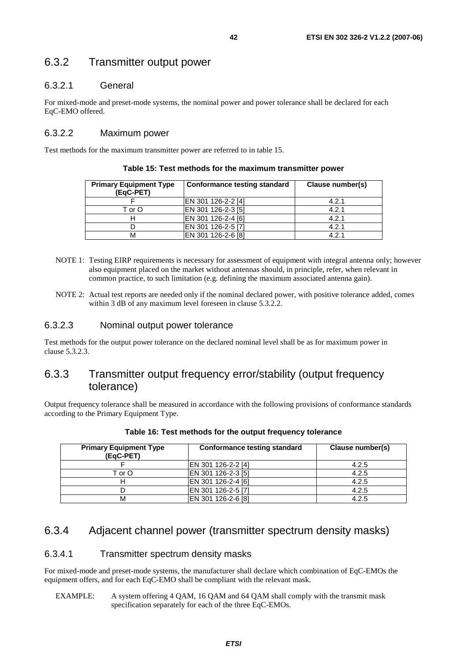### 6.3.2 Transmitter output power

#### 6.3.2.1 General

For mixed-mode and preset-mode systems, the nominal power and power tolerance shall be declared for each EqC-EMO offered.

#### 6.3.2.2 Maximum power

Test methods for the maximum transmitter power are referred to in table 15.

| <b>Primary Equipment Type</b><br>(EqC-PET) | <b>Conformance testing standard</b> | Clause number(s) |
|--------------------------------------------|-------------------------------------|------------------|
|                                            | EN 301 126-2-2 [4]                  | 4.2.1            |
| T or O                                     | EN 301 126-2-3 [5]                  | 4.2.1            |
|                                            | EN 301 126-2-4 [6]                  | 4.2.1            |
|                                            | IEN 301 126-2-5 [7]                 | 4.2.1            |
| М                                          | EN 301 126-2-6 [8]                  | 4.2.1            |

**Table 15: Test methods for the maximum transmitter power** 

- NOTE 1: Testing EIRP requirements is necessary for assessment of equipment with integral antenna only; however also equipment placed on the market without antennas should, in principle, refer, when relevant in common practice, to such limitation (e.g. defining the maximum associated antenna gain).
- NOTE 2: Actual test reports are needed only if the nominal declared power, with positive tolerance added, comes within 3 dB of any maximum level foreseen in clause 5.3.2.2.

#### 6.3.2.3 Nominal output power tolerance

Test methods for the output power tolerance on the declared nominal level shall be as for maximum power in clause 5.3.2.3.

### 6.3.3 Transmitter output frequency error/stability (output frequency tolerance)

Output frequency tolerance shall be measured in accordance with the following provisions of conformance standards according to the Primary Equipment Type.

| <b>Primary Equipment Type</b><br>(EqC-PET) | <b>Conformance testing standard</b> | Clause number(s) |
|--------------------------------------------|-------------------------------------|------------------|
|                                            | IEN 301 126-2-2 [4]                 | 4.2.5            |
| T or O                                     | EN 301 126-2-3 [5]                  | 4.2.5            |
|                                            | EN 301 126-2-4 [6]                  | 4.2.5            |
|                                            | EN 301 126-2-5 [7]                  | 4.2.5            |
|                                            | EN 301 126-2-6 [8]                  | 4.2.5            |

#### **Table 16: Test methods for the output frequency tolerance**

### 6.3.4 Adjacent channel power (transmitter spectrum density masks)

#### 6.3.4.1 Transmitter spectrum density masks

For mixed-mode and preset-mode systems, the manufacturer shall declare which combination of EqC-EMOs the equipment offers, and for each EqC-EMO shall be compliant with the relevant mask.

EXAMPLE: A system offering 4 QAM, 16 QAM and 64 QAM shall comply with the transmit mask specification separately for each of the three EqC-EMOs.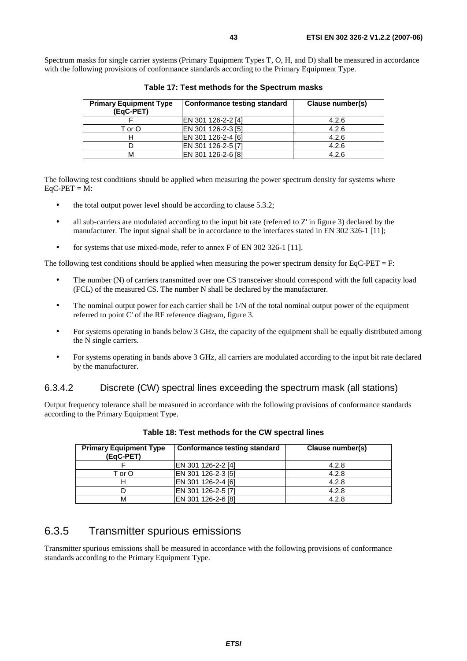| <b>Primary Equipment Type</b><br>(EgC-PET) | Conformance testing standard | Clause number(s) |
|--------------------------------------------|------------------------------|------------------|
|                                            | EN 301 126-2-2 [4]           | 4.2.6            |
| T or O                                     | EN 301 126-2-3 [5]           | 4.2.6            |
|                                            | EN 301 126-2-4 [6]           | 4.2.6            |
|                                            | EN 301 126-2-5 [7]           | 4.2.6            |
| м                                          | EN 301 126-2-6 [8]           | 4.2.6            |

**Table 17: Test methods for the Spectrum masks** 

The following test conditions should be applied when measuring the power spectrum density for systems where  $EqC-PET = M$ :

- the total output power level should be according to clause 5.3.2;
- all sub-carriers are modulated according to the input bit rate (referred to Z' in figure 3) declared by the manufacturer. The input signal shall be in accordance to the interfaces stated in EN 302 326-1 [11];
- for systems that use mixed-mode, refer to annex F of EN 302 326-1 [11].

The following test conditions should be applied when measuring the power spectrum density for EqC-PET = F:

- The number (N) of carriers transmitted over one CS transceiver should correspond with the full capacity load (FCL) of the measured CS. The number N shall be declared by the manufacturer.
- The nominal output power for each carrier shall be  $1/N$  of the total nominal output power of the equipment referred to point C' of the RF reference diagram, figure 3.
- For systems operating in bands below 3 GHz, the capacity of the equipment shall be equally distributed among the N single carriers.
- For systems operating in bands above 3 GHz, all carriers are modulated according to the input bit rate declared by the manufacturer.

### 6.3.4.2 Discrete (CW) spectral lines exceeding the spectrum mask (all stations)

Output frequency tolerance shall be measured in accordance with the following provisions of conformance standards according to the Primary Equipment Type.

| <b>Primary Equipment Type</b><br>(EqC-PET) | <b>Conformance testing standard</b> | Clause number(s) |
|--------------------------------------------|-------------------------------------|------------------|
|                                            | EN 301 126-2-2 [4]                  | 4.2.8            |
| T or O                                     | EN 301 126-2-3 [5]                  | 4.2.8            |
|                                            | EN 301 126-2-4 [6]                  | 4.2.8            |
|                                            | EN 301 126-2-5 [7]                  | 4.2.8            |
| м                                          | EN 301 126-2-6 [8]                  | 4.2.8            |

#### **Table 18: Test methods for the CW spectral lines**

### 6.3.5 Transmitter spurious emissions

Transmitter spurious emissions shall be measured in accordance with the following provisions of conformance standards according to the Primary Equipment Type.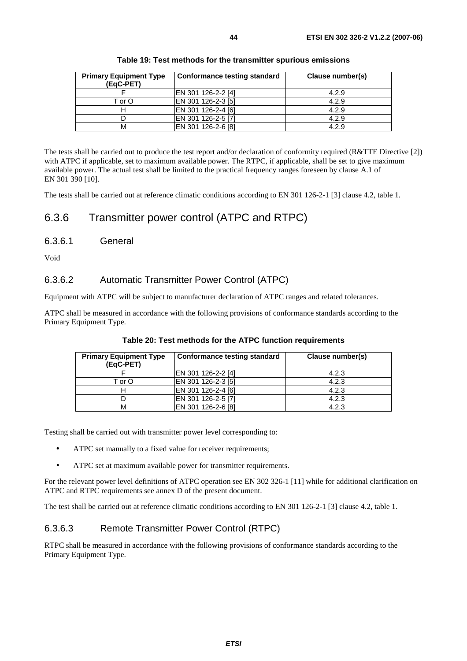|  |  |  |  | Table 19: Test methods for the transmitter spurious emissions |
|--|--|--|--|---------------------------------------------------------------|
|--|--|--|--|---------------------------------------------------------------|

The tests shall be carried out to produce the test report and/or declaration of conformity required (R&TTE Directive [2]) with ATPC if applicable, set to maximum available power. The RTPC, if applicable, shall be set to give maximum available power. The actual test shall be limited to the practical frequency ranges foreseen by clause A.1 of EN 301 390 [10].

The tests shall be carried out at reference climatic conditions according to EN 301 126-2-1 [3] clause 4.2, table 1.

### 6.3.6 Transmitter power control (ATPC and RTPC)

#### 6.3.6.1 General

Void

#### 6.3.6.2 Automatic Transmitter Power Control (ATPC)

Equipment with ATPC will be subject to manufacturer declaration of ATPC ranges and related tolerances.

ATPC shall be measured in accordance with the following provisions of conformance standards according to the Primary Equipment Type.

| <b>Primary Equipment Type</b><br>(EgC-PET) | Conformance testing standard | Clause number(s) |
|--------------------------------------------|------------------------------|------------------|
|                                            | EN 301 126-2-2 [4]           | 4.2.3            |
| T or O                                     | EN 301 126-2-3 [5]           | 4.2.3            |
|                                            | EN 301 126-2-4 [6]           | 4.2.3            |
|                                            | EN 301 126-2-5 [7]           | 4.2.3            |
|                                            | EN 301 126-2-6 [8]           | 4.2.3            |

#### **Table 20: Test methods for the ATPC function requirements**

Testing shall be carried out with transmitter power level corresponding to:

- ATPC set manually to a fixed value for receiver requirements;
- ATPC set at maximum available power for transmitter requirements.

For the relevant power level definitions of ATPC operation see EN 302 326-1 [11] while for additional clarification on ATPC and RTPC requirements see annex D of the present document.

The test shall be carried out at reference climatic conditions according to EN 301 126-2-1 [3] clause 4.2, table 1.

#### 6.3.6.3 Remote Transmitter Power Control (RTPC)

RTPC shall be measured in accordance with the following provisions of conformance standards according to the Primary Equipment Type.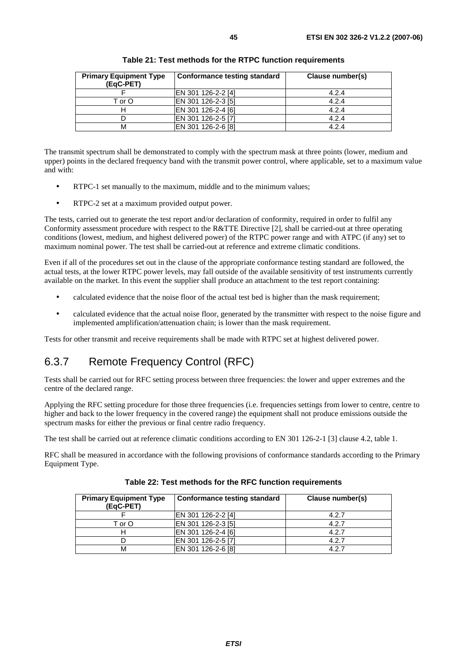| <b>Primary Equipment Type</b><br>(EqC-PET) | <b>Conformance testing standard</b> | Clause number(s) |
|--------------------------------------------|-------------------------------------|------------------|
|                                            | EN 301 126-2-2 [4]                  | 4.2.4            |
| T or O                                     | EN 301 126-2-3 [5]                  | 4.2.4            |
|                                            | EN 301 126-2-4 [6]                  | 4.2.4            |
|                                            | EN 301 126-2-5 [7]                  | 4.2.4            |
|                                            | EN 301 126-2-6 [8]                  | 4.2.4            |

**Table 21: Test methods for the RTPC function requirements** 

The transmit spectrum shall be demonstrated to comply with the spectrum mask at three points (lower, medium and upper) points in the declared frequency band with the transmit power control, where applicable, set to a maximum value and with:

- RTPC-1 set manually to the maximum, middle and to the minimum values;
- RTPC-2 set at a maximum provided output power.

The tests, carried out to generate the test report and/or declaration of conformity, required in order to fulfil any Conformity assessment procedure with respect to the R&TTE Directive [2], shall be carried-out at three operating conditions (lowest, medium, and highest delivered power) of the RTPC power range and with ATPC (if any) set to maximum nominal power. The test shall be carried-out at reference and extreme climatic conditions.

Even if all of the procedures set out in the clause of the appropriate conformance testing standard are followed, the actual tests, at the lower RTPC power levels, may fall outside of the available sensitivity of test instruments currently available on the market. In this event the supplier shall produce an attachment to the test report containing:

- calculated evidence that the noise floor of the actual test bed is higher than the mask requirement;
- calculated evidence that the actual noise floor, generated by the transmitter with respect to the noise figure and implemented amplification/attenuation chain; is lower than the mask requirement.

Tests for other transmit and receive requirements shall be made with RTPC set at highest delivered power.

## 6.3.7 Remote Frequency Control (RFC)

Tests shall be carried out for RFC setting process between three frequencies: the lower and upper extremes and the centre of the declared range.

Applying the RFC setting procedure for those three frequencies (i.e. frequencies settings from lower to centre, centre to higher and back to the lower frequency in the covered range) the equipment shall not produce emissions outside the spectrum masks for either the previous or final centre radio frequency.

The test shall be carried out at reference climatic conditions according to EN 301 126-2-1 [3] clause 4.2, table 1.

RFC shall be measured in accordance with the following provisions of conformance standards according to the Primary Equipment Type.

| <b>Primary Equipment Type</b><br>(EqC-PET) | <b>Conformance testing standard</b> | Clause number(s) |
|--------------------------------------------|-------------------------------------|------------------|
|                                            | EN 301 126-2-2 [4]                  | 4.2.7            |
| T or O                                     | EN 301 126-2-3 [5]                  | 4.2.7            |
|                                            | EN 301 126-2-4 [6]                  | 4.2.7            |
|                                            | EN 301 126-2-5 [7]                  | 4.2.7            |
|                                            | EN 301 126-2-6 [8]                  | 4.2.7            |

**Table 22: Test methods for the RFC function requirements**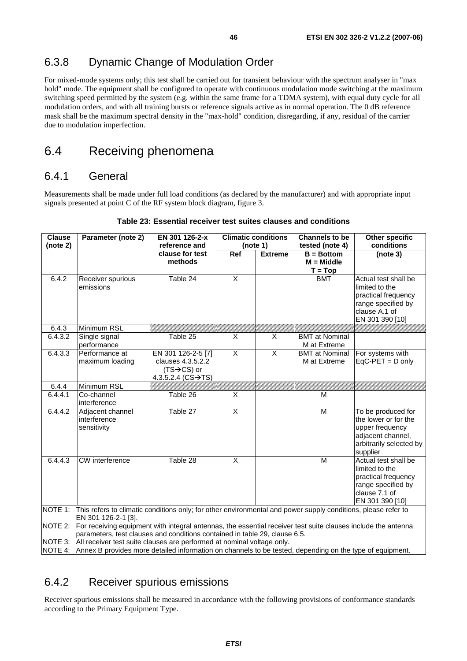## 6.3.8 Dynamic Change of Modulation Order

For mixed-mode systems only; this test shall be carried out for transient behaviour with the spectrum analyser in "max hold" mode. The equipment shall be configured to operate with continuous modulation mode switching at the maximum switching speed permitted by the system (e.g. within the same frame for a TDMA system), with equal duty cycle for all modulation orders, and with all training bursts or reference signals active as in normal operation. The 0 dB reference mask shall be the maximum spectral density in the "max-hold" condition, disregarding, if any, residual of the carrier due to modulation imperfection.

## 6.4 Receiving phenomena

### 6.4.1 General

Measurements shall be made under full load conditions (as declared by the manufacturer) and with appropriate input signals presented at point C of the RF system block diagram, figure 3.

| <b>Clause</b> | Parameter (note 2)                                                                                                                                                                                  | EN 301 126-2-x                                                                                           | <b>Climatic conditions</b> |                         | <b>Channels to be</b>                 | <b>Other specific</b>                                                                                                     |  |  |  |
|---------------|-----------------------------------------------------------------------------------------------------------------------------------------------------------------------------------------------------|----------------------------------------------------------------------------------------------------------|----------------------------|-------------------------|---------------------------------------|---------------------------------------------------------------------------------------------------------------------------|--|--|--|
| (note 2)      |                                                                                                                                                                                                     | reference and                                                                                            | (note 1)                   |                         | tested (note 4)                       | conditions                                                                                                                |  |  |  |
|               |                                                                                                                                                                                                     | clause for test<br>methods                                                                               | $\overline{Ref}$           | <b>Extreme</b>          | $B = Bottom$<br>$M = Middle$          | (note 3)                                                                                                                  |  |  |  |
|               |                                                                                                                                                                                                     |                                                                                                          |                            |                         | $T = Top$                             |                                                                                                                           |  |  |  |
| 6.4.2         | Receiver spurious<br>emissions                                                                                                                                                                      | Table 24                                                                                                 | X                          |                         | <b>BMT</b>                            | Actual test shall be<br>limited to the<br>practical frequency<br>range specified by<br>clause A.1 of<br>EN 301 390 [10]   |  |  |  |
| 6.4.3         | Minimum RSL                                                                                                                                                                                         |                                                                                                          |                            |                         |                                       |                                                                                                                           |  |  |  |
| 6.4.3.2       | Single signal<br>performance                                                                                                                                                                        | Table 25                                                                                                 | $\overline{\mathsf{x}}$    | X                       | <b>BMT</b> at Nominal<br>M at Extreme |                                                                                                                           |  |  |  |
| 6.4.3.3       | Performance at<br>maximum loading                                                                                                                                                                   | EN 301 126-2-5 [7]<br>clauses 4.3.5.2.2<br>$(TS \rightarrow CS)$ or<br>4.3.5.2.4 ( $CS \rightarrow TS$ ) | $\overline{X}$             | $\overline{\mathsf{x}}$ | <b>BMT</b> at Nominal<br>M at Extreme | For systems with<br>$EqC-PET = D$ only                                                                                    |  |  |  |
| 6.4.4         | Minimum RSL                                                                                                                                                                                         |                                                                                                          |                            |                         |                                       |                                                                                                                           |  |  |  |
| 6.4.4.1       | Co-channel<br>linterference                                                                                                                                                                         | Table 26                                                                                                 | X                          |                         | M                                     |                                                                                                                           |  |  |  |
| 6.4.4.2       | Adjacent channel<br>interference<br>sensitivity                                                                                                                                                     | Table 27                                                                                                 | $\overline{X}$             |                         | M                                     | To be produced for<br>the lower or for the<br>upper frequency<br>adjacent channel,<br>arbitrarily selected by<br>supplier |  |  |  |
| 6.4.4.3       | CW interference                                                                                                                                                                                     | Table 28                                                                                                 | X                          |                         | M                                     | Actual test shall be<br>limited to the<br>practical frequency<br>range specified by<br>clause 7.1 of<br>EN 301 390 [10]   |  |  |  |
|               | NOTE 1: This refers to climatic conditions only; for other environmental and power supply conditions, please refer to                                                                               |                                                                                                          |                            |                         |                                       |                                                                                                                           |  |  |  |
|               | EN 301 126-2-1 [3].                                                                                                                                                                                 |                                                                                                          |                            |                         |                                       |                                                                                                                           |  |  |  |
|               | NOTE 2: For receiving equipment with integral antennas, the essential receiver test suite clauses include the antenna<br>parameters, test clauses and conditions contained in table 29, clause 6.5. |                                                                                                          |                            |                         |                                       |                                                                                                                           |  |  |  |
|               | NOTE 3: All receiver test suite clauses are performed at nominal voltage only.                                                                                                                      |                                                                                                          |                            |                         |                                       |                                                                                                                           |  |  |  |

#### **Table 23: Essential receiver test suites clauses and conditions**

NOTE 4: Annex B provides more detailed information on channels to be tested, depending on the type of equipment.

## 6.4.2 Receiver spurious emissions

Receiver spurious emissions shall be measured in accordance with the following provisions of conformance standards according to the Primary Equipment Type.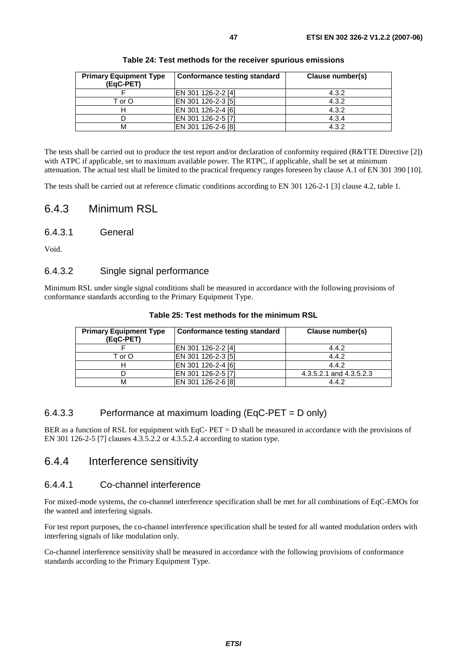| Table 24: Test methods for the receiver spurious emissions |  |  |  |  |  |  |
|------------------------------------------------------------|--|--|--|--|--|--|
|------------------------------------------------------------|--|--|--|--|--|--|

The tests shall be carried out to produce the test report and/or declaration of conformity required (R&TTE Directive [2]) with ATPC if applicable, set to maximum available power. The RTPC, if applicable, shall be set at minimum attenuation. The actual test shall be limited to the practical frequency ranges foreseen by clause A.1 of EN 301 390 [10].

The tests shall be carried out at reference climatic conditions according to EN 301 126-2-1 [3] clause 4.2, table 1.

### 6.4.3 Minimum RSL

6.4.3.1 General

Void.

#### 6.4.3.2 Single signal performance

Minimum RSL under single signal conditions shall be measured in accordance with the following provisions of conformance standards according to the Primary Equipment Type.

| <b>Primary Equipment Type</b><br>(EqC-PET) | <b>Conformance testing standard</b> | Clause number(s)        |
|--------------------------------------------|-------------------------------------|-------------------------|
|                                            | EN 301 126-2-2 [4]                  | 4.4.2                   |
| T or O                                     | EN 301 126-2-3 [5]                  | 4.4.2                   |
|                                            | EN 301 126-2-4 [6]                  | 4.4.2                   |
|                                            | EN 301 126-2-5 [7]                  | 4.3.5.2.1 and 4.3.5.2.3 |
| M                                          | EN 301 126-2-6 [8]                  | 4.4.2                   |

**Table 25: Test methods for the minimum RSL** 

#### 6.4.3.3 Performance at maximum loading (EqC-PET = D only)

BER as a function of RSL for equipment with EqC- PET = D shall be measured in accordance with the provisions of EN 301 126-2-5 [7] clauses 4.3.5.2.2 or 4.3.5.2.4 according to station type.

### 6.4.4 Interference sensitivity

#### 6.4.4.1 Co-channel interference

For mixed-mode systems, the co-channel interference specification shall be met for all combinations of EqC-EMOs for the wanted and interfering signals.

For test report purposes, the co-channel interference specification shall be tested for all wanted modulation orders with interfering signals of like modulation only.

Co-channel interference sensitivity shall be measured in accordance with the following provisions of conformance standards according to the Primary Equipment Type.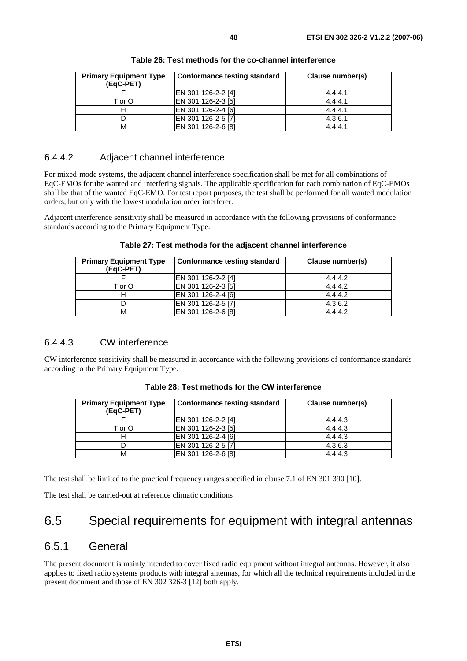| <b>Primary Equipment Type</b><br>(EqC-PET) | <b>Conformance testing standard</b> | Clause number(s) |
|--------------------------------------------|-------------------------------------|------------------|
|                                            | EN 301 126-2-2 [4]                  | 4.4.4.1          |
| T or O                                     | EN 301 126-2-3 [5]                  | 4.4.4.1          |
|                                            | EN 301 126-2-4 [6]                  | 4.4.4.1          |
|                                            | EN 301 126-2-5 [7]                  | 4.3.6.1          |
|                                            | EN 301 126-2-6 [8]                  | 4.4.4.1          |

**Table 26: Test methods for the co-channel interference** 

#### 6.4.4.2 Adjacent channel interference

For mixed-mode systems, the adjacent channel interference specification shall be met for all combinations of EqC-EMOs for the wanted and interfering signals. The applicable specification for each combination of EqC-EMOs shall be that of the wanted EqC-EMO. For test report purposes, the test shall be performed for all wanted modulation orders, but only with the lowest modulation order interferer.

Adjacent interference sensitivity shall be measured in accordance with the following provisions of conformance standards according to the Primary Equipment Type.

| <b>Primary Equipment Type</b><br>(EqC-PET) | <b>Conformance testing standard</b> | Clause number(s) |
|--------------------------------------------|-------------------------------------|------------------|
|                                            | EN 301 126-2-2 [4]                  | 4.4.4.2          |
| T or O                                     | EN 301 126-2-3 [5]                  | 4.4.4.2          |
|                                            | EN 301 126-2-4 [6]                  | 4.4.4.2          |
|                                            | EN 301 126-2-5 [7]                  | 4.3.6.2          |
|                                            | EN 301 126-2-6 [8]                  | 4.4.4.2          |

**Table 27: Test methods for the adjacent channel interference** 

### 6.4.4.3 CW interference

CW interference sensitivity shall be measured in accordance with the following provisions of conformance standards according to the Primary Equipment Type.

| <b>Primary Equipment Type</b><br>(EqC-PET) | Conformance testing standard | Clause number(s) |
|--------------------------------------------|------------------------------|------------------|
|                                            | EN 301 126-2-2 [4]           | 4.4.4.3          |
| T or O                                     | EN 301 126-2-3 [5]           | 4.4.4.3          |
|                                            | EN 301 126-2-4 [6]           | 4.4.4.3          |
|                                            | EN 301 126-2-5 [7]           | 4.3.6.3          |
| М                                          | EN 301 126-2-6 [8]           | 4.4.4.3          |

**Table 28: Test methods for the CW interference** 

The test shall be limited to the practical frequency ranges specified in clause 7.1 of EN 301 390 [10].

The test shall be carried-out at reference climatic conditions

## 6.5 Special requirements for equipment with integral antennas

### 6.5.1 General

The present document is mainly intended to cover fixed radio equipment without integral antennas. However, it also applies to fixed radio systems products with integral antennas, for which all the technical requirements included in the present document and those of EN 302 326-3 [12] both apply.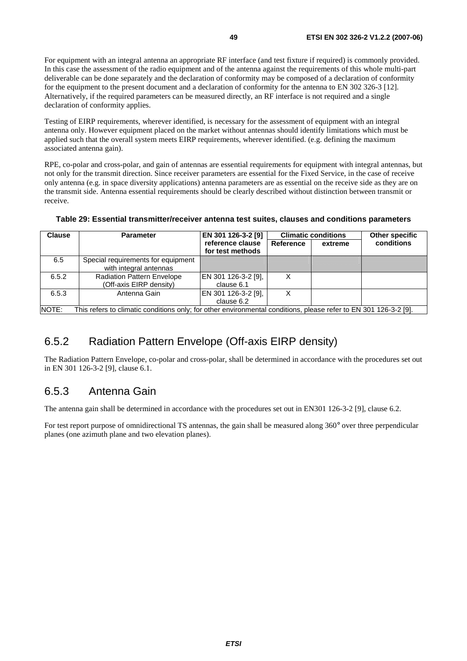For equipment with an integral antenna an appropriate RF interface (and test fixture if required) is commonly provided. In this case the assessment of the radio equipment and of the antenna against the requirements of this whole multi-part deliverable can be done separately and the declaration of conformity may be composed of a declaration of conformity for the equipment to the present document and a declaration of conformity for the antenna to EN 302 326-3 [12]. Alternatively, if the required parameters can be measured directly, an RF interface is not required and a single declaration of conformity applies.

Testing of EIRP requirements, wherever identified, is necessary for the assessment of equipment with an integral antenna only. However equipment placed on the market without antennas should identify limitations which must be applied such that the overall system meets EIRP requirements, wherever identified. (e.g. defining the maximum associated antenna gain).

RPE, co-polar and cross-polar, and gain of antennas are essential requirements for equipment with integral antennas, but not only for the transmit direction. Since receiver parameters are essential for the Fixed Service, in the case of receive only antenna (e.g. in space diversity applications) antenna parameters are as essential on the receive side as they are on the transmit side. Antenna essential requirements should be clearly described without distinction between transmit or receive.

| <b>Clause</b>                                                                                                             | <b>Parameter</b>                   | EN 301 126-3-2 [9]  |                      | <b>Climatic conditions</b> | Other specific |  |  |
|---------------------------------------------------------------------------------------------------------------------------|------------------------------------|---------------------|----------------------|----------------------------|----------------|--|--|
|                                                                                                                           |                                    | reference clause    | Reference<br>extreme |                            | conditions     |  |  |
|                                                                                                                           |                                    | for test methods    |                      |                            |                |  |  |
| 6.5                                                                                                                       | Special requirements for equipment |                     |                      |                            |                |  |  |
|                                                                                                                           | with integral antennas             |                     |                      |                            |                |  |  |
| 6.5.2                                                                                                                     | <b>Radiation Pattern Envelope</b>  | EN 301 126-3-2 [9], | X                    |                            |                |  |  |
|                                                                                                                           | (Off-axis EIRP density)            | clause 6.1          |                      |                            |                |  |  |
| 6.5.3                                                                                                                     | Antenna Gain                       | EN 301 126-3-2 [9], |                      |                            |                |  |  |
|                                                                                                                           |                                    | clause 6.2          |                      |                            |                |  |  |
| NOTE:<br>This refers to climatic conditions only; for other environmental conditions, please refer to EN 301 126-3-2 [9]. |                                    |                     |                      |                            |                |  |  |

#### **Table 29: Essential transmitter/receiver antenna test suites, clauses and conditions parameters**

## 6.5.2 Radiation Pattern Envelope (Off-axis EIRP density)

The Radiation Pattern Envelope, co-polar and cross-polar, shall be determined in accordance with the procedures set out in EN 301 126-3-2 [9], clause 6.1.

### 6.5.3 Antenna Gain

The antenna gain shall be determined in accordance with the procedures set out in EN301 126-3-2 [9], clause 6.2.

For test report purpose of omnidirectional TS antennas, the gain shall be measured along 360° over three perpendicular planes (one azimuth plane and two elevation planes).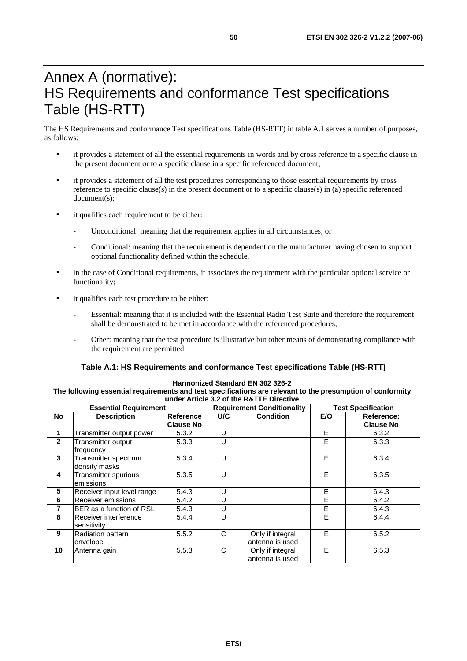## Annex A (normative): HS Requirements and conformance Test specifications Table (HS-RTT)

The HS Requirements and conformance Test specifications Table (HS-RTT) in table A.1 serves a number of purposes, as follows:

- it provides a statement of all the essential requirements in words and by cross reference to a specific clause in the present document or to a specific clause in a specific referenced document;
- it provides a statement of all the test procedures corresponding to those essential requirements by cross reference to specific clause(s) in the present document or to a specific clause(s) in (a) specific referenced document(s);
- it qualifies each requirement to be either:
	- Unconditional: meaning that the requirement applies in all circumstances; or
	- Conditional: meaning that the requirement is dependent on the manufacturer having chosen to support optional functionality defined within the schedule.
- in the case of Conditional requirements, it associates the requirement with the particular optional service or functionality;
- it qualifies each test procedure to be either:
	- Essential: meaning that it is included with the Essential Radio Test Suite and therefore the requirement shall be demonstrated to be met in accordance with the referenced procedures;
	- Other: meaning that the test procedure is illustrative but other means of demonstrating compliance with the requirement are permitted.

#### **Table A.1: HS Requirements and conformance Test specifications Table (HS-RTT)**

|                                                                                                                                                        | Harmonized Standard EN 302 326-2      |                  |              |                                     |     |                  |  |  |  |  |
|--------------------------------------------------------------------------------------------------------------------------------------------------------|---------------------------------------|------------------|--------------|-------------------------------------|-----|------------------|--|--|--|--|
| The following essential requirements and test specifications are relevant to the presumption of conformity<br>under Article 3.2 of the R&TTE Directive |                                       |                  |              |                                     |     |                  |  |  |  |  |
| <b>Test Specification</b><br><b>Essential Requirement</b><br><b>Requirement Conditionality</b>                                                         |                                       |                  |              |                                     |     |                  |  |  |  |  |
| <b>No</b>                                                                                                                                              | <b>Description</b>                    | Reference        | U/C          | <b>Condition</b>                    | E/O | Reference:       |  |  |  |  |
|                                                                                                                                                        |                                       | <b>Clause No</b> |              |                                     |     | <b>Clause No</b> |  |  |  |  |
| 1                                                                                                                                                      | Transmitter output power              | 5.3.2            | U            |                                     | E   | 6.3.2            |  |  |  |  |
| $\mathbf{2}$                                                                                                                                           | Transmitter output<br>frequency       | 5.3.3            | U            |                                     | E   | 6.3.3            |  |  |  |  |
| 3                                                                                                                                                      | Transmitter spectrum<br>density masks | 5.3.4            | U            |                                     | E   | 6.3.4            |  |  |  |  |
| 4                                                                                                                                                      | Transmitter spurious<br>emissions     | 5.3.5            | $\cup$       |                                     | E   | 6.3.5            |  |  |  |  |
| 5                                                                                                                                                      | Receiver input level range            | 5.4.3            | U            |                                     | E   | 6.4.3            |  |  |  |  |
| 6                                                                                                                                                      | Receiver emissions                    | 5.4.2            | $\cup$       |                                     | E   | 6.4.2            |  |  |  |  |
| 7                                                                                                                                                      | BER as a function of RSL              | 5.4.3            | U            |                                     | E   | 6.4.3            |  |  |  |  |
| 8                                                                                                                                                      | Receiver interference<br>sensitivity  | 5.4.4            | $\cup$       |                                     | E   | 6.4.4            |  |  |  |  |
| 9                                                                                                                                                      | Radiation pattern<br>envelope         | 5.5.2            | C            | Only if integral<br>antenna is used | E   | 6.5.2            |  |  |  |  |
| 10                                                                                                                                                     | Antenna gain                          | 5.5.3            | $\mathsf{C}$ | Only if integral<br>antenna is used | E   | 6.5.3            |  |  |  |  |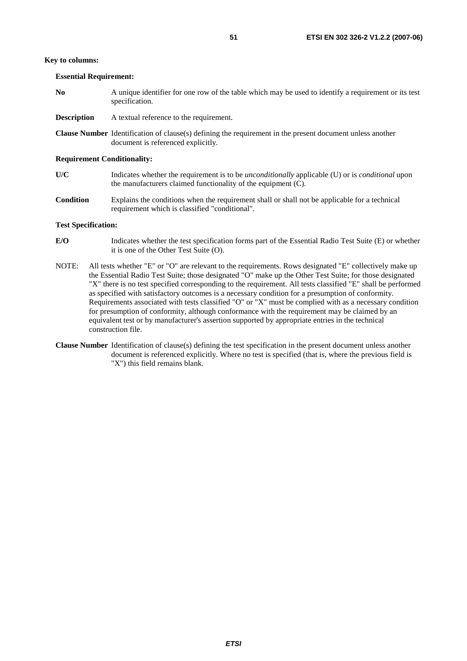#### **Key to columns:**

**Essential Requirement:** 

- **No** A unique identifier for one row of the table which may be used to identify a requirement or its test specification.
- **Description** A textual reference to the requirement.
- **Clause Number** Identification of clause(s) defining the requirement in the present document unless another document is referenced explicitly.

#### **Requirement Conditionality:**

- **U/C** Indicates whether the requirement is to be *unconditionally* applicable (U) or is *conditional* upon the manufacturers claimed functionality of the equipment (C).
- **Condition** Explains the conditions when the requirement shall or shall not be applicable for a technical requirement which is classified "conditional".

#### **Test Specification:**

- **E/O** Indicates whether the test specification forms part of the Essential Radio Test Suite (E) or whether it is one of the Other Test Suite (O).
- NOTE: All tests whether "E" or "O" are relevant to the requirements. Rows designated "E" collectively make up the Essential Radio Test Suite; those designated "O" make up the Other Test Suite; for those designated "X" there is no test specified corresponding to the requirement. All tests classified "E" shall be performed as specified with satisfactory outcomes is a necessary condition for a presumption of conformity. Requirements associated with tests classified "O" or "X" must be complied with as a necessary condition for presumption of conformity, although conformance with the requirement may be claimed by an equivalent test or by manufacturer's assertion supported by appropriate entries in the technical construction file.
- **Clause Number** Identification of clause(s) defining the test specification in the present document unless another document is referenced explicitly. Where no test is specified (that is, where the previous field is "X") this field remains blank.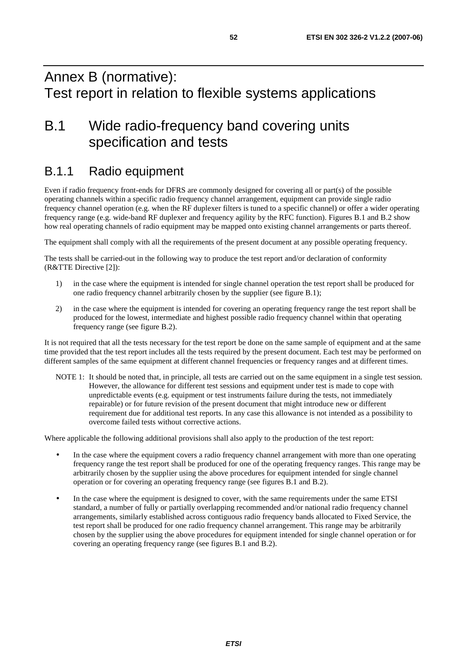## Annex B (normative): Test report in relation to flexible systems applications

## B.1 Wide radio-frequency band covering units specification and tests

## B.1.1 Radio equipment

Even if radio frequency front-ends for DFRS are commonly designed for covering all or part(s) of the possible operating channels within a specific radio frequency channel arrangement, equipment can provide single radio frequency channel operation (e.g. when the RF duplexer filters is tuned to a specific channel) or offer a wider operating frequency range (e.g. wide-band RF duplexer and frequency agility by the RFC function). Figures B.1 and B.2 show how real operating channels of radio equipment may be mapped onto existing channel arrangements or parts thereof.

The equipment shall comply with all the requirements of the present document at any possible operating frequency.

The tests shall be carried-out in the following way to produce the test report and/or declaration of conformity (R&TTE Directive [2]):

- 1) in the case where the equipment is intended for single channel operation the test report shall be produced for one radio frequency channel arbitrarily chosen by the supplier (see figure B.1);
- 2) in the case where the equipment is intended for covering an operating frequency range the test report shall be produced for the lowest, intermediate and highest possible radio frequency channel within that operating frequency range (see figure B.2).

It is not required that all the tests necessary for the test report be done on the same sample of equipment and at the same time provided that the test report includes all the tests required by the present document. Each test may be performed on different samples of the same equipment at different channel frequencies or frequency ranges and at different times.

NOTE 1: It should be noted that, in principle, all tests are carried out on the same equipment in a single test session. However, the allowance for different test sessions and equipment under test is made to cope with unpredictable events (e.g. equipment or test instruments failure during the tests, not immediately repairable) or for future revision of the present document that might introduce new or different requirement due for additional test reports. In any case this allowance is not intended as a possibility to overcome failed tests without corrective actions.

Where applicable the following additional provisions shall also apply to the production of the test report:

- In the case where the equipment covers a radio frequency channel arrangement with more than one operating frequency range the test report shall be produced for one of the operating frequency ranges. This range may be arbitrarily chosen by the supplier using the above procedures for equipment intended for single channel operation or for covering an operating frequency range (see figures B.1 and B.2).
- In the case where the equipment is designed to cover, with the same requirements under the same ETSI standard, a number of fully or partially overlapping recommended and/or national radio frequency channel arrangements, similarly established across contiguous radio frequency bands allocated to Fixed Service, the test report shall be produced for one radio frequency channel arrangement. This range may be arbitrarily chosen by the supplier using the above procedures for equipment intended for single channel operation or for covering an operating frequency range (see figures B.1 and B.2).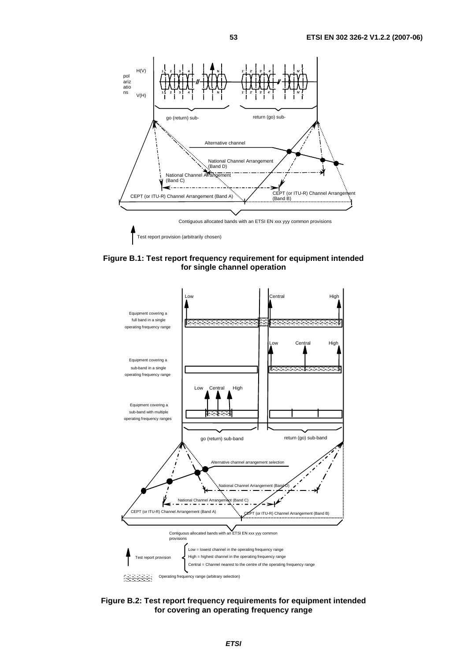

**Figure B.1: Test report frequency requirement for equipment intended for single channel operation** 



**Figure B.2: Test report frequency requirements for equipment intended for covering an operating frequency range**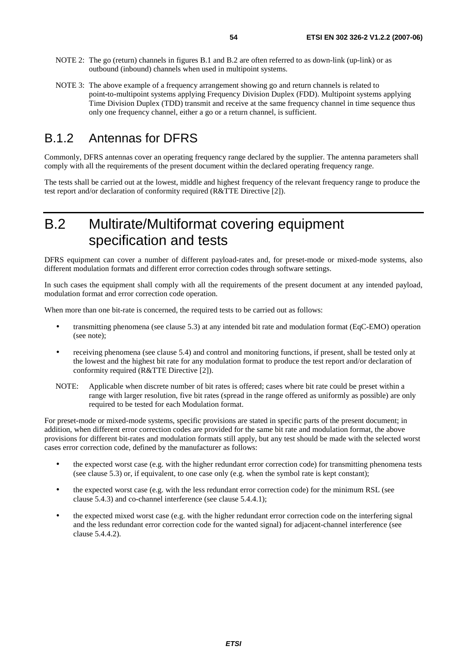- NOTE 2: The go (return) channels in figures B.1 and B.2 are often referred to as down-link (up-link) or as outbound (inbound) channels when used in multipoint systems.
- NOTE 3: The above example of a frequency arrangement showing go and return channels is related to point-to-multipoint systems applying Frequency Division Duplex (FDD). Multipoint systems applying Time Division Duplex (TDD) transmit and receive at the same frequency channel in time sequence thus only one frequency channel, either a go or a return channel, is sufficient.

## B.1.2 Antennas for DFRS

Commonly, DFRS antennas cover an operating frequency range declared by the supplier. The antenna parameters shall comply with all the requirements of the present document within the declared operating frequency range.

The tests shall be carried out at the lowest, middle and highest frequency of the relevant frequency range to produce the test report and/or declaration of conformity required (R&TTE Directive [2]).

## B.2 Multirate/Multiformat covering equipment specification and tests

DFRS equipment can cover a number of different payload-rates and, for preset-mode or mixed-mode systems, also different modulation formats and different error correction codes through software settings.

In such cases the equipment shall comply with all the requirements of the present document at any intended payload, modulation format and error correction code operation.

When more than one bit-rate is concerned, the required tests to be carried out as follows:

- transmitting phenomena (see clause 5.3) at any intended bit rate and modulation format (EqC-EMO) operation (see note);
- receiving phenomena (see clause 5.4) and control and monitoring functions, if present, shall be tested only at the lowest and the highest bit rate for any modulation format to produce the test report and/or declaration of conformity required (R&TTE Directive [2]).
- NOTE: Applicable when discrete number of bit rates is offered; cases where bit rate could be preset within a range with larger resolution, five bit rates (spread in the range offered as uniformly as possible) are only required to be tested for each Modulation format.

For preset-mode or mixed-mode systems, specific provisions are stated in specific parts of the present document; in addition, when different error correction codes are provided for the same bit rate and modulation format, the above provisions for different bit-rates and modulation formats still apply, but any test should be made with the selected worst cases error correction code, defined by the manufacturer as follows:

- the expected worst case (e.g. with the higher redundant error correction code) for transmitting phenomena tests (see clause 5.3) or, if equivalent, to one case only (e.g. when the symbol rate is kept constant);
- the expected worst case (e.g. with the less redundant error correction code) for the minimum RSL (see clause 5.4.3) and co-channel interference (see clause 5.4.4.1);
- the expected mixed worst case (e.g. with the higher redundant error correction code on the interfering signal and the less redundant error correction code for the wanted signal) for adjacent-channel interference (see clause 5.4.4.2).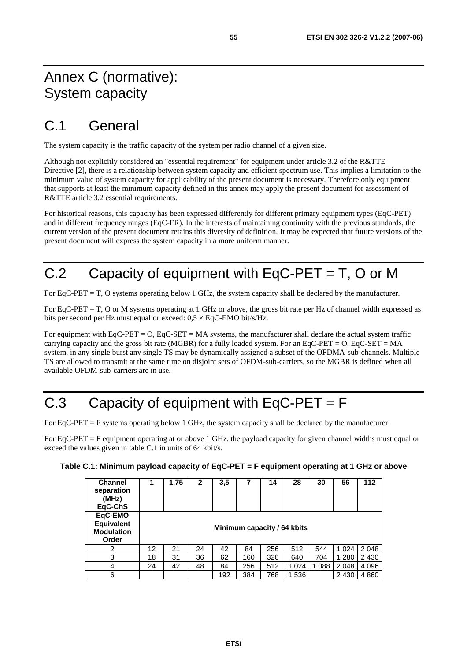## Annex C (normative): System capacity

## C.1 General

The system capacity is the traffic capacity of the system per radio channel of a given size.

Although not explicitly considered an "essential requirement" for equipment under article 3.2 of the R&TTE Directive [2], there is a relationship between system capacity and efficient spectrum use. This implies a limitation to the minimum value of system capacity for applicability of the present document is necessary. Therefore only equipment that supports at least the minimum capacity defined in this annex may apply the present document for assessment of R&TTE article 3.2 essential requirements.

For historical reasons, this capacity has been expressed differently for different primary equipment types (EqC-PET) and in different frequency ranges (EqC-FR). In the interests of maintaining continuity with the previous standards, the current version of the present document retains this diversity of definition. It may be expected that future versions of the present document will express the system capacity in a more uniform manner.

## C.2 Capacity of equipment with EqC-PET = T, O or M

For EqC-PET = T, O systems operating below 1 GHz, the system capacity shall be declared by the manufacturer.

For EqC-PET = T, O or M systems operating at 1 GHz or above, the gross bit rate per Hz of channel width expressed as bits per second per Hz must equal or exceed:  $0.5 \times$  EqC-EMO bit/s/Hz.

For equipment with  $EqC-PET = O$ ,  $EqC-SET = MA$  systems, the manufacturer shall declare the actual system traffic carrying capacity and the gross bit rate (MGBR) for a fully loaded system. For an EqC-PET =  $O$ , EqC-SET = MA system, in any single burst any single TS may be dynamically assigned a subset of the OFDMA-sub-channels. Multiple TS are allowed to transmit at the same time on disjoint sets of OFDM-sub-carriers, so the MGBR is defined when all available OFDM-sub-carriers are in use.

## C.3 Capacity of equipment with  $EqC-PET = F$

For EqC-PET = F systems operating below 1 GHz, the system capacity shall be declared by the manufacturer.

For EqC-PET = F equipment operating at or above 1 GHz, the payload capacity for given channel widths must equal or exceed the values given in table C.1 in units of 64 kbit/s.

| Table C.1: Minimum payload capacity of EqC-PET = F equipment operating at 1 GHz or above |  |  |  |  |  |
|------------------------------------------------------------------------------------------|--|--|--|--|--|
|------------------------------------------------------------------------------------------|--|--|--|--|--|

| <b>Channel</b><br>separation<br>(MHz)<br>EqC-ChS           |                             | 1,75 | $\mathbf{2}$ | 3,5 | 7   | 14  | 28      | 30      | 56      | 112     |
|------------------------------------------------------------|-----------------------------|------|--------------|-----|-----|-----|---------|---------|---------|---------|
| EqC-EMO<br><b>Equivalent</b><br><b>Modulation</b><br>Order | Minimum capacity / 64 kbits |      |              |     |     |     |         |         |         |         |
| 2                                                          | 12                          | 21   | 24           | 42  | 84  | 256 | 512     | 544     | 1 0 2 4 | 2048    |
| 3                                                          | 18                          | 31   | 36           | 62  | 160 | 320 | 640     | 704     | 1 2 8 0 | 2 4 3 0 |
| 4                                                          | 24                          | 42   | 48           | 84  | 256 | 512 | 1 0 2 4 | 1 0 8 8 | 2 0 4 8 | 4 0 9 6 |
| 6                                                          |                             |      |              | 192 | 384 | 768 | 1536    |         | 2 4 3 0 | 4 8 6 0 |

**ETSI**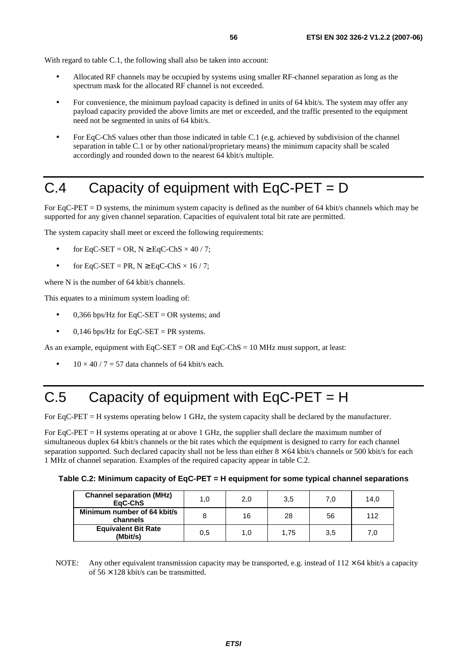With regard to table C.1, the following shall also be taken into account:

- Allocated RF channels may be occupied by systems using smaller RF-channel separation as long as the spectrum mask for the allocated RF channel is not exceeded.
- For convenience, the minimum payload capacity is defined in units of 64 kbit/s. The system may offer any payload capacity provided the above limits are met or exceeded, and the traffic presented to the equipment need not be segmented in units of 64 kbit/s.
- For EqC-ChS values other than those indicated in table C.1 (e.g. achieved by subdivision of the channel separation in table C.1 or by other national/proprietary means) the minimum capacity shall be scaled accordingly and rounded down to the nearest 64 kbit/s multiple.

## C.4 Capacity of equipment with EqC-PET = D

For EqC-PET = D systems, the minimum system capacity is defined as the number of 64 kbit/s channels which may be supported for any given channel separation. Capacities of equivalent total bit rate are permitted.

The system capacity shall meet or exceed the following requirements:

- for EqC-SET = OR,  $N \geq$  EqC-ChS  $\times$  40 / 7;
- for EqC-SET = PR,  $N \geq$  EqC-ChS  $\times$  16 / 7;

where N is the number of 64 kbit/s channels.

This equates to a minimum system loading of:

- 0.366 bps/Hz for  $EqC-SET = OR$  systems; and
- 0,146 bps/Hz for EqC-SET = PR systems.

As an example, equipment with  $EqC-SET = OR$  and  $EqC-ChS = 10 MHz$  must support, at least:

 $10 \times 40 / 7 = 57$  data channels of 64 kbit/s each.

## C.5 Capacity of equipment with EqC-PET = H

For EqC-PET = H systems operating below 1 GHz, the system capacity shall be declared by the manufacturer.

For EqC-PET = H systems operating at or above 1 GHz, the supplier shall declare the maximum number of simultaneous duplex 64 kbit/s channels or the bit rates which the equipment is designed to carry for each channel separation supported. Such declared capacity shall not be less than either  $8 \times 64$  kbit/s channels or 500 kbit/s for each 1 MHz of channel separation. Examples of the required capacity appear in table C.2.

|  |  | Table C.2: Minimum capacity of EqC-PET = H equipment for some typical channel separations |
|--|--|-------------------------------------------------------------------------------------------|
|  |  |                                                                                           |

| <b>Channel separation (MHz)</b><br>EaC-ChS | 1.0 | 2,0 | 3,5  | 7.0 | 14,0 |
|--------------------------------------------|-----|-----|------|-----|------|
| Minimum number of 64 kbit/s<br>channels    |     | 16  | 28   | 56  | 112  |
| <b>Equivalent Bit Rate</b><br>(Mbit/s)     | 0.5 | 1.0 | 1.75 | 3,5 | 7.0  |

NOTE: Any other equivalent transmission capacity may be transported, e.g. instead of  $112 \times 64$  kbit/s a capacity of  $56 \times 128$  kbit/s can be transmitted.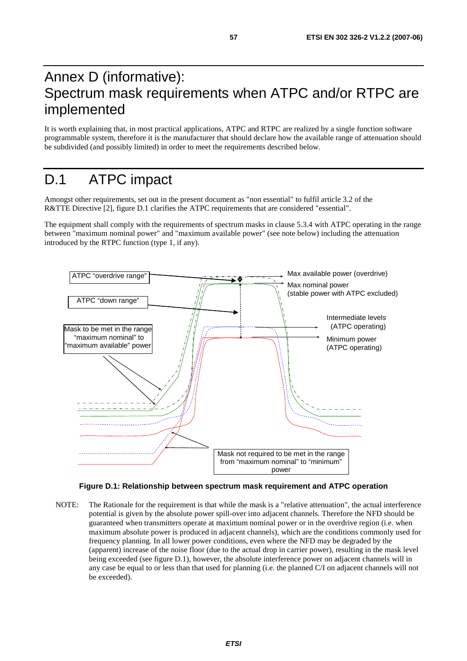## Annex D (informative): Spectrum mask requirements when ATPC and/or RTPC are implemented

It is worth explaining that, in most practical applications, ATPC and RTPC are realized by a single function software programmable system, therefore it is the manufacturer that should declare how the available range of attenuation should be subdivided (and possibly limited) in order to meet the requirements described below.

## D.1 ATPC impact

Amongst other requirements, set out in the present document as "non essential" to fulfil article 3.2 of the R&TTE Directive [2], figure D.1 clarifies the ATPC requirements that are considered "essential".

The equipment shall comply with the requirements of spectrum masks in clause 5.3.4 with ATPC operating in the range between "maximum nominal power" and "maximum available power" (see note below) including the attenuation introduced by the RTPC function (type 1, if any).



**Figure D.1: Relationship between spectrum mask requirement and ATPC operation** 

NOTE: The Rationale for the requirement is that while the mask is a "relative attenuation", the actual interference potential is given by the absolute power spill-over into adjacent channels. Therefore the NFD should be guaranteed when transmitters operate at maximum nominal power or in the overdrive region (i.e. when maximum absolute power is produced in adjacent channels), which are the conditions commonly used for frequency planning. In all lower power conditions, even where the NFD may be degraded by the (apparent) increase of the noise floor (due to the actual drop in carrier power), resulting in the mask level being exceeded (see figure D.1), however, the absolute interference power on adjacent channels will in any case be equal to or less than that used for planning (i.e. the planned C/I on adjacent channels will not be exceeded).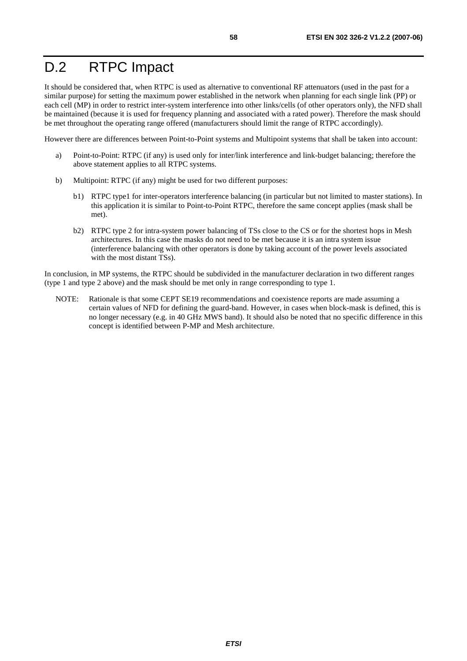## D.2 RTPC Impact

It should be considered that, when RTPC is used as alternative to conventional RF attenuators (used in the past for a similar purpose) for setting the maximum power established in the network when planning for each single link (PP) or each cell (MP) in order to restrict inter-system interference into other links/cells (of other operators only), the NFD shall be maintained (because it is used for frequency planning and associated with a rated power). Therefore the mask should be met throughout the operating range offered (manufacturers should limit the range of RTPC accordingly).

However there are differences between Point-to-Point systems and Multipoint systems that shall be taken into account:

- a) Point-to-Point: RTPC (if any) is used only for inter/link interference and link-budget balancing; therefore the above statement applies to all RTPC systems.
- b) Multipoint: RTPC (if any) might be used for two different purposes:
	- b1) RTPC type1 for inter-operators interference balancing (in particular but not limited to master stations). In this application it is similar to Point-to-Point RTPC, therefore the same concept applies (mask shall be met).
	- b2) RTPC type 2 for intra-system power balancing of TSs close to the CS or for the shortest hops in Mesh architectures. In this case the masks do not need to be met because it is an intra system issue (interference balancing with other operators is done by taking account of the power levels associated with the most distant TSs).

In conclusion, in MP systems, the RTPC should be subdivided in the manufacturer declaration in two different ranges (type 1 and type 2 above) and the mask should be met only in range corresponding to type 1.

NOTE: Rationale is that some CEPT SE19 recommendations and coexistence reports are made assuming a certain values of NFD for defining the guard-band. However, in cases when block-mask is defined, this is no longer necessary (e.g. in 40 GHz MWS band). It should also be noted that no specific difference in this concept is identified between P-MP and Mesh architecture.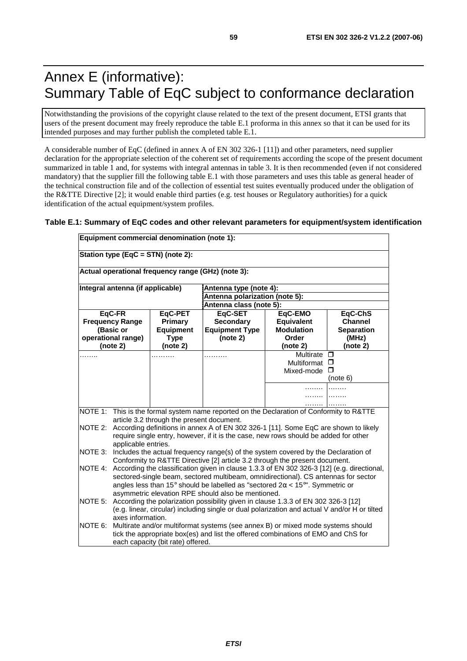## Annex E (informative): Summary Table of EqC subject to conformance declaration

Notwithstanding the provisions of the copyright clause related to the text of the present document, ETSI grants that users of the present document may freely reproduce the table E.1 proforma in this annex so that it can be used for its intended purposes and may further publish the completed table E.1.

A considerable number of EqC (defined in annex A of EN 302 326-1 [11]) and other parameters, need supplier declaration for the appropriate selection of the coherent set of requirements according the scope of the present document summarized in table 1 and, for systems with integral antennas in table 3. It is then recommended (even if not considered mandatory) that the supplier fill the following table E.1 with those parameters and uses this table as general header of the technical construction file and of the collection of essential test suites eventually produced under the obligation of the R&TTE Directive [2]; it would enable third parties (e.g. test houses or Regulatory authorities) for a quick identification of the actual equipment/system profiles.

#### **Table E.1: Summary of EqC codes and other relevant parameters for equipment/system identification**

|                   | Equipment commercial denomination (note 1):                                                                                                     |                                                    |                                                                                           |                            |                            |  |  |
|-------------------|-------------------------------------------------------------------------------------------------------------------------------------------------|----------------------------------------------------|-------------------------------------------------------------------------------------------|----------------------------|----------------------------|--|--|
|                   |                                                                                                                                                 | Station type (EqC = STN) (note 2):                 |                                                                                           |                            |                            |  |  |
|                   |                                                                                                                                                 | Actual operational frequency range (GHz) (note 3): |                                                                                           |                            |                            |  |  |
|                   | Integral antenna (if applicable)                                                                                                                |                                                    |                                                                                           | Antenna type (note 4):     |                            |  |  |
|                   |                                                                                                                                                 |                                                    | Antenna polarization (note 5):                                                            |                            |                            |  |  |
|                   |                                                                                                                                                 |                                                    | Antenna class (note 5):                                                                   |                            |                            |  |  |
|                   | EqC-FR                                                                                                                                          | EqC-PET                                            | EqC-SET                                                                                   | EqC-EMO                    | EqC-ChS                    |  |  |
|                   | <b>Frequency Range</b>                                                                                                                          | Primary                                            | <b>Secondary</b>                                                                          | <b>Equivalent</b>          | <b>Channel</b>             |  |  |
|                   | (Basic or<br>operational range)                                                                                                                 | <b>Equipment</b>                                   | <b>Equipment Type</b><br>(note 2)                                                         | <b>Modulation</b><br>Order | <b>Separation</b><br>(MHz) |  |  |
|                   | (note 2)                                                                                                                                        | <b>Type</b><br>(note 2)                            |                                                                                           | (note 2)                   | (note 2)                   |  |  |
|                   |                                                                                                                                                 | .                                                  | .                                                                                         | Multirate                  | □                          |  |  |
|                   |                                                                                                                                                 |                                                    |                                                                                           | Multiformat □              |                            |  |  |
|                   |                                                                                                                                                 |                                                    |                                                                                           | Mixed-mode                 | □                          |  |  |
|                   |                                                                                                                                                 |                                                    |                                                                                           |                            | (note 6)                   |  |  |
|                   |                                                                                                                                                 |                                                    |                                                                                           | .                          |                            |  |  |
|                   |                                                                                                                                                 |                                                    |                                                                                           |                            |                            |  |  |
|                   |                                                                                                                                                 |                                                    |                                                                                           |                            |                            |  |  |
|                   |                                                                                                                                                 | article 3.2 through the present document.          | NOTE 1: This is the formal system name reported on the Declaration of Conformity to R&TTE |                            |                            |  |  |
| NOTE 2:           |                                                                                                                                                 |                                                    | According definitions in annex A of EN 302 326-1 [11]. Some EqC are shown to likely       |                            |                            |  |  |
|                   |                                                                                                                                                 |                                                    |                                                                                           |                            |                            |  |  |
|                   | require single entry, however, if it is the case, new rows should be added for other<br>applicable entries.                                     |                                                    |                                                                                           |                            |                            |  |  |
| NOTE 3:           | Includes the actual frequency range(s) of the system covered by the Declaration of                                                              |                                                    |                                                                                           |                            |                            |  |  |
|                   | Conformity to R&TTE Directive [2] article 3.2 through the present document.                                                                     |                                                    |                                                                                           |                            |                            |  |  |
|                   | NOTE 4: According the classification given in clause 1.3.3 of EN 302 326-3 [12] (e.g. directional,                                              |                                                    |                                                                                           |                            |                            |  |  |
|                   | sectored-single beam, sectored multibeam, omnidirectional). CS antennas for sector                                                              |                                                    |                                                                                           |                            |                            |  |  |
|                   | angles less than 15° should be labelled as "sectored $2\alpha < 15^{\circ}$ ". Symmetric or                                                     |                                                    |                                                                                           |                            |                            |  |  |
|                   | asymmetric elevation RPE should also be mentioned.<br>NOTE 5: According the polarization possibility given in clause 1.3.3 of EN 302 326-3 [12] |                                                    |                                                                                           |                            |                            |  |  |
|                   | (e.g. linear, circular) including single or dual polarization and actual V and/or H or tilted                                                   |                                                    |                                                                                           |                            |                            |  |  |
| axes information. |                                                                                                                                                 |                                                    |                                                                                           |                            |                            |  |  |
| NOTE 6:           | Multirate and/or multiformat systems (see annex B) or mixed mode systems should                                                                 |                                                    |                                                                                           |                            |                            |  |  |
|                   |                                                                                                                                                 |                                                    | tick the appropriate box(es) and list the offered combinations of EMO and ChS for         |                            |                            |  |  |
|                   | each capacity (bit rate) offered.                                                                                                               |                                                    |                                                                                           |                            |                            |  |  |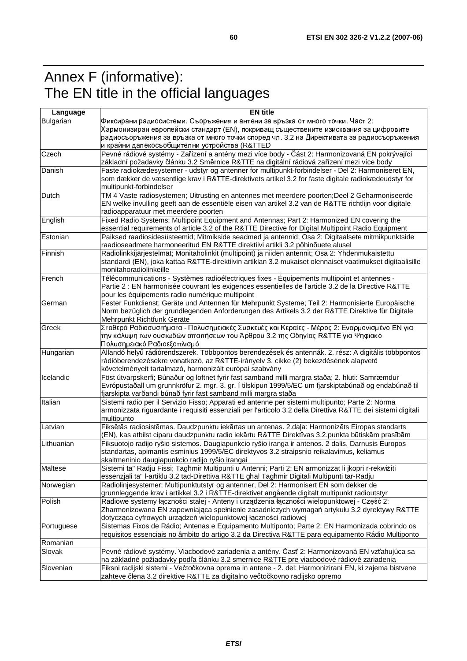## Annex F (informative): The EN title in the official languages

| Bulgarian<br>Фиксирани радиосистеми. Съоръжения и антени за връзка от много точки. Част 2:<br>Хармонизиран европейски стандарт (EN), покриващ съществените изисквания за цифровите<br>радиосъоръжения за връзка от много точки според чл. 3.2 на Директивата за радиосъоръжения<br>и крайни далекосъобщителни устройства (R&TTED<br>Pevné rádiové systémy - Zařízení a antény mezi více body - Část 2: Harmonizovaná EN pokrývající<br>základní požadavky článku 3.2 Směrnice R&TTE na digitální rádiová zařízení mezi více body<br>Faste radiokædesystemer - udstyr og antenner for multipunkt-forbindelser - Del 2: Harmoniseret EN,<br>som dækker de væsentlige krav i R&TTE-direktivets artikel 3.2 for faste digitale radiokædeudstyr for<br>multipunkt-forbindelser<br>TM 4 Vaste radiosystemen; Uitrusting en antennes met meerdere poorten;Deel 2 Geharmoniseerde<br><b>Dutch</b><br>EN welke invulling geeft aan de essentiële eisen van artikel 3.2 van de R&TTE richtlijn voor digitale<br>radioapparatuur met meerdere poorten<br>English<br>Fixed Radio Systems; Multipoint Equipment and Antennas; Part 2: Harmonized EN covering the<br>essential requirements of article 3.2 of the R&TTE Directive for Digital Multipoint Radio Equipment<br>Paiksed raadiosidesüsteemid; Mitmikside seadmed ja antennid; Osa 2: Digitaalsete mitmikpunktside<br>raadioseadmete harmoneeritud EN R&TTE direktiivi artikli 3.2 põhinõuete alusel<br>Radiolinkkijärjestelmät; Monitaholinkit (multipoint) ja niiden antennit; Osa 2: Yhdenmukaistettu<br>standardi (EN), joka kattaa R&TTE-direktiivin artiklan 3.2 mukaiset olennaiset vaatimukset digitaalisille<br>monitahoradiolinkeille<br>Télécommunications - Systèmes radioélectriques fixes - Équipements multipoint et antennes -<br>French<br>Partie 2 : EN harmonisée couvrant les exigences essentielles de l'article 3.2 de la Directive R&TTE<br>pour les équipements radio numérique multipoint<br>Fester Funkdienst; Geräte und Antennen für Mehrpunkt Systeme; Teil 2: Harmonisierte Europäische<br>German<br>Norm bezüglich der grundlegenden Anforderungen des Artikels 3.2 der R&TTE Direktive für Digitale<br>Mehrpunkt Richtfunk Geräte<br>Σταθερά Ραδιοσυστήματα - Πολυσημειακές Συσκευές και Κεραίες - Μέρος 2: Εναρμονισμένο ΕΝ για<br>Greek<br>την κάλυψη των ουσιωδών απαιτήσεων του Άρθρου 3.2 της Οδηγίας R&TTE για Ψηφιακό<br>Πολυσημειακό Ραδιοεξοπλισμό<br>Állandó helyű rádiórendszerek. Többpontos berendezések és antennák. 2. rész: A digitális többpontos<br>Hungarian<br>rádióberendezésekre vonatkozó, az R&TTE-irányelv 3. cikke (2) bekezdésének alapvető<br>követelményeit tartalmazó, harmonizált európai szabvány<br>Föst útvarpskerfi; Búnaður og loftnet fyrir fast samband milli margra staða; 2. hluti: Samræmdur<br>Icelandic<br>Evrópustaðall um grunnkröfur 2. mgr. 3. gr. í tilskipun 1999/5/EC um fjarskiptabúnað og endabúnað til<br>fjarskipta varðandi búnað fyrir fast samband milli margra staða<br>Italian<br>Sistemi radio per il Servizio Fisso; Apparati ed antenne per sistemi multipunto; Parte 2: Norma<br>armonizzata riguardante i requisiti essenziali per l'articolo 3.2 della Direttiva R&TTE dei sistemi digitali<br>multipunto<br>Latvian<br>Fiksētās radiosistēmas. Daudzpunktu iekārtas un antenas. 2.daļa: Harmonizēts Eiropas standarts<br>(EN), kas atbilst ciparu daudzpunktu radio iekārtu R&TTE Direktīvas 3.2.punkta būtiskām prasībām<br>Lithuanian<br>Fiksuotojo radijo ryšio sistemos. Daugiapunkcio ryšio iranga ir antenos. 2 dalis. Darnusis Europos<br>standartas, apimantis esminius 1999/5/EC direktyvos 3.2 straipsnio reikalavimus, keliamus<br>skaitmeninio daugiapunkcio radijo ryšio irangai<br>Sistemi ta" Radju Fissi; Tagħmir Multipunti u Antenni; Parti 2: EN armonizzat li jkopri r-rekwiżiti<br>Maltese<br>essenzjali ta" I-artiklu 3.2 tad-Direttiva R&TTE għal Tagħmir Digitali Multipunti tar-Radju<br>Norwegian<br>Radiolinjesystemer; Multipunktutstyr og antenner; Del 2: Harmonisert EN som dekker de<br>grunnleggende krav i artikkel 3.2 i R&TTE-direktivet angående digitalt multipunkt radioutstyr<br>Polish<br>Radiowe systemy łączności stałej - Anteny i urządzenia łączności wielopunktowej - Część 2:<br>Zharmonizowana EN zapewniająca spełnienie zasadniczych wymagań artykułu 3.2 dyrektywy R&TTE<br>dotycząca cyfrowych urządzeń wielopunktowej łączności radiowej<br>Sistemas Fixos de Rádio; Antenas e Equipamento Multiponto; Parte 2: EN Harmonizada cobrindo os<br>requisitos essenciais no âmbito do artigo 3.2 da Directiva R&TTE para equipamento Rádio Multiponto<br>Pevné rádiové systémy. Viacbodové zariadenia a antény. Časť 2: Harmonizovaná EN vzťahujúca sa<br>na základné požiadavky podľa článku 3.2 smernice R&TTE pre viacbodové rádiové zariadenia<br>Fiksni radijski sistemi - Večtočkovna oprema in antene - 2. del: Harmonizirani EN, ki zajema bistvene<br>zahteve člena 3.2 direktive R&TTE za digitalno večtočkovno radijsko opremo | Language   | <b>EN title</b> |
|------------------------------------------------------------------------------------------------------------------------------------------------------------------------------------------------------------------------------------------------------------------------------------------------------------------------------------------------------------------------------------------------------------------------------------------------------------------------------------------------------------------------------------------------------------------------------------------------------------------------------------------------------------------------------------------------------------------------------------------------------------------------------------------------------------------------------------------------------------------------------------------------------------------------------------------------------------------------------------------------------------------------------------------------------------------------------------------------------------------------------------------------------------------------------------------------------------------------------------------------------------------------------------------------------------------------------------------------------------------------------------------------------------------------------------------------------------------------------------------------------------------------------------------------------------------------------------------------------------------------------------------------------------------------------------------------------------------------------------------------------------------------------------------------------------------------------------------------------------------------------------------------------------------------------------------------------------------------------------------------------------------------------------------------------------------------------------------------------------------------------------------------------------------------------------------------------------------------------------------------------------------------------------------------------------------------------------------------------------------------------------------------------------------------------------------------------------------------------------------------------------------------------------------------------------------------------------------------------------------------------------------------------------------------------------------------------------------------------------------------------------------------------------------------------------------------------------------------------------------------------------------------------------------------------------------------------------------------------------------------------------------------------------------------------------------------------------------------------------------------------------------------------------------------------------------------------------------------------------------------------------------------------------------------------------------------------------------------------------------------------------------------------------------------------------------------------------------------------------------------------------------------------------------------------------------------------------------------------------------------------------------------------------------------------------------------------------------------------------------------------------------------------------------------------------------------------------------------------------------------------------------------------------------------------------------------------------------------------------------------------------------------------------------------------------------------------------------------------------------------------------------------------------------------------------------------------------------------------------------------------------------------------------------------------------------------------------------------------------------------------------------------------------------------------------------------------------------------------------------------------------------------------------------------------------------------------------------------------------------------------------------------------------------------------------------------------------------------------------------------------------------------------------------------------------------------------------------------------------------------------------------------------------------------------------------------------------------------------------------------------------------------------------------|------------|-----------------|
|                                                                                                                                                                                                                                                                                                                                                                                                                                                                                                                                                                                                                                                                                                                                                                                                                                                                                                                                                                                                                                                                                                                                                                                                                                                                                                                                                                                                                                                                                                                                                                                                                                                                                                                                                                                                                                                                                                                                                                                                                                                                                                                                                                                                                                                                                                                                                                                                                                                                                                                                                                                                                                                                                                                                                                                                                                                                                                                                                                                                                                                                                                                                                                                                                                                                                                                                                                                                                                                                                                                                                                                                                                                                                                                                                                                                                                                                                                                                                                                                                                                                                                                                                                                                                                                                                                                                                                                                                                                                                                                                                                                                                                                                                                                                                                                                                                                                                                                                                                                                                                          |            |                 |
|                                                                                                                                                                                                                                                                                                                                                                                                                                                                                                                                                                                                                                                                                                                                                                                                                                                                                                                                                                                                                                                                                                                                                                                                                                                                                                                                                                                                                                                                                                                                                                                                                                                                                                                                                                                                                                                                                                                                                                                                                                                                                                                                                                                                                                                                                                                                                                                                                                                                                                                                                                                                                                                                                                                                                                                                                                                                                                                                                                                                                                                                                                                                                                                                                                                                                                                                                                                                                                                                                                                                                                                                                                                                                                                                                                                                                                                                                                                                                                                                                                                                                                                                                                                                                                                                                                                                                                                                                                                                                                                                                                                                                                                                                                                                                                                                                                                                                                                                                                                                                                          |            |                 |
|                                                                                                                                                                                                                                                                                                                                                                                                                                                                                                                                                                                                                                                                                                                                                                                                                                                                                                                                                                                                                                                                                                                                                                                                                                                                                                                                                                                                                                                                                                                                                                                                                                                                                                                                                                                                                                                                                                                                                                                                                                                                                                                                                                                                                                                                                                                                                                                                                                                                                                                                                                                                                                                                                                                                                                                                                                                                                                                                                                                                                                                                                                                                                                                                                                                                                                                                                                                                                                                                                                                                                                                                                                                                                                                                                                                                                                                                                                                                                                                                                                                                                                                                                                                                                                                                                                                                                                                                                                                                                                                                                                                                                                                                                                                                                                                                                                                                                                                                                                                                                                          |            |                 |
|                                                                                                                                                                                                                                                                                                                                                                                                                                                                                                                                                                                                                                                                                                                                                                                                                                                                                                                                                                                                                                                                                                                                                                                                                                                                                                                                                                                                                                                                                                                                                                                                                                                                                                                                                                                                                                                                                                                                                                                                                                                                                                                                                                                                                                                                                                                                                                                                                                                                                                                                                                                                                                                                                                                                                                                                                                                                                                                                                                                                                                                                                                                                                                                                                                                                                                                                                                                                                                                                                                                                                                                                                                                                                                                                                                                                                                                                                                                                                                                                                                                                                                                                                                                                                                                                                                                                                                                                                                                                                                                                                                                                                                                                                                                                                                                                                                                                                                                                                                                                                                          |            |                 |
|                                                                                                                                                                                                                                                                                                                                                                                                                                                                                                                                                                                                                                                                                                                                                                                                                                                                                                                                                                                                                                                                                                                                                                                                                                                                                                                                                                                                                                                                                                                                                                                                                                                                                                                                                                                                                                                                                                                                                                                                                                                                                                                                                                                                                                                                                                                                                                                                                                                                                                                                                                                                                                                                                                                                                                                                                                                                                                                                                                                                                                                                                                                                                                                                                                                                                                                                                                                                                                                                                                                                                                                                                                                                                                                                                                                                                                                                                                                                                                                                                                                                                                                                                                                                                                                                                                                                                                                                                                                                                                                                                                                                                                                                                                                                                                                                                                                                                                                                                                                                                                          | Czech      |                 |
|                                                                                                                                                                                                                                                                                                                                                                                                                                                                                                                                                                                                                                                                                                                                                                                                                                                                                                                                                                                                                                                                                                                                                                                                                                                                                                                                                                                                                                                                                                                                                                                                                                                                                                                                                                                                                                                                                                                                                                                                                                                                                                                                                                                                                                                                                                                                                                                                                                                                                                                                                                                                                                                                                                                                                                                                                                                                                                                                                                                                                                                                                                                                                                                                                                                                                                                                                                                                                                                                                                                                                                                                                                                                                                                                                                                                                                                                                                                                                                                                                                                                                                                                                                                                                                                                                                                                                                                                                                                                                                                                                                                                                                                                                                                                                                                                                                                                                                                                                                                                                                          | Danish     |                 |
|                                                                                                                                                                                                                                                                                                                                                                                                                                                                                                                                                                                                                                                                                                                                                                                                                                                                                                                                                                                                                                                                                                                                                                                                                                                                                                                                                                                                                                                                                                                                                                                                                                                                                                                                                                                                                                                                                                                                                                                                                                                                                                                                                                                                                                                                                                                                                                                                                                                                                                                                                                                                                                                                                                                                                                                                                                                                                                                                                                                                                                                                                                                                                                                                                                                                                                                                                                                                                                                                                                                                                                                                                                                                                                                                                                                                                                                                                                                                                                                                                                                                                                                                                                                                                                                                                                                                                                                                                                                                                                                                                                                                                                                                                                                                                                                                                                                                                                                                                                                                                                          |            |                 |
|                                                                                                                                                                                                                                                                                                                                                                                                                                                                                                                                                                                                                                                                                                                                                                                                                                                                                                                                                                                                                                                                                                                                                                                                                                                                                                                                                                                                                                                                                                                                                                                                                                                                                                                                                                                                                                                                                                                                                                                                                                                                                                                                                                                                                                                                                                                                                                                                                                                                                                                                                                                                                                                                                                                                                                                                                                                                                                                                                                                                                                                                                                                                                                                                                                                                                                                                                                                                                                                                                                                                                                                                                                                                                                                                                                                                                                                                                                                                                                                                                                                                                                                                                                                                                                                                                                                                                                                                                                                                                                                                                                                                                                                                                                                                                                                                                                                                                                                                                                                                                                          |            |                 |
|                                                                                                                                                                                                                                                                                                                                                                                                                                                                                                                                                                                                                                                                                                                                                                                                                                                                                                                                                                                                                                                                                                                                                                                                                                                                                                                                                                                                                                                                                                                                                                                                                                                                                                                                                                                                                                                                                                                                                                                                                                                                                                                                                                                                                                                                                                                                                                                                                                                                                                                                                                                                                                                                                                                                                                                                                                                                                                                                                                                                                                                                                                                                                                                                                                                                                                                                                                                                                                                                                                                                                                                                                                                                                                                                                                                                                                                                                                                                                                                                                                                                                                                                                                                                                                                                                                                                                                                                                                                                                                                                                                                                                                                                                                                                                                                                                                                                                                                                                                                                                                          |            |                 |
|                                                                                                                                                                                                                                                                                                                                                                                                                                                                                                                                                                                                                                                                                                                                                                                                                                                                                                                                                                                                                                                                                                                                                                                                                                                                                                                                                                                                                                                                                                                                                                                                                                                                                                                                                                                                                                                                                                                                                                                                                                                                                                                                                                                                                                                                                                                                                                                                                                                                                                                                                                                                                                                                                                                                                                                                                                                                                                                                                                                                                                                                                                                                                                                                                                                                                                                                                                                                                                                                                                                                                                                                                                                                                                                                                                                                                                                                                                                                                                                                                                                                                                                                                                                                                                                                                                                                                                                                                                                                                                                                                                                                                                                                                                                                                                                                                                                                                                                                                                                                                                          |            |                 |
|                                                                                                                                                                                                                                                                                                                                                                                                                                                                                                                                                                                                                                                                                                                                                                                                                                                                                                                                                                                                                                                                                                                                                                                                                                                                                                                                                                                                                                                                                                                                                                                                                                                                                                                                                                                                                                                                                                                                                                                                                                                                                                                                                                                                                                                                                                                                                                                                                                                                                                                                                                                                                                                                                                                                                                                                                                                                                                                                                                                                                                                                                                                                                                                                                                                                                                                                                                                                                                                                                                                                                                                                                                                                                                                                                                                                                                                                                                                                                                                                                                                                                                                                                                                                                                                                                                                                                                                                                                                                                                                                                                                                                                                                                                                                                                                                                                                                                                                                                                                                                                          |            |                 |
|                                                                                                                                                                                                                                                                                                                                                                                                                                                                                                                                                                                                                                                                                                                                                                                                                                                                                                                                                                                                                                                                                                                                                                                                                                                                                                                                                                                                                                                                                                                                                                                                                                                                                                                                                                                                                                                                                                                                                                                                                                                                                                                                                                                                                                                                                                                                                                                                                                                                                                                                                                                                                                                                                                                                                                                                                                                                                                                                                                                                                                                                                                                                                                                                                                                                                                                                                                                                                                                                                                                                                                                                                                                                                                                                                                                                                                                                                                                                                                                                                                                                                                                                                                                                                                                                                                                                                                                                                                                                                                                                                                                                                                                                                                                                                                                                                                                                                                                                                                                                                                          |            |                 |
|                                                                                                                                                                                                                                                                                                                                                                                                                                                                                                                                                                                                                                                                                                                                                                                                                                                                                                                                                                                                                                                                                                                                                                                                                                                                                                                                                                                                                                                                                                                                                                                                                                                                                                                                                                                                                                                                                                                                                                                                                                                                                                                                                                                                                                                                                                                                                                                                                                                                                                                                                                                                                                                                                                                                                                                                                                                                                                                                                                                                                                                                                                                                                                                                                                                                                                                                                                                                                                                                                                                                                                                                                                                                                                                                                                                                                                                                                                                                                                                                                                                                                                                                                                                                                                                                                                                                                                                                                                                                                                                                                                                                                                                                                                                                                                                                                                                                                                                                                                                                                                          | Estonian   |                 |
|                                                                                                                                                                                                                                                                                                                                                                                                                                                                                                                                                                                                                                                                                                                                                                                                                                                                                                                                                                                                                                                                                                                                                                                                                                                                                                                                                                                                                                                                                                                                                                                                                                                                                                                                                                                                                                                                                                                                                                                                                                                                                                                                                                                                                                                                                                                                                                                                                                                                                                                                                                                                                                                                                                                                                                                                                                                                                                                                                                                                                                                                                                                                                                                                                                                                                                                                                                                                                                                                                                                                                                                                                                                                                                                                                                                                                                                                                                                                                                                                                                                                                                                                                                                                                                                                                                                                                                                                                                                                                                                                                                                                                                                                                                                                                                                                                                                                                                                                                                                                                                          |            |                 |
|                                                                                                                                                                                                                                                                                                                                                                                                                                                                                                                                                                                                                                                                                                                                                                                                                                                                                                                                                                                                                                                                                                                                                                                                                                                                                                                                                                                                                                                                                                                                                                                                                                                                                                                                                                                                                                                                                                                                                                                                                                                                                                                                                                                                                                                                                                                                                                                                                                                                                                                                                                                                                                                                                                                                                                                                                                                                                                                                                                                                                                                                                                                                                                                                                                                                                                                                                                                                                                                                                                                                                                                                                                                                                                                                                                                                                                                                                                                                                                                                                                                                                                                                                                                                                                                                                                                                                                                                                                                                                                                                                                                                                                                                                                                                                                                                                                                                                                                                                                                                                                          | Finnish    |                 |
|                                                                                                                                                                                                                                                                                                                                                                                                                                                                                                                                                                                                                                                                                                                                                                                                                                                                                                                                                                                                                                                                                                                                                                                                                                                                                                                                                                                                                                                                                                                                                                                                                                                                                                                                                                                                                                                                                                                                                                                                                                                                                                                                                                                                                                                                                                                                                                                                                                                                                                                                                                                                                                                                                                                                                                                                                                                                                                                                                                                                                                                                                                                                                                                                                                                                                                                                                                                                                                                                                                                                                                                                                                                                                                                                                                                                                                                                                                                                                                                                                                                                                                                                                                                                                                                                                                                                                                                                                                                                                                                                                                                                                                                                                                                                                                                                                                                                                                                                                                                                                                          |            |                 |
|                                                                                                                                                                                                                                                                                                                                                                                                                                                                                                                                                                                                                                                                                                                                                                                                                                                                                                                                                                                                                                                                                                                                                                                                                                                                                                                                                                                                                                                                                                                                                                                                                                                                                                                                                                                                                                                                                                                                                                                                                                                                                                                                                                                                                                                                                                                                                                                                                                                                                                                                                                                                                                                                                                                                                                                                                                                                                                                                                                                                                                                                                                                                                                                                                                                                                                                                                                                                                                                                                                                                                                                                                                                                                                                                                                                                                                                                                                                                                                                                                                                                                                                                                                                                                                                                                                                                                                                                                                                                                                                                                                                                                                                                                                                                                                                                                                                                                                                                                                                                                                          |            |                 |
|                                                                                                                                                                                                                                                                                                                                                                                                                                                                                                                                                                                                                                                                                                                                                                                                                                                                                                                                                                                                                                                                                                                                                                                                                                                                                                                                                                                                                                                                                                                                                                                                                                                                                                                                                                                                                                                                                                                                                                                                                                                                                                                                                                                                                                                                                                                                                                                                                                                                                                                                                                                                                                                                                                                                                                                                                                                                                                                                                                                                                                                                                                                                                                                                                                                                                                                                                                                                                                                                                                                                                                                                                                                                                                                                                                                                                                                                                                                                                                                                                                                                                                                                                                                                                                                                                                                                                                                                                                                                                                                                                                                                                                                                                                                                                                                                                                                                                                                                                                                                                                          |            |                 |
|                                                                                                                                                                                                                                                                                                                                                                                                                                                                                                                                                                                                                                                                                                                                                                                                                                                                                                                                                                                                                                                                                                                                                                                                                                                                                                                                                                                                                                                                                                                                                                                                                                                                                                                                                                                                                                                                                                                                                                                                                                                                                                                                                                                                                                                                                                                                                                                                                                                                                                                                                                                                                                                                                                                                                                                                                                                                                                                                                                                                                                                                                                                                                                                                                                                                                                                                                                                                                                                                                                                                                                                                                                                                                                                                                                                                                                                                                                                                                                                                                                                                                                                                                                                                                                                                                                                                                                                                                                                                                                                                                                                                                                                                                                                                                                                                                                                                                                                                                                                                                                          |            |                 |
|                                                                                                                                                                                                                                                                                                                                                                                                                                                                                                                                                                                                                                                                                                                                                                                                                                                                                                                                                                                                                                                                                                                                                                                                                                                                                                                                                                                                                                                                                                                                                                                                                                                                                                                                                                                                                                                                                                                                                                                                                                                                                                                                                                                                                                                                                                                                                                                                                                                                                                                                                                                                                                                                                                                                                                                                                                                                                                                                                                                                                                                                                                                                                                                                                                                                                                                                                                                                                                                                                                                                                                                                                                                                                                                                                                                                                                                                                                                                                                                                                                                                                                                                                                                                                                                                                                                                                                                                                                                                                                                                                                                                                                                                                                                                                                                                                                                                                                                                                                                                                                          |            |                 |
|                                                                                                                                                                                                                                                                                                                                                                                                                                                                                                                                                                                                                                                                                                                                                                                                                                                                                                                                                                                                                                                                                                                                                                                                                                                                                                                                                                                                                                                                                                                                                                                                                                                                                                                                                                                                                                                                                                                                                                                                                                                                                                                                                                                                                                                                                                                                                                                                                                                                                                                                                                                                                                                                                                                                                                                                                                                                                                                                                                                                                                                                                                                                                                                                                                                                                                                                                                                                                                                                                                                                                                                                                                                                                                                                                                                                                                                                                                                                                                                                                                                                                                                                                                                                                                                                                                                                                                                                                                                                                                                                                                                                                                                                                                                                                                                                                                                                                                                                                                                                                                          |            |                 |
|                                                                                                                                                                                                                                                                                                                                                                                                                                                                                                                                                                                                                                                                                                                                                                                                                                                                                                                                                                                                                                                                                                                                                                                                                                                                                                                                                                                                                                                                                                                                                                                                                                                                                                                                                                                                                                                                                                                                                                                                                                                                                                                                                                                                                                                                                                                                                                                                                                                                                                                                                                                                                                                                                                                                                                                                                                                                                                                                                                                                                                                                                                                                                                                                                                                                                                                                                                                                                                                                                                                                                                                                                                                                                                                                                                                                                                                                                                                                                                                                                                                                                                                                                                                                                                                                                                                                                                                                                                                                                                                                                                                                                                                                                                                                                                                                                                                                                                                                                                                                                                          |            |                 |
|                                                                                                                                                                                                                                                                                                                                                                                                                                                                                                                                                                                                                                                                                                                                                                                                                                                                                                                                                                                                                                                                                                                                                                                                                                                                                                                                                                                                                                                                                                                                                                                                                                                                                                                                                                                                                                                                                                                                                                                                                                                                                                                                                                                                                                                                                                                                                                                                                                                                                                                                                                                                                                                                                                                                                                                                                                                                                                                                                                                                                                                                                                                                                                                                                                                                                                                                                                                                                                                                                                                                                                                                                                                                                                                                                                                                                                                                                                                                                                                                                                                                                                                                                                                                                                                                                                                                                                                                                                                                                                                                                                                                                                                                                                                                                                                                                                                                                                                                                                                                                                          |            |                 |
|                                                                                                                                                                                                                                                                                                                                                                                                                                                                                                                                                                                                                                                                                                                                                                                                                                                                                                                                                                                                                                                                                                                                                                                                                                                                                                                                                                                                                                                                                                                                                                                                                                                                                                                                                                                                                                                                                                                                                                                                                                                                                                                                                                                                                                                                                                                                                                                                                                                                                                                                                                                                                                                                                                                                                                                                                                                                                                                                                                                                                                                                                                                                                                                                                                                                                                                                                                                                                                                                                                                                                                                                                                                                                                                                                                                                                                                                                                                                                                                                                                                                                                                                                                                                                                                                                                                                                                                                                                                                                                                                                                                                                                                                                                                                                                                                                                                                                                                                                                                                                                          |            |                 |
|                                                                                                                                                                                                                                                                                                                                                                                                                                                                                                                                                                                                                                                                                                                                                                                                                                                                                                                                                                                                                                                                                                                                                                                                                                                                                                                                                                                                                                                                                                                                                                                                                                                                                                                                                                                                                                                                                                                                                                                                                                                                                                                                                                                                                                                                                                                                                                                                                                                                                                                                                                                                                                                                                                                                                                                                                                                                                                                                                                                                                                                                                                                                                                                                                                                                                                                                                                                                                                                                                                                                                                                                                                                                                                                                                                                                                                                                                                                                                                                                                                                                                                                                                                                                                                                                                                                                                                                                                                                                                                                                                                                                                                                                                                                                                                                                                                                                                                                                                                                                                                          |            |                 |
|                                                                                                                                                                                                                                                                                                                                                                                                                                                                                                                                                                                                                                                                                                                                                                                                                                                                                                                                                                                                                                                                                                                                                                                                                                                                                                                                                                                                                                                                                                                                                                                                                                                                                                                                                                                                                                                                                                                                                                                                                                                                                                                                                                                                                                                                                                                                                                                                                                                                                                                                                                                                                                                                                                                                                                                                                                                                                                                                                                                                                                                                                                                                                                                                                                                                                                                                                                                                                                                                                                                                                                                                                                                                                                                                                                                                                                                                                                                                                                                                                                                                                                                                                                                                                                                                                                                                                                                                                                                                                                                                                                                                                                                                                                                                                                                                                                                                                                                                                                                                                                          |            |                 |
|                                                                                                                                                                                                                                                                                                                                                                                                                                                                                                                                                                                                                                                                                                                                                                                                                                                                                                                                                                                                                                                                                                                                                                                                                                                                                                                                                                                                                                                                                                                                                                                                                                                                                                                                                                                                                                                                                                                                                                                                                                                                                                                                                                                                                                                                                                                                                                                                                                                                                                                                                                                                                                                                                                                                                                                                                                                                                                                                                                                                                                                                                                                                                                                                                                                                                                                                                                                                                                                                                                                                                                                                                                                                                                                                                                                                                                                                                                                                                                                                                                                                                                                                                                                                                                                                                                                                                                                                                                                                                                                                                                                                                                                                                                                                                                                                                                                                                                                                                                                                                                          |            |                 |
|                                                                                                                                                                                                                                                                                                                                                                                                                                                                                                                                                                                                                                                                                                                                                                                                                                                                                                                                                                                                                                                                                                                                                                                                                                                                                                                                                                                                                                                                                                                                                                                                                                                                                                                                                                                                                                                                                                                                                                                                                                                                                                                                                                                                                                                                                                                                                                                                                                                                                                                                                                                                                                                                                                                                                                                                                                                                                                                                                                                                                                                                                                                                                                                                                                                                                                                                                                                                                                                                                                                                                                                                                                                                                                                                                                                                                                                                                                                                                                                                                                                                                                                                                                                                                                                                                                                                                                                                                                                                                                                                                                                                                                                                                                                                                                                                                                                                                                                                                                                                                                          |            |                 |
|                                                                                                                                                                                                                                                                                                                                                                                                                                                                                                                                                                                                                                                                                                                                                                                                                                                                                                                                                                                                                                                                                                                                                                                                                                                                                                                                                                                                                                                                                                                                                                                                                                                                                                                                                                                                                                                                                                                                                                                                                                                                                                                                                                                                                                                                                                                                                                                                                                                                                                                                                                                                                                                                                                                                                                                                                                                                                                                                                                                                                                                                                                                                                                                                                                                                                                                                                                                                                                                                                                                                                                                                                                                                                                                                                                                                                                                                                                                                                                                                                                                                                                                                                                                                                                                                                                                                                                                                                                                                                                                                                                                                                                                                                                                                                                                                                                                                                                                                                                                                                                          |            |                 |
|                                                                                                                                                                                                                                                                                                                                                                                                                                                                                                                                                                                                                                                                                                                                                                                                                                                                                                                                                                                                                                                                                                                                                                                                                                                                                                                                                                                                                                                                                                                                                                                                                                                                                                                                                                                                                                                                                                                                                                                                                                                                                                                                                                                                                                                                                                                                                                                                                                                                                                                                                                                                                                                                                                                                                                                                                                                                                                                                                                                                                                                                                                                                                                                                                                                                                                                                                                                                                                                                                                                                                                                                                                                                                                                                                                                                                                                                                                                                                                                                                                                                                                                                                                                                                                                                                                                                                                                                                                                                                                                                                                                                                                                                                                                                                                                                                                                                                                                                                                                                                                          |            |                 |
|                                                                                                                                                                                                                                                                                                                                                                                                                                                                                                                                                                                                                                                                                                                                                                                                                                                                                                                                                                                                                                                                                                                                                                                                                                                                                                                                                                                                                                                                                                                                                                                                                                                                                                                                                                                                                                                                                                                                                                                                                                                                                                                                                                                                                                                                                                                                                                                                                                                                                                                                                                                                                                                                                                                                                                                                                                                                                                                                                                                                                                                                                                                                                                                                                                                                                                                                                                                                                                                                                                                                                                                                                                                                                                                                                                                                                                                                                                                                                                                                                                                                                                                                                                                                                                                                                                                                                                                                                                                                                                                                                                                                                                                                                                                                                                                                                                                                                                                                                                                                                                          |            |                 |
|                                                                                                                                                                                                                                                                                                                                                                                                                                                                                                                                                                                                                                                                                                                                                                                                                                                                                                                                                                                                                                                                                                                                                                                                                                                                                                                                                                                                                                                                                                                                                                                                                                                                                                                                                                                                                                                                                                                                                                                                                                                                                                                                                                                                                                                                                                                                                                                                                                                                                                                                                                                                                                                                                                                                                                                                                                                                                                                                                                                                                                                                                                                                                                                                                                                                                                                                                                                                                                                                                                                                                                                                                                                                                                                                                                                                                                                                                                                                                                                                                                                                                                                                                                                                                                                                                                                                                                                                                                                                                                                                                                                                                                                                                                                                                                                                                                                                                                                                                                                                                                          |            |                 |
|                                                                                                                                                                                                                                                                                                                                                                                                                                                                                                                                                                                                                                                                                                                                                                                                                                                                                                                                                                                                                                                                                                                                                                                                                                                                                                                                                                                                                                                                                                                                                                                                                                                                                                                                                                                                                                                                                                                                                                                                                                                                                                                                                                                                                                                                                                                                                                                                                                                                                                                                                                                                                                                                                                                                                                                                                                                                                                                                                                                                                                                                                                                                                                                                                                                                                                                                                                                                                                                                                                                                                                                                                                                                                                                                                                                                                                                                                                                                                                                                                                                                                                                                                                                                                                                                                                                                                                                                                                                                                                                                                                                                                                                                                                                                                                                                                                                                                                                                                                                                                                          |            |                 |
|                                                                                                                                                                                                                                                                                                                                                                                                                                                                                                                                                                                                                                                                                                                                                                                                                                                                                                                                                                                                                                                                                                                                                                                                                                                                                                                                                                                                                                                                                                                                                                                                                                                                                                                                                                                                                                                                                                                                                                                                                                                                                                                                                                                                                                                                                                                                                                                                                                                                                                                                                                                                                                                                                                                                                                                                                                                                                                                                                                                                                                                                                                                                                                                                                                                                                                                                                                                                                                                                                                                                                                                                                                                                                                                                                                                                                                                                                                                                                                                                                                                                                                                                                                                                                                                                                                                                                                                                                                                                                                                                                                                                                                                                                                                                                                                                                                                                                                                                                                                                                                          |            |                 |
|                                                                                                                                                                                                                                                                                                                                                                                                                                                                                                                                                                                                                                                                                                                                                                                                                                                                                                                                                                                                                                                                                                                                                                                                                                                                                                                                                                                                                                                                                                                                                                                                                                                                                                                                                                                                                                                                                                                                                                                                                                                                                                                                                                                                                                                                                                                                                                                                                                                                                                                                                                                                                                                                                                                                                                                                                                                                                                                                                                                                                                                                                                                                                                                                                                                                                                                                                                                                                                                                                                                                                                                                                                                                                                                                                                                                                                                                                                                                                                                                                                                                                                                                                                                                                                                                                                                                                                                                                                                                                                                                                                                                                                                                                                                                                                                                                                                                                                                                                                                                                                          |            |                 |
|                                                                                                                                                                                                                                                                                                                                                                                                                                                                                                                                                                                                                                                                                                                                                                                                                                                                                                                                                                                                                                                                                                                                                                                                                                                                                                                                                                                                                                                                                                                                                                                                                                                                                                                                                                                                                                                                                                                                                                                                                                                                                                                                                                                                                                                                                                                                                                                                                                                                                                                                                                                                                                                                                                                                                                                                                                                                                                                                                                                                                                                                                                                                                                                                                                                                                                                                                                                                                                                                                                                                                                                                                                                                                                                                                                                                                                                                                                                                                                                                                                                                                                                                                                                                                                                                                                                                                                                                                                                                                                                                                                                                                                                                                                                                                                                                                                                                                                                                                                                                                                          |            |                 |
|                                                                                                                                                                                                                                                                                                                                                                                                                                                                                                                                                                                                                                                                                                                                                                                                                                                                                                                                                                                                                                                                                                                                                                                                                                                                                                                                                                                                                                                                                                                                                                                                                                                                                                                                                                                                                                                                                                                                                                                                                                                                                                                                                                                                                                                                                                                                                                                                                                                                                                                                                                                                                                                                                                                                                                                                                                                                                                                                                                                                                                                                                                                                                                                                                                                                                                                                                                                                                                                                                                                                                                                                                                                                                                                                                                                                                                                                                                                                                                                                                                                                                                                                                                                                                                                                                                                                                                                                                                                                                                                                                                                                                                                                                                                                                                                                                                                                                                                                                                                                                                          |            |                 |
|                                                                                                                                                                                                                                                                                                                                                                                                                                                                                                                                                                                                                                                                                                                                                                                                                                                                                                                                                                                                                                                                                                                                                                                                                                                                                                                                                                                                                                                                                                                                                                                                                                                                                                                                                                                                                                                                                                                                                                                                                                                                                                                                                                                                                                                                                                                                                                                                                                                                                                                                                                                                                                                                                                                                                                                                                                                                                                                                                                                                                                                                                                                                                                                                                                                                                                                                                                                                                                                                                                                                                                                                                                                                                                                                                                                                                                                                                                                                                                                                                                                                                                                                                                                                                                                                                                                                                                                                                                                                                                                                                                                                                                                                                                                                                                                                                                                                                                                                                                                                                                          |            |                 |
|                                                                                                                                                                                                                                                                                                                                                                                                                                                                                                                                                                                                                                                                                                                                                                                                                                                                                                                                                                                                                                                                                                                                                                                                                                                                                                                                                                                                                                                                                                                                                                                                                                                                                                                                                                                                                                                                                                                                                                                                                                                                                                                                                                                                                                                                                                                                                                                                                                                                                                                                                                                                                                                                                                                                                                                                                                                                                                                                                                                                                                                                                                                                                                                                                                                                                                                                                                                                                                                                                                                                                                                                                                                                                                                                                                                                                                                                                                                                                                                                                                                                                                                                                                                                                                                                                                                                                                                                                                                                                                                                                                                                                                                                                                                                                                                                                                                                                                                                                                                                                                          |            |                 |
|                                                                                                                                                                                                                                                                                                                                                                                                                                                                                                                                                                                                                                                                                                                                                                                                                                                                                                                                                                                                                                                                                                                                                                                                                                                                                                                                                                                                                                                                                                                                                                                                                                                                                                                                                                                                                                                                                                                                                                                                                                                                                                                                                                                                                                                                                                                                                                                                                                                                                                                                                                                                                                                                                                                                                                                                                                                                                                                                                                                                                                                                                                                                                                                                                                                                                                                                                                                                                                                                                                                                                                                                                                                                                                                                                                                                                                                                                                                                                                                                                                                                                                                                                                                                                                                                                                                                                                                                                                                                                                                                                                                                                                                                                                                                                                                                                                                                                                                                                                                                                                          |            |                 |
|                                                                                                                                                                                                                                                                                                                                                                                                                                                                                                                                                                                                                                                                                                                                                                                                                                                                                                                                                                                                                                                                                                                                                                                                                                                                                                                                                                                                                                                                                                                                                                                                                                                                                                                                                                                                                                                                                                                                                                                                                                                                                                                                                                                                                                                                                                                                                                                                                                                                                                                                                                                                                                                                                                                                                                                                                                                                                                                                                                                                                                                                                                                                                                                                                                                                                                                                                                                                                                                                                                                                                                                                                                                                                                                                                                                                                                                                                                                                                                                                                                                                                                                                                                                                                                                                                                                                                                                                                                                                                                                                                                                                                                                                                                                                                                                                                                                                                                                                                                                                                                          |            |                 |
|                                                                                                                                                                                                                                                                                                                                                                                                                                                                                                                                                                                                                                                                                                                                                                                                                                                                                                                                                                                                                                                                                                                                                                                                                                                                                                                                                                                                                                                                                                                                                                                                                                                                                                                                                                                                                                                                                                                                                                                                                                                                                                                                                                                                                                                                                                                                                                                                                                                                                                                                                                                                                                                                                                                                                                                                                                                                                                                                                                                                                                                                                                                                                                                                                                                                                                                                                                                                                                                                                                                                                                                                                                                                                                                                                                                                                                                                                                                                                                                                                                                                                                                                                                                                                                                                                                                                                                                                                                                                                                                                                                                                                                                                                                                                                                                                                                                                                                                                                                                                                                          |            |                 |
|                                                                                                                                                                                                                                                                                                                                                                                                                                                                                                                                                                                                                                                                                                                                                                                                                                                                                                                                                                                                                                                                                                                                                                                                                                                                                                                                                                                                                                                                                                                                                                                                                                                                                                                                                                                                                                                                                                                                                                                                                                                                                                                                                                                                                                                                                                                                                                                                                                                                                                                                                                                                                                                                                                                                                                                                                                                                                                                                                                                                                                                                                                                                                                                                                                                                                                                                                                                                                                                                                                                                                                                                                                                                                                                                                                                                                                                                                                                                                                                                                                                                                                                                                                                                                                                                                                                                                                                                                                                                                                                                                                                                                                                                                                                                                                                                                                                                                                                                                                                                                                          |            |                 |
|                                                                                                                                                                                                                                                                                                                                                                                                                                                                                                                                                                                                                                                                                                                                                                                                                                                                                                                                                                                                                                                                                                                                                                                                                                                                                                                                                                                                                                                                                                                                                                                                                                                                                                                                                                                                                                                                                                                                                                                                                                                                                                                                                                                                                                                                                                                                                                                                                                                                                                                                                                                                                                                                                                                                                                                                                                                                                                                                                                                                                                                                                                                                                                                                                                                                                                                                                                                                                                                                                                                                                                                                                                                                                                                                                                                                                                                                                                                                                                                                                                                                                                                                                                                                                                                                                                                                                                                                                                                                                                                                                                                                                                                                                                                                                                                                                                                                                                                                                                                                                                          |            |                 |
|                                                                                                                                                                                                                                                                                                                                                                                                                                                                                                                                                                                                                                                                                                                                                                                                                                                                                                                                                                                                                                                                                                                                                                                                                                                                                                                                                                                                                                                                                                                                                                                                                                                                                                                                                                                                                                                                                                                                                                                                                                                                                                                                                                                                                                                                                                                                                                                                                                                                                                                                                                                                                                                                                                                                                                                                                                                                                                                                                                                                                                                                                                                                                                                                                                                                                                                                                                                                                                                                                                                                                                                                                                                                                                                                                                                                                                                                                                                                                                                                                                                                                                                                                                                                                                                                                                                                                                                                                                                                                                                                                                                                                                                                                                                                                                                                                                                                                                                                                                                                                                          |            |                 |
|                                                                                                                                                                                                                                                                                                                                                                                                                                                                                                                                                                                                                                                                                                                                                                                                                                                                                                                                                                                                                                                                                                                                                                                                                                                                                                                                                                                                                                                                                                                                                                                                                                                                                                                                                                                                                                                                                                                                                                                                                                                                                                                                                                                                                                                                                                                                                                                                                                                                                                                                                                                                                                                                                                                                                                                                                                                                                                                                                                                                                                                                                                                                                                                                                                                                                                                                                                                                                                                                                                                                                                                                                                                                                                                                                                                                                                                                                                                                                                                                                                                                                                                                                                                                                                                                                                                                                                                                                                                                                                                                                                                                                                                                                                                                                                                                                                                                                                                                                                                                                                          | Portuguese |                 |
|                                                                                                                                                                                                                                                                                                                                                                                                                                                                                                                                                                                                                                                                                                                                                                                                                                                                                                                                                                                                                                                                                                                                                                                                                                                                                                                                                                                                                                                                                                                                                                                                                                                                                                                                                                                                                                                                                                                                                                                                                                                                                                                                                                                                                                                                                                                                                                                                                                                                                                                                                                                                                                                                                                                                                                                                                                                                                                                                                                                                                                                                                                                                                                                                                                                                                                                                                                                                                                                                                                                                                                                                                                                                                                                                                                                                                                                                                                                                                                                                                                                                                                                                                                                                                                                                                                                                                                                                                                                                                                                                                                                                                                                                                                                                                                                                                                                                                                                                                                                                                                          |            |                 |
|                                                                                                                                                                                                                                                                                                                                                                                                                                                                                                                                                                                                                                                                                                                                                                                                                                                                                                                                                                                                                                                                                                                                                                                                                                                                                                                                                                                                                                                                                                                                                                                                                                                                                                                                                                                                                                                                                                                                                                                                                                                                                                                                                                                                                                                                                                                                                                                                                                                                                                                                                                                                                                                                                                                                                                                                                                                                                                                                                                                                                                                                                                                                                                                                                                                                                                                                                                                                                                                                                                                                                                                                                                                                                                                                                                                                                                                                                                                                                                                                                                                                                                                                                                                                                                                                                                                                                                                                                                                                                                                                                                                                                                                                                                                                                                                                                                                                                                                                                                                                                                          | Romanian   |                 |
|                                                                                                                                                                                                                                                                                                                                                                                                                                                                                                                                                                                                                                                                                                                                                                                                                                                                                                                                                                                                                                                                                                                                                                                                                                                                                                                                                                                                                                                                                                                                                                                                                                                                                                                                                                                                                                                                                                                                                                                                                                                                                                                                                                                                                                                                                                                                                                                                                                                                                                                                                                                                                                                                                                                                                                                                                                                                                                                                                                                                                                                                                                                                                                                                                                                                                                                                                                                                                                                                                                                                                                                                                                                                                                                                                                                                                                                                                                                                                                                                                                                                                                                                                                                                                                                                                                                                                                                                                                                                                                                                                                                                                                                                                                                                                                                                                                                                                                                                                                                                                                          | Slovak     |                 |
|                                                                                                                                                                                                                                                                                                                                                                                                                                                                                                                                                                                                                                                                                                                                                                                                                                                                                                                                                                                                                                                                                                                                                                                                                                                                                                                                                                                                                                                                                                                                                                                                                                                                                                                                                                                                                                                                                                                                                                                                                                                                                                                                                                                                                                                                                                                                                                                                                                                                                                                                                                                                                                                                                                                                                                                                                                                                                                                                                                                                                                                                                                                                                                                                                                                                                                                                                                                                                                                                                                                                                                                                                                                                                                                                                                                                                                                                                                                                                                                                                                                                                                                                                                                                                                                                                                                                                                                                                                                                                                                                                                                                                                                                                                                                                                                                                                                                                                                                                                                                                                          |            |                 |
|                                                                                                                                                                                                                                                                                                                                                                                                                                                                                                                                                                                                                                                                                                                                                                                                                                                                                                                                                                                                                                                                                                                                                                                                                                                                                                                                                                                                                                                                                                                                                                                                                                                                                                                                                                                                                                                                                                                                                                                                                                                                                                                                                                                                                                                                                                                                                                                                                                                                                                                                                                                                                                                                                                                                                                                                                                                                                                                                                                                                                                                                                                                                                                                                                                                                                                                                                                                                                                                                                                                                                                                                                                                                                                                                                                                                                                                                                                                                                                                                                                                                                                                                                                                                                                                                                                                                                                                                                                                                                                                                                                                                                                                                                                                                                                                                                                                                                                                                                                                                                                          | Slovenian  |                 |
|                                                                                                                                                                                                                                                                                                                                                                                                                                                                                                                                                                                                                                                                                                                                                                                                                                                                                                                                                                                                                                                                                                                                                                                                                                                                                                                                                                                                                                                                                                                                                                                                                                                                                                                                                                                                                                                                                                                                                                                                                                                                                                                                                                                                                                                                                                                                                                                                                                                                                                                                                                                                                                                                                                                                                                                                                                                                                                                                                                                                                                                                                                                                                                                                                                                                                                                                                                                                                                                                                                                                                                                                                                                                                                                                                                                                                                                                                                                                                                                                                                                                                                                                                                                                                                                                                                                                                                                                                                                                                                                                                                                                                                                                                                                                                                                                                                                                                                                                                                                                                                          |            |                 |
|                                                                                                                                                                                                                                                                                                                                                                                                                                                                                                                                                                                                                                                                                                                                                                                                                                                                                                                                                                                                                                                                                                                                                                                                                                                                                                                                                                                                                                                                                                                                                                                                                                                                                                                                                                                                                                                                                                                                                                                                                                                                                                                                                                                                                                                                                                                                                                                                                                                                                                                                                                                                                                                                                                                                                                                                                                                                                                                                                                                                                                                                                                                                                                                                                                                                                                                                                                                                                                                                                                                                                                                                                                                                                                                                                                                                                                                                                                                                                                                                                                                                                                                                                                                                                                                                                                                                                                                                                                                                                                                                                                                                                                                                                                                                                                                                                                                                                                                                                                                                                                          |            |                 |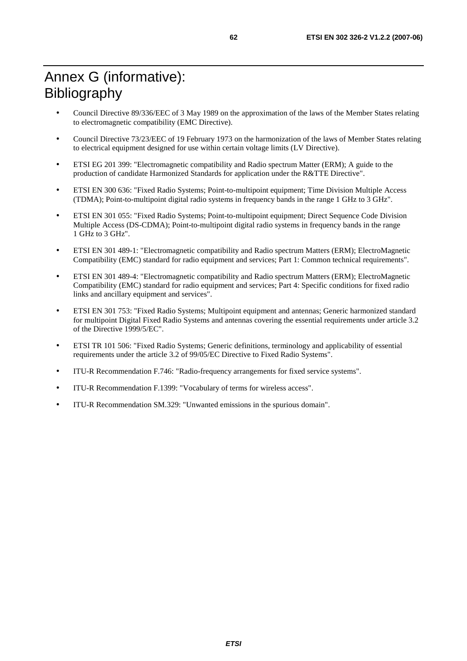- Council Directive 89/336/EEC of 3 May 1989 on the approximation of the laws of the Member States relating to electromagnetic compatibility (EMC Directive).
- Council Directive 73/23/EEC of 19 February 1973 on the harmonization of the laws of Member States relating to electrical equipment designed for use within certain voltage limits (LV Directive).
- ETSI EG 201 399: "Electromagnetic compatibility and Radio spectrum Matter (ERM); A guide to the production of candidate Harmonized Standards for application under the R&TTE Directive".
- ETSI EN 300 636: "Fixed Radio Systems; Point-to-multipoint equipment; Time Division Multiple Access (TDMA); Point-to-multipoint digital radio systems in frequency bands in the range 1 GHz to 3 GHz".
- ETSI EN 301 055: "Fixed Radio Systems; Point-to-multipoint equipment; Direct Sequence Code Division Multiple Access (DS-CDMA); Point-to-multipoint digital radio systems in frequency bands in the range 1 GHz to 3 GHz".
- ETSI EN 301 489-1: "Electromagnetic compatibility and Radio spectrum Matters (ERM); ElectroMagnetic Compatibility (EMC) standard for radio equipment and services; Part 1: Common technical requirements".
- ETSI EN 301 489-4: "Electromagnetic compatibility and Radio spectrum Matters (ERM); ElectroMagnetic Compatibility (EMC) standard for radio equipment and services; Part 4: Specific conditions for fixed radio links and ancillary equipment and services".
- ETSI EN 301 753: "Fixed Radio Systems; Multipoint equipment and antennas; Generic harmonized standard for multipoint Digital Fixed Radio Systems and antennas covering the essential requirements under article 3.2 of the Directive 1999/5/EC".
- ETSI TR 101 506: "Fixed Radio Systems; Generic definitions, terminology and applicability of essential requirements under the article 3.2 of 99/05/EC Directive to Fixed Radio Systems".
- ITU-R Recommendation F.746: "Radio-frequency arrangements for fixed service systems".
- ITU-R Recommendation F.1399: "Vocabulary of terms for wireless access".
- ITU-R Recommendation SM.329: "Unwanted emissions in the spurious domain".